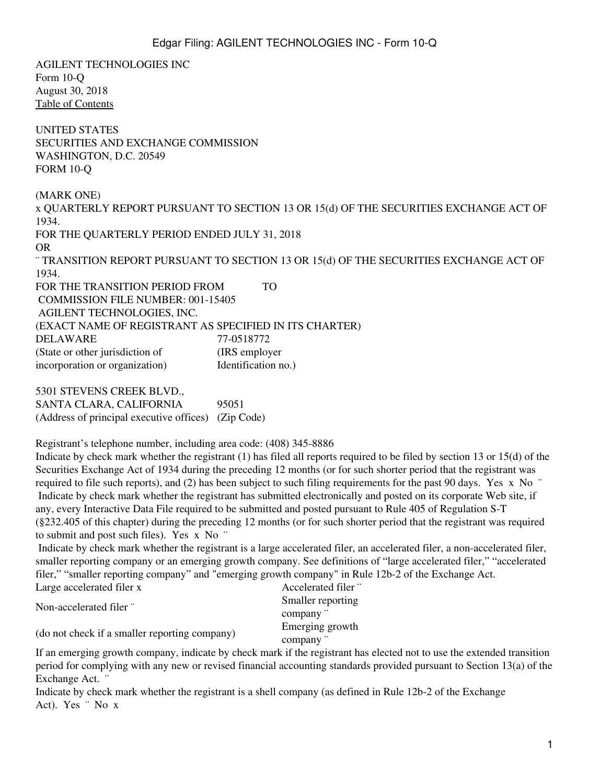AGILENT TECHNOLOGIES INC Form 10-Q August 30, 2018 [Table of Contents](#page-2-0) UNITED STATES SECURITIES AND EXCHANGE COMMISSION WASHINGTON, D.C. 20549 FORM 10-Q (MARK ONE) x QUARTERLY REPORT PURSUANT TO SECTION 13 OR 15(d) OF THE SECURITIES EXCHANGE ACT OF 1934. FOR THE QUARTERLY PERIOD ENDED JULY 31, 2018 OR ¨ TRANSITION REPORT PURSUANT TO SECTION 13 OR 15(d) OF THE SECURITIES EXCHANGE ACT OF 1934. FOR THE TRANSITION PERIOD FROM TO COMMISSION FILE NUMBER: 001-15405 AGILENT TECHNOLOGIES, INC. (EXACT NAME OF REGISTRANT AS SPECIFIED IN ITS CHARTER) DELAWARE 77-0518772 (State or other jurisdiction of (IRS employer incorporation or organization) Identification no.) 5301 STEVENS CREEK BLVD., SANTA CLARA, CALIFORNIA 95051 (Address of principal executive offices) (Zip Code) Registrant's telephone number, including area code: (408) 345-8886 Indicate by check mark whether the registrant (1) has filed all reports required to be filed by section 13 or 15(d) of the Securities Exchange Act of 1934 during the preceding 12 months (or for such shorter period that the registrant was required to file such reports), and (2) has been subject to such filing requirements for the past 90 days. Yes x No ¨ Indicate by check mark whether the registrant has submitted electronically and posted on its corporate Web site, if any, every Interactive Data File required to be submitted and posted pursuant to Rule 405 of Regulation S-T (§232.405 of this chapter) during the preceding 12 months (or for such shorter period that the registrant was required to submit and post such files). Yes x No ¨ Indicate by check mark whether the registrant is a large accelerated filer, an accelerated filer, a non-accelerated filer, smaller reporting company or an emerging growth company. See definitions of "large accelerated filer," "accelerated filer," "smaller reporting company" and "emerging growth company" in Rule 12b-2 of the Exchange Act.

| Large accelerated filer x                     | Accelerated filer " |
|-----------------------------------------------|---------------------|
| Non-accelerated filer "                       | Smaller reporting   |
|                                               | company "           |
| (do not check if a smaller reporting company) | Emerging growth     |
|                                               | company "           |

If an emerging growth company, indicate by check mark if the registrant has elected not to use the extended transition period for complying with any new or revised financial accounting standards provided pursuant to Section 13(a) of the Exchange Act.

Indicate by check mark whether the registrant is a shell company (as defined in Rule 12b-2 of the Exchange Act). Yes ¨ No x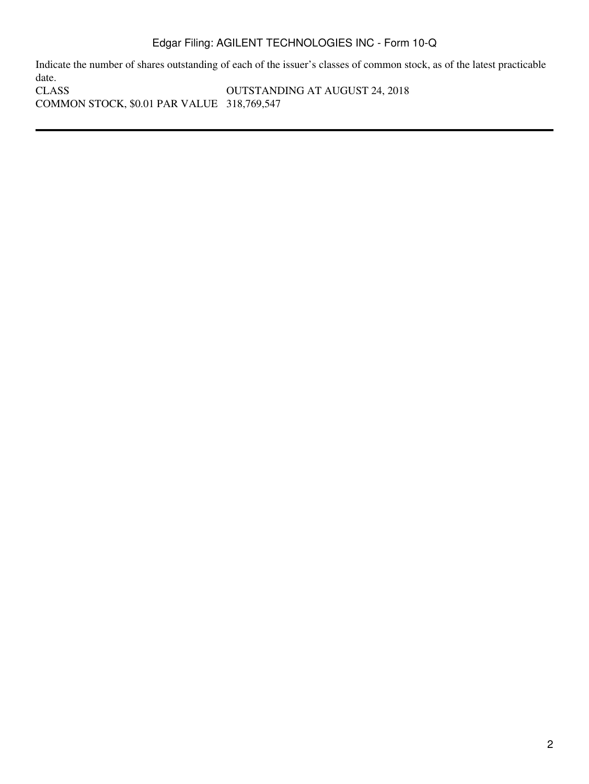Indicate the number of shares outstanding of each of the issuer's classes of common stock, as of the latest practicable date.<br>CLASS OUTSTANDING AT AUGUST 24, 2018 COMMON STOCK, \$0.01 PAR VALUE 318,769,547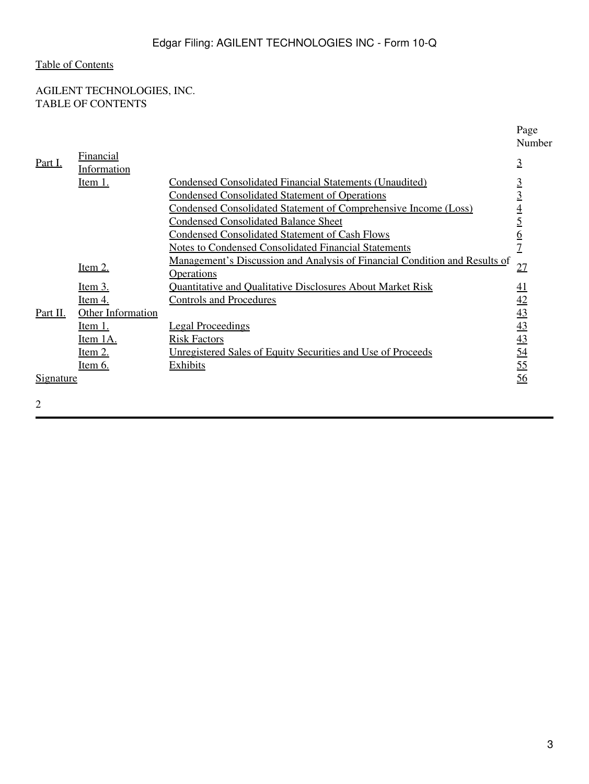# <span id="page-2-0"></span>AGILENT TECHNOLOGIES, INC. TABLE OF CONTENTS

|                  |                    |                                                                            | Page<br>Number                                        |
|------------------|--------------------|----------------------------------------------------------------------------|-------------------------------------------------------|
| Part I.          | Financial          |                                                                            | $\overline{3}$                                        |
|                  | <b>Information</b> |                                                                            |                                                       |
|                  | <u>Item 1.</u>     | <b>Condensed Consolidated Financial Statements (Unaudited)</b>             | $\overline{3}$                                        |
|                  |                    | <b>Condensed Consolidated Statement of Operations</b>                      | $\overline{3}$                                        |
|                  |                    | <b>Condensed Consolidated Statement of Comprehensive Income (Loss)</b>     |                                                       |
|                  |                    | <b>Condensed Consolidated Balance Sheet</b>                                | $\frac{4}{5}$                                         |
|                  |                    | <b>Condensed Consolidated Statement of Cash Flows</b>                      | <u>6</u>                                              |
|                  |                    | <b>Notes to Condensed Consolidated Financial Statements</b>                |                                                       |
|                  |                    | Management's Discussion and Analysis of Financial Condition and Results of | 27                                                    |
|                  | <u>Item 2.</u>     | <b>Operations</b>                                                          |                                                       |
|                  | <u>Item 3.</u>     | <b>Quantitative and Qualitative Disclosures About Market Risk</b>          | $\overline{41}$                                       |
|                  | <u>Item 4.</u>     | <b>Controls and Procedures</b>                                             |                                                       |
| Part II.         | Other Information  |                                                                            | $\frac{42}{43}$<br>$\frac{43}{43}$<br>$\frac{43}{54}$ |
|                  | <u>Item 1.</u>     | <b>Legal Proceedings</b>                                                   |                                                       |
|                  | Item 1A.           | <b>Risk Factors</b>                                                        |                                                       |
|                  | <u>Item 2.</u>     | Unregistered Sales of Equity Securities and Use of Proceeds                |                                                       |
|                  | <u>Item 6.</u>     | <b>Exhibits</b>                                                            | $\overline{55}$                                       |
| <u>Signature</u> |                    |                                                                            | 56                                                    |
|                  |                    |                                                                            |                                                       |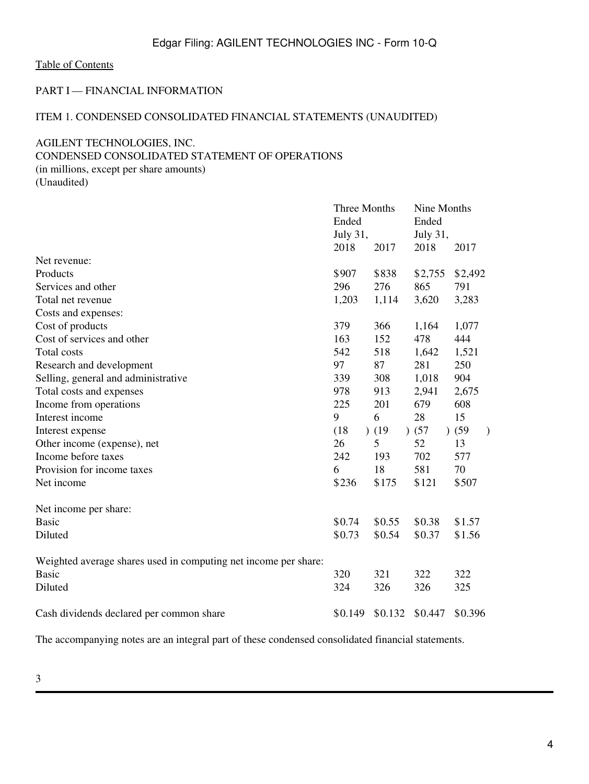### <span id="page-3-0"></span>PART I — FINANCIAL INFORMATION

### <span id="page-3-1"></span>ITEM 1. CONDENSED CONSOLIDATED FINANCIAL STATEMENTS (UNAUDITED)

### <span id="page-3-2"></span>AGILENT TECHNOLOGIES, INC.

### CONDENSED CONSOLIDATED STATEMENT OF OPERATIONS

(in millions, except per share amounts) (Unaudited)

|                                                                 | Three Months |         | Nine Months |                   |  |  |  |
|-----------------------------------------------------------------|--------------|---------|-------------|-------------------|--|--|--|
|                                                                 | Ended        |         | Ended       |                   |  |  |  |
|                                                                 | July 31,     |         | July 31,    |                   |  |  |  |
|                                                                 | 2018         | 2017    | 2018        | 2017              |  |  |  |
| Net revenue:                                                    |              |         |             |                   |  |  |  |
| Products                                                        | \$907        | \$838   | \$2,755     | \$2,492           |  |  |  |
| Services and other                                              | 296          | 276     | 865         | 791               |  |  |  |
| Total net revenue                                               | 1,203        | 1,114   | 3,620       | 3,283             |  |  |  |
| Costs and expenses:                                             |              |         |             |                   |  |  |  |
| Cost of products                                                | 379          | 366     | 1,164       | 1,077             |  |  |  |
| Cost of services and other                                      | 163          | 152     | 478         | 444               |  |  |  |
| <b>Total costs</b>                                              | 542          | 518     | 1,642       | 1,521             |  |  |  |
| Research and development                                        | 97           | 87      | 281         | 250               |  |  |  |
| Selling, general and administrative                             | 339          | 308     | 1,018       | 904               |  |  |  |
| Total costs and expenses                                        | 978          | 913     | 2,941       | 2,675             |  |  |  |
| Income from operations                                          | 225          | 201     | 679         | 608               |  |  |  |
| Interest income                                                 | 9            | 6       | 28          | 15                |  |  |  |
| Interest expense                                                | (18)         | (19)    | ) (57)      | (59)<br>$\lambda$ |  |  |  |
| Other income (expense), net                                     | 26           | 5       | 52          | 13                |  |  |  |
| Income before taxes                                             | 242          | 193     | 702         | 577               |  |  |  |
| Provision for income taxes                                      | 6            | 18      | 581         | 70                |  |  |  |
| Net income                                                      | \$236        | \$175   | \$121       | \$507             |  |  |  |
| Net income per share:                                           |              |         |             |                   |  |  |  |
| <b>Basic</b>                                                    | \$0.74       | \$0.55  | \$0.38      | \$1.57            |  |  |  |
| Diluted                                                         | \$0.73       | \$0.54  | \$0.37      | \$1.56            |  |  |  |
| Weighted average shares used in computing net income per share: |              |         |             |                   |  |  |  |
| <b>Basic</b>                                                    | 320          | 321     | 322         | 322               |  |  |  |
| Diluted                                                         | 324          | 326     | 326         | 325               |  |  |  |
| Cash dividends declared per common share                        | \$0.149      | \$0.132 | \$0.447     | \$0.396           |  |  |  |

The accompanying notes are an integral part of these condensed consolidated financial statements.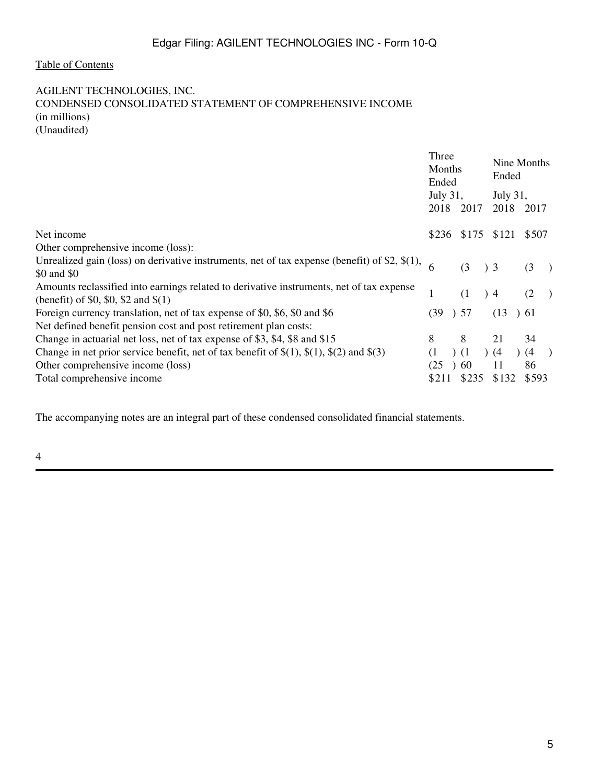#### <span id="page-4-0"></span>AGILENT TECHNOLOGIES, INC. CONDENSED CONSOLIDATED STATEMENT OF COMPREHENSIVE INCOME (in millions) (Unaudited)

|                                                                                                    | Three<br>Months<br>Ended |  |       | Nine Months<br>Ended |                  |  |       |               |
|----------------------------------------------------------------------------------------------------|--------------------------|--|-------|----------------------|------------------|--|-------|---------------|
|                                                                                                    | July 31,<br>2018         |  | 2017  |                      | July 31,<br>2018 |  | 2017  |               |
| Net income                                                                                         | \$236                    |  | \$175 |                      | \$121            |  | \$507 |               |
| Other comprehensive income (loss):                                                                 |                          |  |       |                      |                  |  |       |               |
| Unrealized gain (loss) on derivative instruments, net of tax expense (benefit) of \$2, $\$(1)$ ,   |                          |  | (3)   | $\left( \right)$ 3   |                  |  | (3)   |               |
| \$0 and \$0                                                                                        |                          |  |       |                      |                  |  |       | $\rightarrow$ |
| Amounts reclassified into earnings related to derivative instruments, net of tax expense           |                          |  | (1)   |                      | $\rightarrow$ 4  |  | (2)   | $\rightarrow$ |
| (benefit) of \$0, \$0, \$2 and $$(1)$                                                              |                          |  |       |                      |                  |  |       |               |
| Foreign currency translation, net of tax expense of \$0, \$6, \$0 and \$6                          | (39)                     |  | ) 57  |                      | (13)             |  | 61    |               |
| Net defined benefit pension cost and post retirement plan costs:                                   |                          |  |       |                      |                  |  |       |               |
| Change in actuarial net loss, net of tax expense of \$3, \$4, \$8 and \$15                         | 8                        |  | 8     |                      | 21               |  | 34    |               |
| Change in net prior service benefit, net of tax benefit of $\S(1)$ , $\S(1)$ , $\S(2)$ and $\S(3)$ | (1)                      |  | (1)   |                      | (4)              |  | (4)   | $\rightarrow$ |
| Other comprehensive income (loss)                                                                  | (25)                     |  | 60    |                      | 11               |  | 86    |               |
| Total comprehensive income                                                                         | \$211                    |  | \$235 |                      | \$132            |  | \$593 |               |

The accompanying notes are an integral part of these condensed consolidated financial statements.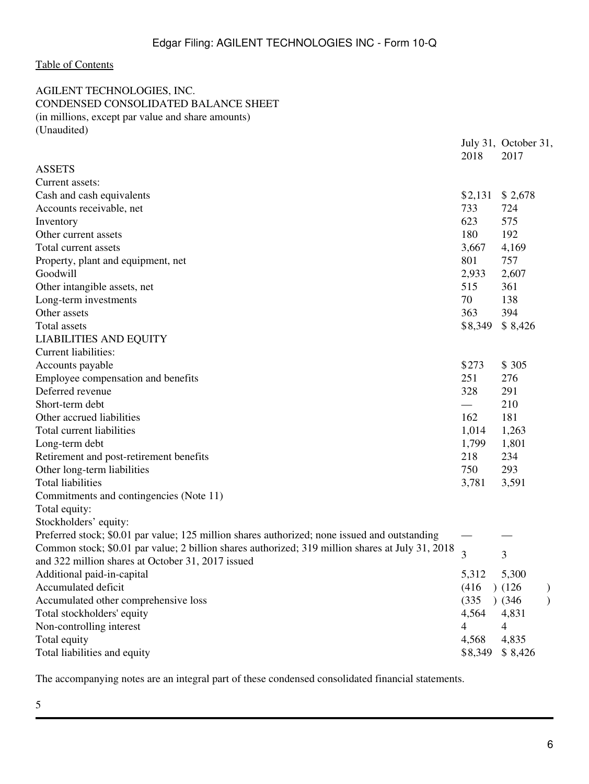<span id="page-5-0"></span>AGILENT TECHNOLOGIES, INC. CONDENSED CONSOLIDATED BALANCE SHEET (in millions, except par value and share amounts) (Unaudited)

|                                                                                                  | 2018    | July 31, October 31,<br>2017 |  |
|--------------------------------------------------------------------------------------------------|---------|------------------------------|--|
| <b>ASSETS</b>                                                                                    |         |                              |  |
| Current assets:                                                                                  |         |                              |  |
| Cash and cash equivalents                                                                        | \$2,131 | \$2,678                      |  |
| Accounts receivable, net                                                                         | 733     | 724                          |  |
| Inventory                                                                                        | 623     | 575                          |  |
| Other current assets                                                                             | 180     | 192                          |  |
| Total current assets                                                                             | 3,667   | 4,169                        |  |
| Property, plant and equipment, net                                                               | 801     | 757                          |  |
| Goodwill                                                                                         | 2,933   | 2,607                        |  |
| Other intangible assets, net                                                                     | 515     | 361                          |  |
| Long-term investments                                                                            | 70      | 138                          |  |
| Other assets                                                                                     | 363     | 394                          |  |
| Total assets                                                                                     | \$8,349 | \$8,426                      |  |
| <b>LIABILITIES AND EQUITY</b>                                                                    |         |                              |  |
| <b>Current liabilities:</b>                                                                      |         |                              |  |
| Accounts payable                                                                                 | \$273   | \$305                        |  |
| Employee compensation and benefits                                                               | 251     | 276                          |  |
| Deferred revenue                                                                                 | 328     | 291                          |  |
| Short-term debt                                                                                  |         | 210                          |  |
| Other accrued liabilities                                                                        | 162     | 181                          |  |
| Total current liabilities                                                                        | 1,014   | 1,263                        |  |
| Long-term debt                                                                                   | 1,799   | 1,801                        |  |
| Retirement and post-retirement benefits                                                          | 218     | 234                          |  |
| Other long-term liabilities                                                                      | 750     | 293                          |  |
| <b>Total liabilities</b>                                                                         | 3,781   | 3,591                        |  |
| Commitments and contingencies (Note 11)                                                          |         |                              |  |
| Total equity:                                                                                    |         |                              |  |
| Stockholders' equity:                                                                            |         |                              |  |
| Preferred stock; \$0.01 par value; 125 million shares authorized; none issued and outstanding    |         |                              |  |
| Common stock; \$0.01 par value; 2 billion shares authorized; 319 million shares at July 31, 2018 | 3       | 3                            |  |
| and 322 million shares at October 31, 2017 issued                                                |         |                              |  |
| Additional paid-in-capital                                                                       | 5,312   | 5,300                        |  |
| Accumulated deficit                                                                              | (416)   | (126)                        |  |
| Accumulated other comprehensive loss                                                             | (335)   | $)$ (346)                    |  |
| Total stockholders' equity                                                                       | 4,564   | 4,831                        |  |
| Non-controlling interest                                                                         | 4       | $\overline{4}$               |  |
| Total equity                                                                                     | 4,568   | 4,835                        |  |
| Total liabilities and equity                                                                     | \$8,349 | \$8,426                      |  |
|                                                                                                  |         |                              |  |

The accompanying notes are an integral part of these condensed consolidated financial statements.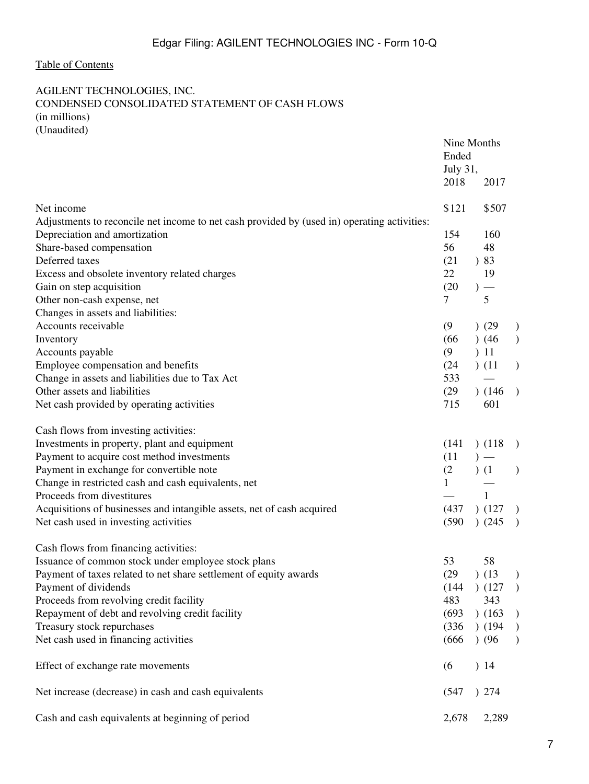### <span id="page-6-0"></span>AGILENT TECHNOLOGIES, INC. CONDENSED CONSOLIDATED STATEMENT OF CASH FLOWS (in millions) (Unaudited)

|                                                                                             | Nine Months<br>Ended<br>July 31,<br>2018 | 2017    |               |
|---------------------------------------------------------------------------------------------|------------------------------------------|---------|---------------|
| Net income                                                                                  | \$121                                    | \$507   |               |
| Adjustments to reconcile net income to net cash provided by (used in) operating activities: |                                          |         |               |
| Depreciation and amortization                                                               | 154                                      | 160     |               |
| Share-based compensation                                                                    | 56                                       | 48      |               |
| Deferred taxes                                                                              | (21)                                     | )83     |               |
| Excess and obsolete inventory related charges                                               | 22                                       | 19      |               |
| Gain on step acquisition                                                                    | (20)                                     | $) -$   |               |
| Other non-cash expense, net                                                                 | $\overline{7}$                           | 5       |               |
| Changes in assets and liabilities:                                                          |                                          |         |               |
| Accounts receivable                                                                         | (9)                                      | ) (29)  | $\mathcal{E}$ |
| Inventory                                                                                   | (66)                                     | $)$ (46 | $\mathcal{L}$ |
| Accounts payable                                                                            | (9)                                      | 11      |               |
| Employee compensation and benefits                                                          | (24)                                     | (11)    | $\mathcal{L}$ |
| Change in assets and liabilities due to Tax Act                                             | 533                                      |         |               |
| Other assets and liabilities                                                                | (29)                                     | (146)   | $\rightarrow$ |
| Net cash provided by operating activities                                                   | 715                                      | 601     |               |
| Cash flows from investing activities:                                                       |                                          |         |               |
| Investments in property, plant and equipment                                                | (141)                                    | (118)   | $\rightarrow$ |
| Payment to acquire cost method investments                                                  | (11)                                     | $)$ —   |               |
| Payment in exchange for convertible note                                                    | (2)                                      | (1)     | $\mathcal{L}$ |
| Change in restricted cash and cash equivalents, net                                         | $\mathbf{1}$                             |         |               |
| Proceeds from divestitures                                                                  |                                          | 1       |               |
| Acquisitions of businesses and intangible assets, net of cash acquired                      | (437)                                    | (127)   | $\mathcal{L}$ |
| Net cash used in investing activities                                                       | (590)                                    | )(245)  | $\rightarrow$ |
| Cash flows from financing activities:                                                       |                                          |         |               |
| Issuance of common stock under employee stock plans                                         | 53                                       | 58      |               |
| Payment of taxes related to net share settlement of equity awards                           | (29)                                     | (13)    | $\mathcal{L}$ |
| Payment of dividends                                                                        | (144)                                    | (127)   | $\rightarrow$ |
| Proceeds from revolving credit facility                                                     | 483                                      | 343     |               |
| Repayment of debt and revolving credit facility                                             | (693)                                    | (163)   | $\big)$       |
| Treasury stock repurchases                                                                  | (336)                                    | (194)   | $\big)$       |
| Net cash used in financing activities                                                       | (666)                                    | (96)    | $\mathcal{L}$ |
| Effect of exchange rate movements                                                           | (6)                                      | )14     |               |
| Net increase (decrease) in cash and cash equivalents                                        | (547)                                    | ) 274   |               |
| Cash and cash equivalents at beginning of period                                            | 2,678                                    | 2,289   |               |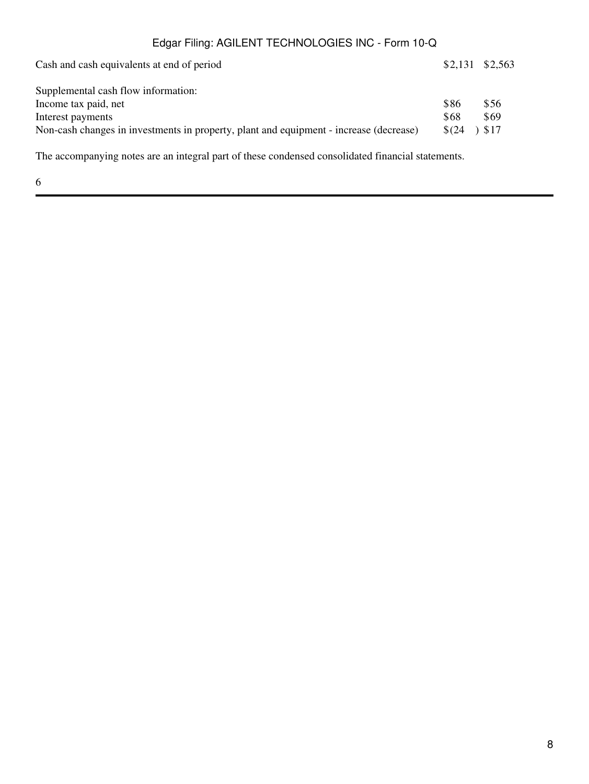| Cash and cash equivalents at end of period                                             |            | $$2,131$ $$2,563$ |
|----------------------------------------------------------------------------------------|------------|-------------------|
| Supplemental cash flow information:                                                    |            |                   |
| Income tax paid, net                                                                   | \$86       | \$56              |
| Interest payments                                                                      | \$68       | \$69              |
| Non-cash changes in investments in property, plant and equipment - increase (decrease) | $$^{(24)}$ | 517               |

The accompanying notes are an integral part of these condensed consolidated financial statements.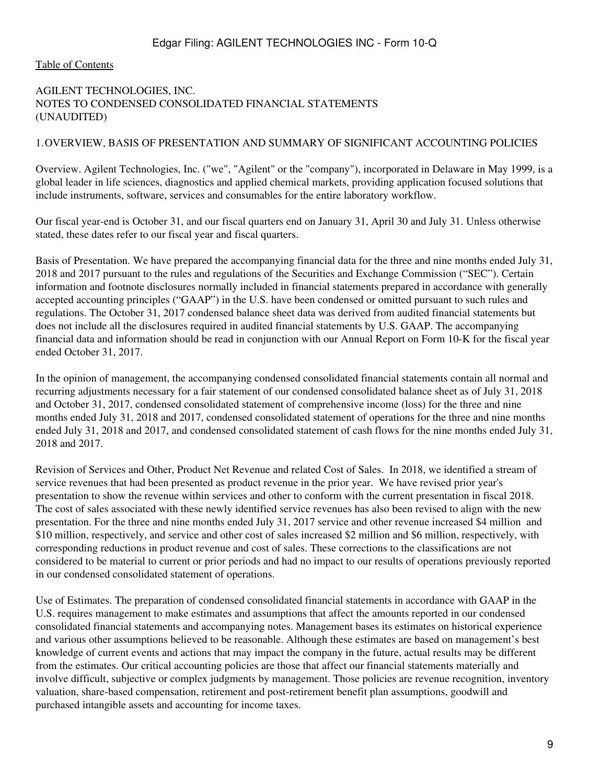#### <span id="page-8-0"></span>[Table of Contents](#page-2-0)

### AGILENT TECHNOLOGIES, INC. NOTES TO CONDENSED CONSOLIDATED FINANCIAL STATEMENTS (UNAUDITED)

#### 1.OVERVIEW, BASIS OF PRESENTATION AND SUMMARY OF SIGNIFICANT ACCOUNTING POLICIES

Overview. Agilent Technologies, Inc. ("we", "Agilent" or the "company"), incorporated in Delaware in May 1999, is a global leader in life sciences, diagnostics and applied chemical markets, providing application focused solutions that include instruments, software, services and consumables for the entire laboratory workflow.

Our fiscal year-end is October 31, and our fiscal quarters end on January 31, April 30 and July 31. Unless otherwise stated, these dates refer to our fiscal year and fiscal quarters.

Basis of Presentation. We have prepared the accompanying financial data for the three and nine months ended July 31, 2018 and 2017 pursuant to the rules and regulations of the Securities and Exchange Commission ("SEC"). Certain information and footnote disclosures normally included in financial statements prepared in accordance with generally accepted accounting principles ("GAAP") in the U.S. have been condensed or omitted pursuant to such rules and regulations. The October 31, 2017 condensed balance sheet data was derived from audited financial statements but does not include all the disclosures required in audited financial statements by U.S. GAAP. The accompanying financial data and information should be read in conjunction with our Annual Report on Form 10-K for the fiscal year ended October 31, 2017.

In the opinion of management, the accompanying condensed consolidated financial statements contain all normal and recurring adjustments necessary for a fair statement of our condensed consolidated balance sheet as of July 31, 2018 and October 31, 2017, condensed consolidated statement of comprehensive income (loss) for the three and nine months ended July 31, 2018 and 2017, condensed consolidated statement of operations for the three and nine months ended July 31, 2018 and 2017, and condensed consolidated statement of cash flows for the nine months ended July 31, 2018 and 2017.

Revision of Services and Other, Product Net Revenue and related Cost of Sales. In 2018, we identified a stream of service revenues that had been presented as product revenue in the prior year. We have revised prior year's presentation to show the revenue within services and other to conform with the current presentation in fiscal 2018. The cost of sales associated with these newly identified service revenues has also been revised to align with the new presentation. For the three and nine months ended July 31, 2017 service and other revenue increased \$4 million and \$10 million, respectively, and service and other cost of sales increased \$2 million and \$6 million, respectively, with corresponding reductions in product revenue and cost of sales. These corrections to the classifications are not considered to be material to current or prior periods and had no impact to our results of operations previously reported in our condensed consolidated statement of operations.

Use of Estimates. The preparation of condensed consolidated financial statements in accordance with GAAP in the U.S. requires management to make estimates and assumptions that affect the amounts reported in our condensed consolidated financial statements and accompanying notes. Management bases its estimates on historical experience and various other assumptions believed to be reasonable. Although these estimates are based on management's best knowledge of current events and actions that may impact the company in the future, actual results may be different from the estimates. Our critical accounting policies are those that affect our financial statements materially and involve difficult, subjective or complex judgments by management. Those policies are revenue recognition, inventory valuation, share-based compensation, retirement and post-retirement benefit plan assumptions, goodwill and purchased intangible assets and accounting for income taxes.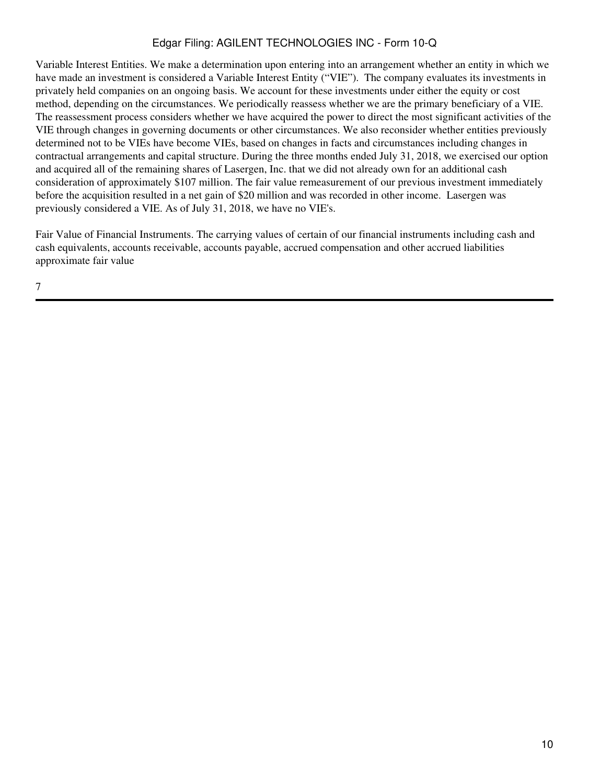Variable Interest Entities. We make a determination upon entering into an arrangement whether an entity in which we have made an investment is considered a Variable Interest Entity ("VIE"). The company evaluates its investments in privately held companies on an ongoing basis. We account for these investments under either the equity or cost method, depending on the circumstances. We periodically reassess whether we are the primary beneficiary of a VIE. The reassessment process considers whether we have acquired the power to direct the most significant activities of the VIE through changes in governing documents or other circumstances. We also reconsider whether entities previously determined not to be VIEs have become VIEs, based on changes in facts and circumstances including changes in contractual arrangements and capital structure. During the three months ended July 31, 2018, we exercised our option and acquired all of the remaining shares of Lasergen, Inc. that we did not already own for an additional cash consideration of approximately \$107 million. The fair value remeasurement of our previous investment immediately before the acquisition resulted in a net gain of \$20 million and was recorded in other income. Lasergen was previously considered a VIE. As of July 31, 2018, we have no VIE's.

Fair Value of Financial Instruments. The carrying values of certain of our financial instruments including cash and cash equivalents, accounts receivable, accounts payable, accrued compensation and other accrued liabilities approximate fair value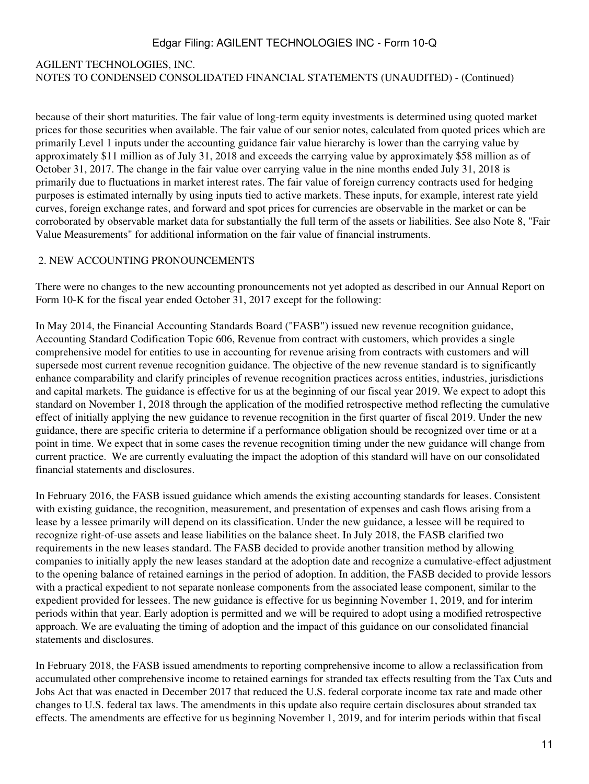# AGILENT TECHNOLOGIES, INC. NOTES TO CONDENSED CONSOLIDATED FINANCIAL STATEMENTS (UNAUDITED) - (Continued)

because of their short maturities. The fair value of long-term equity investments is determined using quoted market prices for those securities when available. The fair value of our senior notes, calculated from quoted prices which are primarily Level 1 inputs under the accounting guidance fair value hierarchy is lower than the carrying value by approximately \$11 million as of July 31, 2018 and exceeds the carrying value by approximately \$58 million as of October 31, 2017. The change in the fair value over carrying value in the nine months ended July 31, 2018 is primarily due to fluctuations in market interest rates. The fair value of foreign currency contracts used for hedging purposes is estimated internally by using inputs tied to active markets. These inputs, for example, interest rate yield curves, foreign exchange rates, and forward and spot prices for currencies are observable in the market or can be corroborated by observable market data for substantially the full term of the assets or liabilities. See also Note 8, "Fair Value Measurements" for additional information on the fair value of financial instruments.

#### 2. NEW ACCOUNTING PRONOUNCEMENTS

There were no changes to the new accounting pronouncements not yet adopted as described in our Annual Report on Form 10-K for the fiscal year ended October 31, 2017 except for the following:

In May 2014, the Financial Accounting Standards Board ("FASB") issued new revenue recognition guidance, Accounting Standard Codification Topic 606, Revenue from contract with customers, which provides a single comprehensive model for entities to use in accounting for revenue arising from contracts with customers and will supersede most current revenue recognition guidance. The objective of the new revenue standard is to significantly enhance comparability and clarify principles of revenue recognition practices across entities, industries, jurisdictions and capital markets. The guidance is effective for us at the beginning of our fiscal year 2019. We expect to adopt this standard on November 1, 2018 through the application of the modified retrospective method reflecting the cumulative effect of initially applying the new guidance to revenue recognition in the first quarter of fiscal 2019. Under the new guidance, there are specific criteria to determine if a performance obligation should be recognized over time or at a point in time. We expect that in some cases the revenue recognition timing under the new guidance will change from current practice. We are currently evaluating the impact the adoption of this standard will have on our consolidated financial statements and disclosures.

In February 2016, the FASB issued guidance which amends the existing accounting standards for leases. Consistent with existing guidance, the recognition, measurement, and presentation of expenses and cash flows arising from a lease by a lessee primarily will depend on its classification. Under the new guidance, a lessee will be required to recognize right-of-use assets and lease liabilities on the balance sheet. In July 2018, the FASB clarified two requirements in the new leases standard. The FASB decided to provide another transition method by allowing companies to initially apply the new leases standard at the adoption date and recognize a cumulative-effect adjustment to the opening balance of retained earnings in the period of adoption. In addition, the FASB decided to provide lessors with a practical expedient to not separate nonlease components from the associated lease component, similar to the expedient provided for lessees. The new guidance is effective for us beginning November 1, 2019, and for interim periods within that year. Early adoption is permitted and we will be required to adopt using a modified retrospective approach. We are evaluating the timing of adoption and the impact of this guidance on our consolidated financial statements and disclosures.

In February 2018, the FASB issued amendments to reporting comprehensive income to allow a reclassification from accumulated other comprehensive income to retained earnings for stranded tax effects resulting from the Tax Cuts and Jobs Act that was enacted in December 2017 that reduced the U.S. federal corporate income tax rate and made other changes to U.S. federal tax laws. The amendments in this update also require certain disclosures about stranded tax effects. The amendments are effective for us beginning November 1, 2019, and for interim periods within that fiscal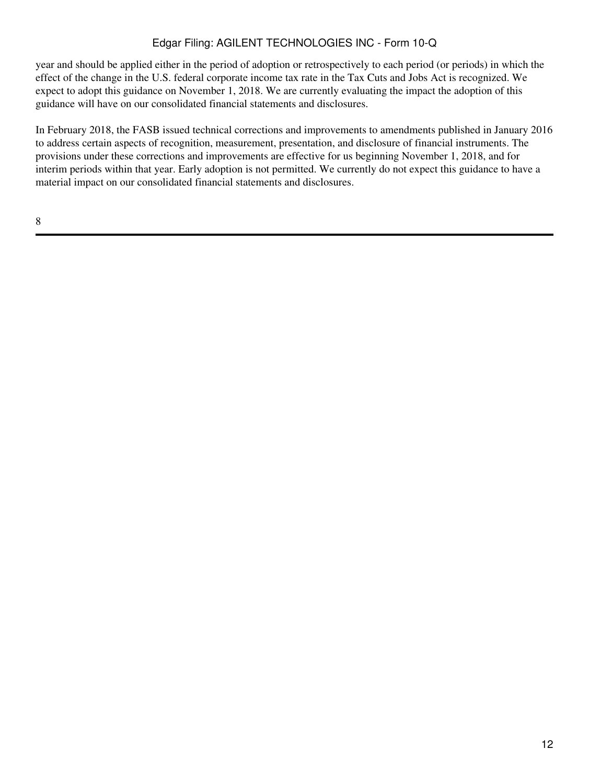year and should be applied either in the period of adoption or retrospectively to each period (or periods) in which the effect of the change in the U.S. federal corporate income tax rate in the Tax Cuts and Jobs Act is recognized. We expect to adopt this guidance on November 1, 2018. We are currently evaluating the impact the adoption of this guidance will have on our consolidated financial statements and disclosures.

In February 2018, the FASB issued technical corrections and improvements to amendments published in January 2016 to address certain aspects of recognition, measurement, presentation, and disclosure of financial instruments. The provisions under these corrections and improvements are effective for us beginning November 1, 2018, and for interim periods within that year. Early adoption is not permitted. We currently do not expect this guidance to have a material impact on our consolidated financial statements and disclosures.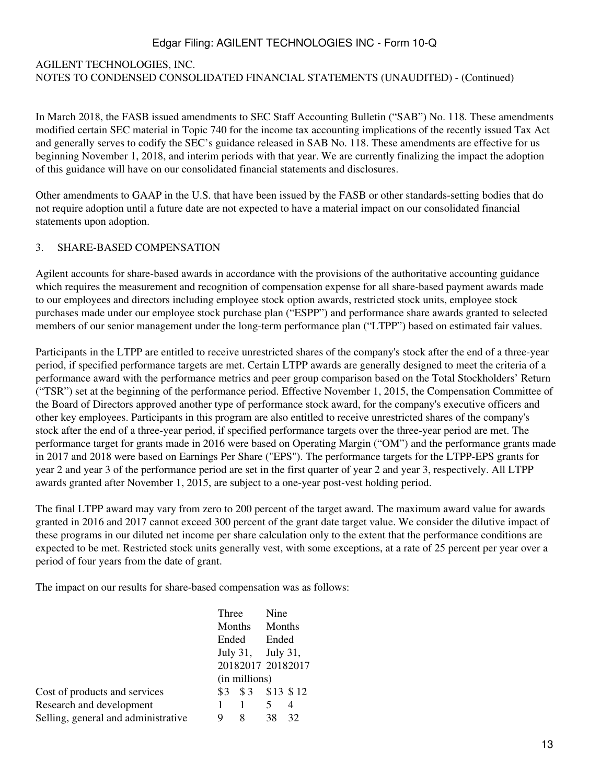### AGILENT TECHNOLOGIES, INC. NOTES TO CONDENSED CONSOLIDATED FINANCIAL STATEMENTS (UNAUDITED) - (Continued)

In March 2018, the FASB issued amendments to SEC Staff Accounting Bulletin ("SAB") No. 118. These amendments modified certain SEC material in Topic 740 for the income tax accounting implications of the recently issued Tax Act and generally serves to codify the SEC's guidance released in SAB No. 118. These amendments are effective for us beginning November 1, 2018, and interim periods with that year. We are currently finalizing the impact the adoption of this guidance will have on our consolidated financial statements and disclosures.

Other amendments to GAAP in the U.S. that have been issued by the FASB or other standards-setting bodies that do not require adoption until a future date are not expected to have a material impact on our consolidated financial statements upon adoption.

#### 3. SHARE-BASED COMPENSATION

Agilent accounts for share-based awards in accordance with the provisions of the authoritative accounting guidance which requires the measurement and recognition of compensation expense for all share-based payment awards made to our employees and directors including employee stock option awards, restricted stock units, employee stock purchases made under our employee stock purchase plan ("ESPP") and performance share awards granted to selected members of our senior management under the long-term performance plan ("LTPP") based on estimated fair values.

Participants in the LTPP are entitled to receive unrestricted shares of the company's stock after the end of a three-year period, if specified performance targets are met. Certain LTPP awards are generally designed to meet the criteria of a performance award with the performance metrics and peer group comparison based on the Total Stockholders' Return ("TSR") set at the beginning of the performance period. Effective November 1, 2015, the Compensation Committee of the Board of Directors approved another type of performance stock award, for the company's executive officers and other key employees. Participants in this program are also entitled to receive unrestricted shares of the company's stock after the end of a three-year period, if specified performance targets over the three-year period are met. The performance target for grants made in 2016 were based on Operating Margin ("OM") and the performance grants made in 2017 and 2018 were based on Earnings Per Share ("EPS"). The performance targets for the LTPP-EPS grants for year 2 and year 3 of the performance period are set in the first quarter of year 2 and year 3, respectively. All LTPP awards granted after November 1, 2015, are subject to a one-year post-vest holding period.

The final LTPP award may vary from zero to 200 percent of the target award. The maximum award value for awards granted in 2016 and 2017 cannot exceed 300 percent of the grant date target value. We consider the dilutive impact of these programs in our diluted net income per share calculation only to the extent that the performance conditions are expected to be met. Restricted stock units generally vest, with some exceptions, at a rate of 25 percent per year over a period of four years from the date of grant.

The impact on our results for share-based compensation was as follows:

|                                     | Three             |                       | Nine   |    |
|-------------------------------------|-------------------|-----------------------|--------|----|
|                                     | Months            |                       | Months |    |
|                                     | Ended             |                       | Ended  |    |
|                                     |                   | July 31, July 31,     |        |    |
|                                     | 20182017 20182017 |                       |        |    |
|                                     | (in millions)     |                       |        |    |
| Cost of products and services       |                   | $$3$ $$3$ $$13$ $$12$ |        |    |
| Research and development            |                   |                       | 5      | 4  |
| Selling, general and administrative | 9                 | 8                     | 38     | 32 |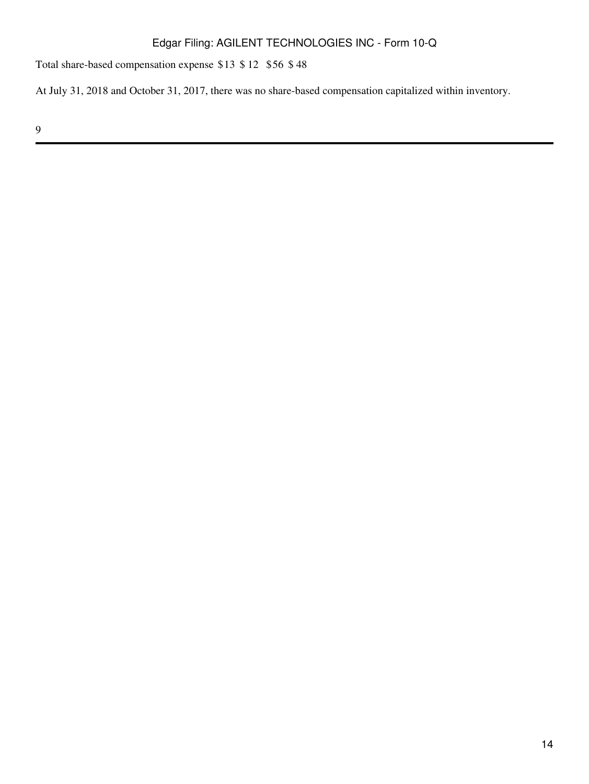Total share-based compensation expense \$13 \$ 12 \$56 \$ 48

At July 31, 2018 and October 31, 2017, there was no share-based compensation capitalized within inventory.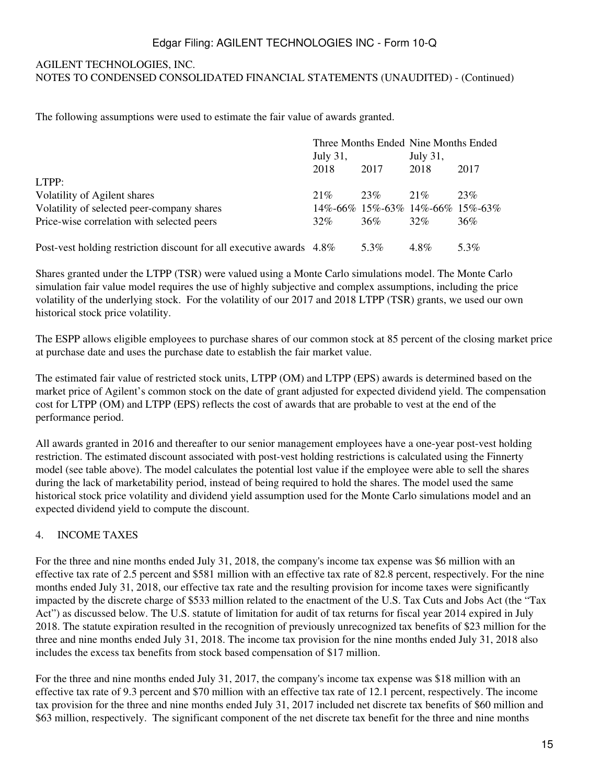#### AGILENT TECHNOLOGIES, INC. NOTES TO CONDENSED CONSOLIDATED FINANCIAL STATEMENTS (UNAUDITED) - (Continued)

The following assumptions were used to estimate the fair value of awards granted.

|                                                                      | Three Months Ended Nine Months Ended |      |                                 |      |  |
|----------------------------------------------------------------------|--------------------------------------|------|---------------------------------|------|--|
|                                                                      | July 31,                             |      | July 31,                        |      |  |
|                                                                      | 2018                                 | 2017 | 2018                            | 2017 |  |
| LTPP:                                                                |                                      |      |                                 |      |  |
| Volatility of Agilent shares                                         | 21%                                  | 23%  | 21%                             | 23%  |  |
| Volatility of selected peer-company shares                           |                                      |      | 14%-66% 15%-63% 14%-66% 15%-63% |      |  |
| Price-wise correlation with selected peers                           | 32%                                  | 36%  | $32\%$                          | 36%  |  |
|                                                                      |                                      |      |                                 |      |  |
| Post-vest holding restriction discount for all executive awards 4.8% |                                      | 5.3% | $4.8\%$                         | 5.3% |  |

Shares granted under the LTPP (TSR) were valued using a Monte Carlo simulations model. The Monte Carlo simulation fair value model requires the use of highly subjective and complex assumptions, including the price volatility of the underlying stock. For the volatility of our 2017 and 2018 LTPP (TSR) grants, we used our own historical stock price volatility.

The ESPP allows eligible employees to purchase shares of our common stock at 85 percent of the closing market price at purchase date and uses the purchase date to establish the fair market value.

The estimated fair value of restricted stock units, LTPP (OM) and LTPP (EPS) awards is determined based on the market price of Agilent's common stock on the date of grant adjusted for expected dividend yield. The compensation cost for LTPP (OM) and LTPP (EPS) reflects the cost of awards that are probable to vest at the end of the performance period.

All awards granted in 2016 and thereafter to our senior management employees have a one-year post-vest holding restriction. The estimated discount associated with post-vest holding restrictions is calculated using the Finnerty model (see table above). The model calculates the potential lost value if the employee were able to sell the shares during the lack of marketability period, instead of being required to hold the shares. The model used the same historical stock price volatility and dividend yield assumption used for the Monte Carlo simulations model and an expected dividend yield to compute the discount.

### 4. INCOME TAXES

For the three and nine months ended July 31, 2018, the company's income tax expense was \$6 million with an effective tax rate of 2.5 percent and \$581 million with an effective tax rate of 82.8 percent, respectively. For the nine months ended July 31, 2018, our effective tax rate and the resulting provision for income taxes were significantly impacted by the discrete charge of \$533 million related to the enactment of the U.S. Tax Cuts and Jobs Act (the "Tax Act") as discussed below. The U.S. statute of limitation for audit of tax returns for fiscal year 2014 expired in July 2018. The statute expiration resulted in the recognition of previously unrecognized tax benefits of \$23 million for the three and nine months ended July 31, 2018. The income tax provision for the nine months ended July 31, 2018 also includes the excess tax benefits from stock based compensation of \$17 million.

For the three and nine months ended July 31, 2017, the company's income tax expense was \$18 million with an effective tax rate of 9.3 percent and \$70 million with an effective tax rate of 12.1 percent, respectively. The income tax provision for the three and nine months ended July 31, 2017 included net discrete tax benefits of \$60 million and \$63 million, respectively. The significant component of the net discrete tax benefit for the three and nine months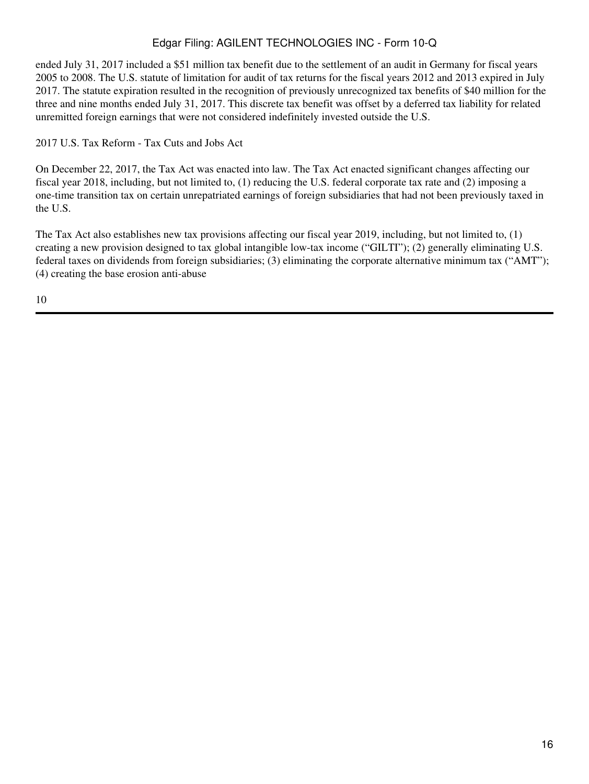ended July 31, 2017 included a \$51 million tax benefit due to the settlement of an audit in Germany for fiscal years 2005 to 2008. The U.S. statute of limitation for audit of tax returns for the fiscal years 2012 and 2013 expired in July 2017. The statute expiration resulted in the recognition of previously unrecognized tax benefits of \$40 million for the three and nine months ended July 31, 2017. This discrete tax benefit was offset by a deferred tax liability for related unremitted foreign earnings that were not considered indefinitely invested outside the U.S.

2017 U.S. Tax Reform - Tax Cuts and Jobs Act

On December 22, 2017, the Tax Act was enacted into law. The Tax Act enacted significant changes affecting our fiscal year 2018, including, but not limited to, (1) reducing the U.S. federal corporate tax rate and (2) imposing a one-time transition tax on certain unrepatriated earnings of foreign subsidiaries that had not been previously taxed in the U.S.

The Tax Act also establishes new tax provisions affecting our fiscal year 2019, including, but not limited to, (1) creating a new provision designed to tax global intangible low-tax income ("GILTI"); (2) generally eliminating U.S. federal taxes on dividends from foreign subsidiaries; (3) eliminating the corporate alternative minimum tax ("AMT"); (4) creating the base erosion anti-abuse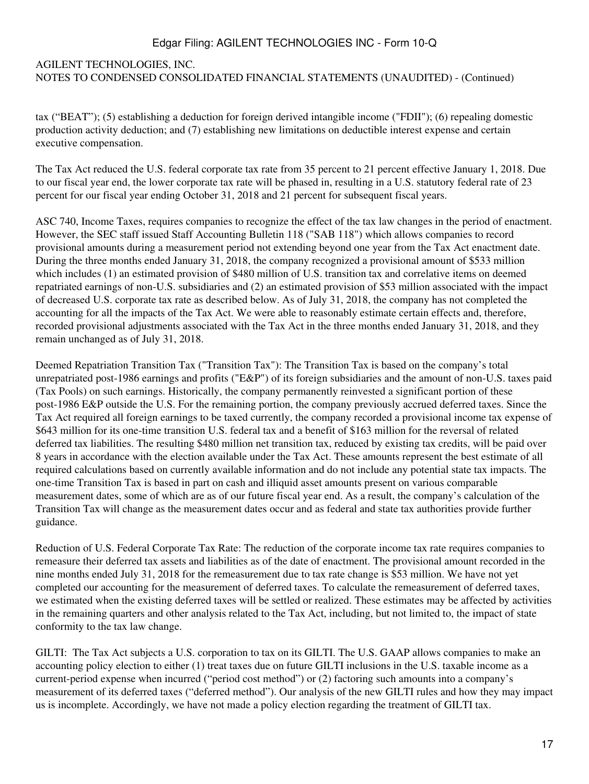# AGILENT TECHNOLOGIES, INC. NOTES TO CONDENSED CONSOLIDATED FINANCIAL STATEMENTS (UNAUDITED) - (Continued)

tax ("BEAT"); (5) establishing a deduction for foreign derived intangible income ("FDII"); (6) repealing domestic production activity deduction; and (7) establishing new limitations on deductible interest expense and certain executive compensation.

The Tax Act reduced the U.S. federal corporate tax rate from 35 percent to 21 percent effective January 1, 2018. Due to our fiscal year end, the lower corporate tax rate will be phased in, resulting in a U.S. statutory federal rate of 23 percent for our fiscal year ending October 31, 2018 and 21 percent for subsequent fiscal years.

ASC 740, Income Taxes, requires companies to recognize the effect of the tax law changes in the period of enactment. However, the SEC staff issued Staff Accounting Bulletin 118 ("SAB 118") which allows companies to record provisional amounts during a measurement period not extending beyond one year from the Tax Act enactment date. During the three months ended January 31, 2018, the company recognized a provisional amount of \$533 million which includes (1) an estimated provision of \$480 million of U.S. transition tax and correlative items on deemed repatriated earnings of non-U.S. subsidiaries and (2) an estimated provision of \$53 million associated with the impact of decreased U.S. corporate tax rate as described below. As of July 31, 2018, the company has not completed the accounting for all the impacts of the Tax Act. We were able to reasonably estimate certain effects and, therefore, recorded provisional adjustments associated with the Tax Act in the three months ended January 31, 2018, and they remain unchanged as of July 31, 2018.

Deemed Repatriation Transition Tax ("Transition Tax"): The Transition Tax is based on the company's total unrepatriated post-1986 earnings and profits ("E&P") of its foreign subsidiaries and the amount of non-U.S. taxes paid (Tax Pools) on such earnings. Historically, the company permanently reinvested a significant portion of these post-1986 E&P outside the U.S. For the remaining portion, the company previously accrued deferred taxes. Since the Tax Act required all foreign earnings to be taxed currently, the company recorded a provisional income tax expense of \$643 million for its one-time transition U.S. federal tax and a benefit of \$163 million for the reversal of related deferred tax liabilities. The resulting \$480 million net transition tax, reduced by existing tax credits, will be paid over 8 years in accordance with the election available under the Tax Act. These amounts represent the best estimate of all required calculations based on currently available information and do not include any potential state tax impacts. The one-time Transition Tax is based in part on cash and illiquid asset amounts present on various comparable measurement dates, some of which are as of our future fiscal year end. As a result, the company's calculation of the Transition Tax will change as the measurement dates occur and as federal and state tax authorities provide further guidance.

Reduction of U.S. Federal Corporate Tax Rate: The reduction of the corporate income tax rate requires companies to remeasure their deferred tax assets and liabilities as of the date of enactment. The provisional amount recorded in the nine months ended July 31, 2018 for the remeasurement due to tax rate change is \$53 million. We have not yet completed our accounting for the measurement of deferred taxes. To calculate the remeasurement of deferred taxes, we estimated when the existing deferred taxes will be settled or realized. These estimates may be affected by activities in the remaining quarters and other analysis related to the Tax Act, including, but not limited to, the impact of state conformity to the tax law change.

GILTI: The Tax Act subjects a U.S. corporation to tax on its GILTI. The U.S. GAAP allows companies to make an accounting policy election to either (1) treat taxes due on future GILTI inclusions in the U.S. taxable income as a current-period expense when incurred ("period cost method") or (2) factoring such amounts into a company's measurement of its deferred taxes ("deferred method"). Our analysis of the new GILTI rules and how they may impact us is incomplete. Accordingly, we have not made a policy election regarding the treatment of GILTI tax.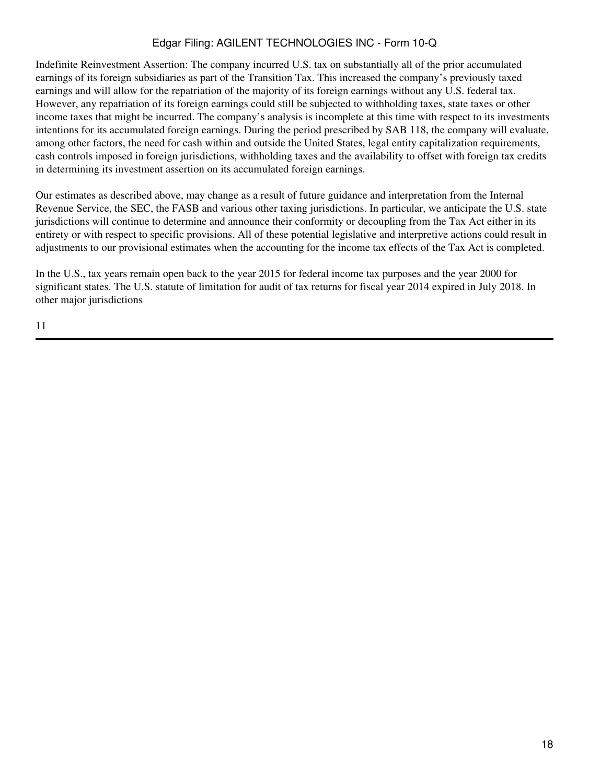Indefinite Reinvestment Assertion: The company incurred U.S. tax on substantially all of the prior accumulated earnings of its foreign subsidiaries as part of the Transition Tax. This increased the company's previously taxed earnings and will allow for the repatriation of the majority of its foreign earnings without any U.S. federal tax. However, any repatriation of its foreign earnings could still be subjected to withholding taxes, state taxes or other income taxes that might be incurred. The company's analysis is incomplete at this time with respect to its investments intentions for its accumulated foreign earnings. During the period prescribed by SAB 118, the company will evaluate, among other factors, the need for cash within and outside the United States, legal entity capitalization requirements, cash controls imposed in foreign jurisdictions, withholding taxes and the availability to offset with foreign tax credits in determining its investment assertion on its accumulated foreign earnings.

Our estimates as described above, may change as a result of future guidance and interpretation from the Internal Revenue Service, the SEC, the FASB and various other taxing jurisdictions. In particular, we anticipate the U.S. state jurisdictions will continue to determine and announce their conformity or decoupling from the Tax Act either in its entirety or with respect to specific provisions. All of these potential legislative and interpretive actions could result in adjustments to our provisional estimates when the accounting for the income tax effects of the Tax Act is completed.

In the U.S., tax years remain open back to the year 2015 for federal income tax purposes and the year 2000 for significant states. The U.S. statute of limitation for audit of tax returns for fiscal year 2014 expired in July 2018. In other major jurisdictions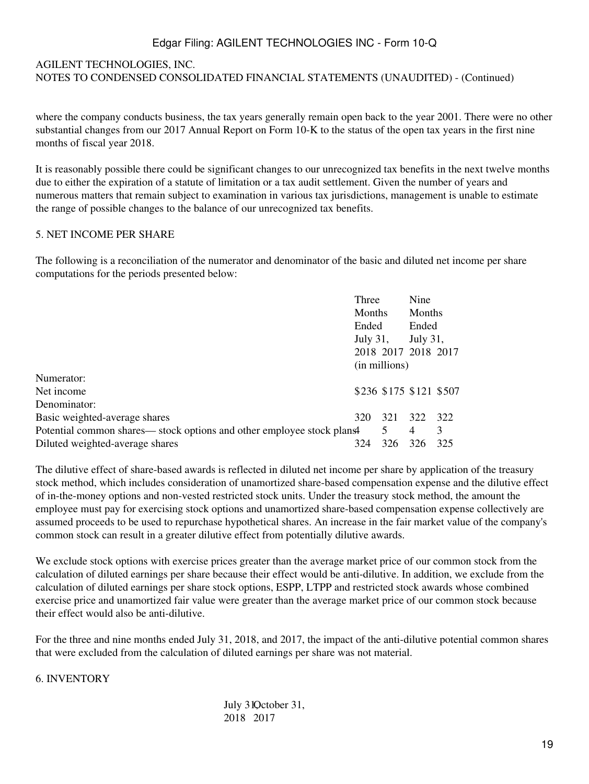### AGILENT TECHNOLOGIES, INC. NOTES TO CONDENSED CONSOLIDATED FINANCIAL STATEMENTS (UNAUDITED) - (Continued)

where the company conducts business, the tax years generally remain open back to the year 2001. There were no other substantial changes from our 2017 Annual Report on Form 10-K to the status of the open tax years in the first nine months of fiscal year 2018.

It is reasonably possible there could be significant changes to our unrecognized tax benefits in the next twelve months due to either the expiration of a statute of limitation or a tax audit settlement. Given the number of years and numerous matters that remain subject to examination in various tax jurisdictions, management is unable to estimate the range of possible changes to the balance of our unrecognized tax benefits.

#### 5. NET INCOME PER SHARE

The following is a reconciliation of the numerator and denominator of the basic and diluted net income per share computations for the periods presented below:

|                                                                      | Three             |                         | Nine     |     |
|----------------------------------------------------------------------|-------------------|-------------------------|----------|-----|
|                                                                      | Months            |                         | Months   |     |
|                                                                      | Ended<br>July 31, |                         | Ended    |     |
|                                                                      |                   |                         | July 31, |     |
|                                                                      |                   | 2018 2017 2018 2017     |          |     |
|                                                                      | (in millions)     |                         |          |     |
| Numerator:                                                           |                   |                         |          |     |
| Net income                                                           |                   | \$236 \$175 \$121 \$507 |          |     |
| Denominator:                                                         |                   |                         |          |     |
| Basic weighted-average shares                                        | 320               | 321                     | 322      | 322 |
| Potential common shares—stock options and other employee stock plans |                   | 5                       | 4        | 3   |
| Diluted weighted-average shares                                      | 324               | 326                     | 326      | 325 |

The dilutive effect of share-based awards is reflected in diluted net income per share by application of the treasury stock method, which includes consideration of unamortized share-based compensation expense and the dilutive effect of in-the-money options and non-vested restricted stock units. Under the treasury stock method, the amount the employee must pay for exercising stock options and unamortized share-based compensation expense collectively are assumed proceeds to be used to repurchase hypothetical shares. An increase in the fair market value of the company's common stock can result in a greater dilutive effect from potentially dilutive awards.

We exclude stock options with exercise prices greater than the average market price of our common stock from the calculation of diluted earnings per share because their effect would be anti-dilutive. In addition, we exclude from the calculation of diluted earnings per share stock options, ESPP, LTPP and restricted stock awards whose combined exercise price and unamortized fair value were greater than the average market price of our common stock because their effect would also be anti-dilutive.

For the three and nine months ended July 31, 2018, and 2017, the impact of the anti-dilutive potential common shares that were excluded from the calculation of diluted earnings per share was not material.

#### 6. INVENTORY

July 31Qctober 31, 2018 2017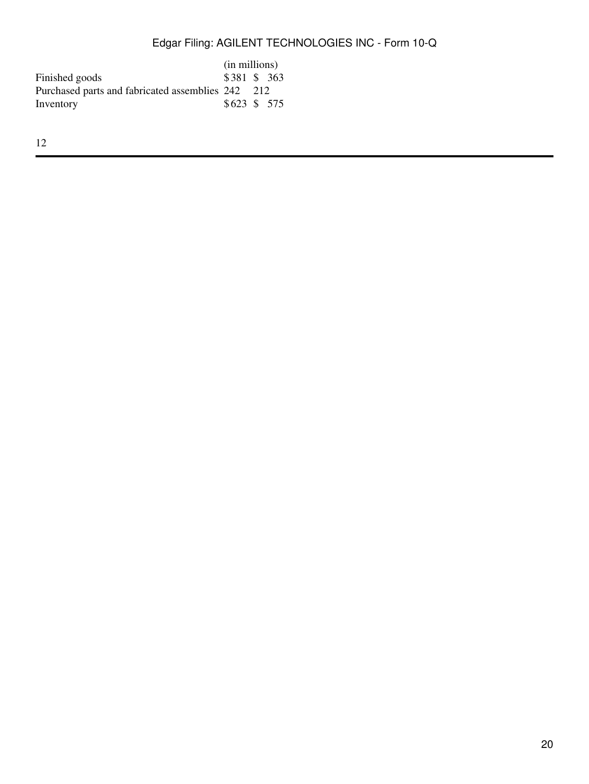|                                                   | (in millions) |  |  |
|---------------------------------------------------|---------------|--|--|
| Finished goods                                    | \$381 \$ 363  |  |  |
| Purchased parts and fabricated assemblies 242 212 |               |  |  |
| Inventory                                         | \$623 \$ 575  |  |  |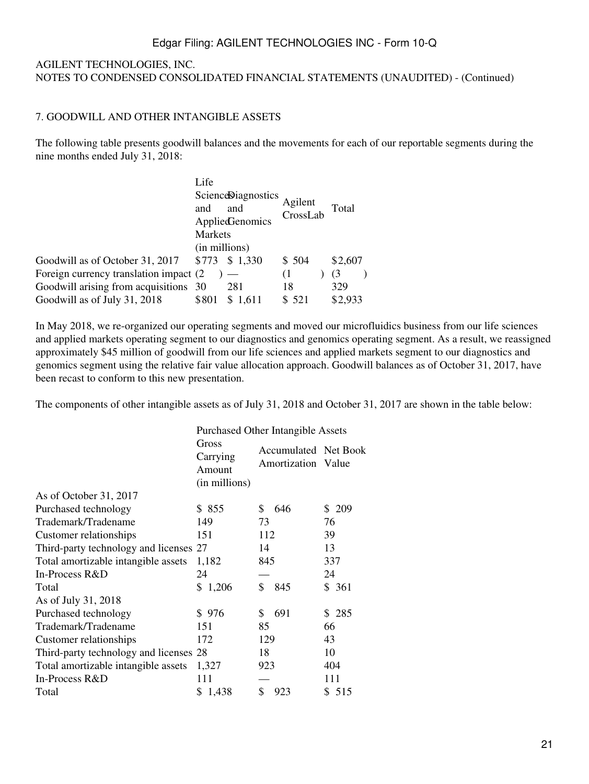### AGILENT TECHNOLOGIES, INC. NOTES TO CONDENSED CONSOLIDATED FINANCIAL STATEMENTS (UNAUDITED) - (Continued)

### 7. GOODWILL AND OTHER INTANGIBLE ASSETS

The following table presents goodwill balances and the movements for each of our reportable segments during the nine months ended July 31, 2018:

|                                         | Life           |                           |                     |         |  |
|-----------------------------------------|----------------|---------------------------|---------------------|---------|--|
|                                         |                | <b>ScienceDiagnostics</b> |                     |         |  |
|                                         | and            | and                       | Agilent<br>CrossLab | Total   |  |
|                                         |                | <b>AppliedGenomics</b>    |                     |         |  |
|                                         | <b>Markets</b> |                           |                     |         |  |
|                                         | (in millions)  |                           |                     |         |  |
| Goodwill as of October 31, 2017         | \$773          | \$1,330                   | \$504               | \$2,607 |  |
| Foreign currency translation impact (2) |                |                           | (1)                 | (3)     |  |
| Goodwill arising from acquisitions 30   |                | 281                       | 18                  | 329     |  |
| Goodwill as of July 31, 2018            | \$801          | \$1.611                   | \$521               | \$2,933 |  |

In May 2018, we re-organized our operating segments and moved our microfluidics business from our life sciences and applied markets operating segment to our diagnostics and genomics operating segment. As a result, we reassigned approximately \$45 million of goodwill from our life sciences and applied markets segment to our diagnostics and genomics segment using the relative fair value allocation approach. Goodwill balances as of October 31, 2017, have been recast to conform to this new presentation.

The components of other intangible assets as of July 31, 2018 and October 31, 2017 are shown in the table below:

|                                        | <b>Purchased Other Intangible Assets</b>     |           |                                            |  |  |  |  |  |
|----------------------------------------|----------------------------------------------|-----------|--------------------------------------------|--|--|--|--|--|
|                                        | Gross<br>Carrying<br>Amount<br>(in millions) |           | Accumulated Net Book<br>Amortization Value |  |  |  |  |  |
| As of October 31, 2017                 |                                              |           |                                            |  |  |  |  |  |
| Purchased technology                   | \$855                                        | S<br>646  | \$209                                      |  |  |  |  |  |
| Trademark/Tradename                    | 149                                          | 73        | 76                                         |  |  |  |  |  |
| Customer relationships                 | 151                                          | 112       | 39                                         |  |  |  |  |  |
| Third-party technology and licenses 27 |                                              | 14        | 13                                         |  |  |  |  |  |
| Total amortizable intangible assets    | 1,182                                        | 845       | 337                                        |  |  |  |  |  |
| In-Process R&D                         | 24                                           |           | 24                                         |  |  |  |  |  |
| Total                                  | \$1,206                                      | \$<br>845 | \$361                                      |  |  |  |  |  |
| As of July 31, 2018                    |                                              |           |                                            |  |  |  |  |  |
| Purchased technology                   | \$976                                        | 691<br>\$ | \$285                                      |  |  |  |  |  |
| Trademark/Tradename                    | 151                                          | 85        | 66                                         |  |  |  |  |  |
| Customer relationships                 | 172                                          | 129       | 43                                         |  |  |  |  |  |
| Third-party technology and licenses 28 |                                              | 18        | 10                                         |  |  |  |  |  |
| Total amortizable intangible assets    | 1,327                                        | 923       | 404                                        |  |  |  |  |  |
| In-Process R&D                         | 111                                          |           | 111                                        |  |  |  |  |  |
| Total                                  | \$1,438                                      | \$<br>923 | \$ 515                                     |  |  |  |  |  |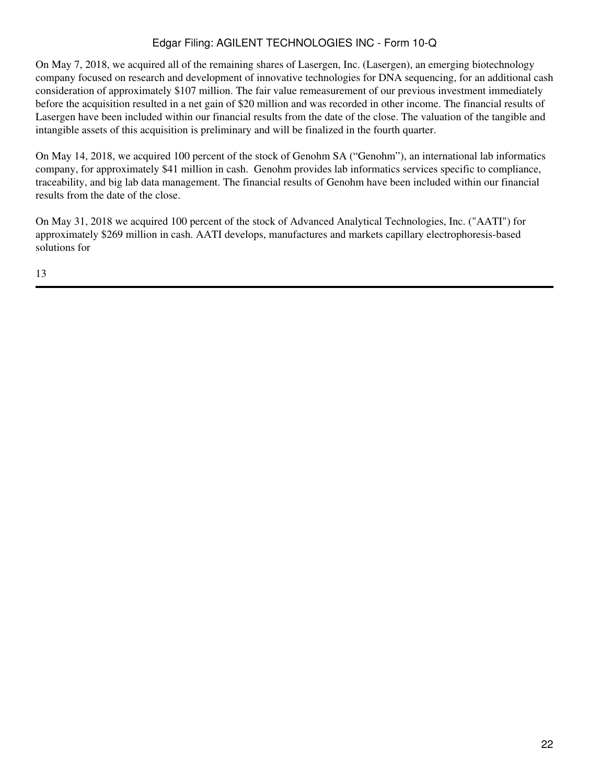On May 7, 2018, we acquired all of the remaining shares of Lasergen, Inc. (Lasergen), an emerging biotechnology company focused on research and development of innovative technologies for DNA sequencing, for an additional cash consideration of approximately \$107 million. The fair value remeasurement of our previous investment immediately before the acquisition resulted in a net gain of \$20 million and was recorded in other income. The financial results of Lasergen have been included within our financial results from the date of the close. The valuation of the tangible and intangible assets of this acquisition is preliminary and will be finalized in the fourth quarter.

On May 14, 2018, we acquired 100 percent of the stock of Genohm SA ("Genohm"), an international lab informatics company, for approximately \$41 million in cash. Genohm provides lab informatics services specific to compliance, traceability, and big lab data management. The financial results of Genohm have been included within our financial results from the date of the close.

On May 31, 2018 we acquired 100 percent of the stock of Advanced Analytical Technologies, Inc. ("AATI") for approximately \$269 million in cash. AATI develops, manufactures and markets capillary electrophoresis-based solutions for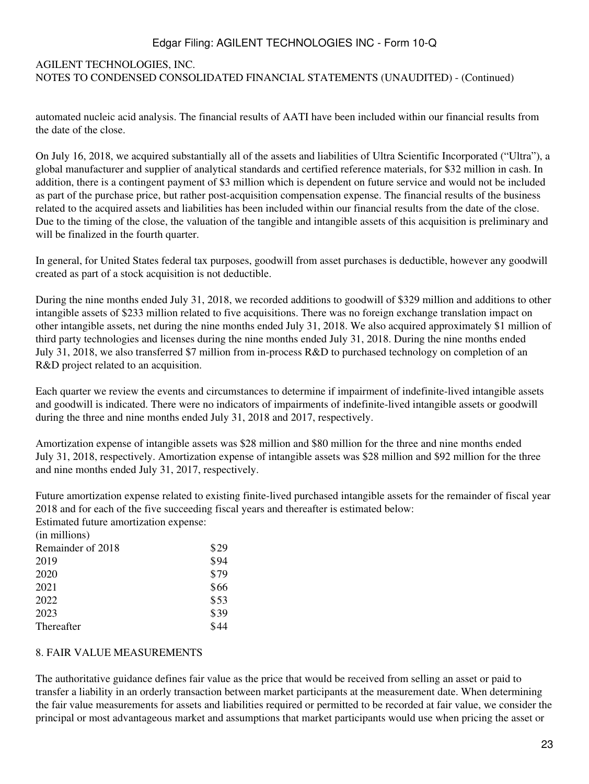## AGILENT TECHNOLOGIES, INC. NOTES TO CONDENSED CONSOLIDATED FINANCIAL STATEMENTS (UNAUDITED) - (Continued)

automated nucleic acid analysis. The financial results of AATI have been included within our financial results from the date of the close.

On July 16, 2018, we acquired substantially all of the assets and liabilities of Ultra Scientific Incorporated ("Ultra"), a global manufacturer and supplier of analytical standards and certified reference materials, for \$32 million in cash. In addition, there is a contingent payment of \$3 million which is dependent on future service and would not be included as part of the purchase price, but rather post-acquisition compensation expense. The financial results of the business related to the acquired assets and liabilities has been included within our financial results from the date of the close. Due to the timing of the close, the valuation of the tangible and intangible assets of this acquisition is preliminary and will be finalized in the fourth quarter.

In general, for United States federal tax purposes, goodwill from asset purchases is deductible, however any goodwill created as part of a stock acquisition is not deductible.

During the nine months ended July 31, 2018, we recorded additions to goodwill of \$329 million and additions to other intangible assets of \$233 million related to five acquisitions. There was no foreign exchange translation impact on other intangible assets, net during the nine months ended July 31, 2018. We also acquired approximately \$1 million of third party technologies and licenses during the nine months ended July 31, 2018. During the nine months ended July 31, 2018, we also transferred \$7 million from in-process R&D to purchased technology on completion of an R&D project related to an acquisition.

Each quarter we review the events and circumstances to determine if impairment of indefinite-lived intangible assets and goodwill is indicated. There were no indicators of impairments of indefinite-lived intangible assets or goodwill during the three and nine months ended July 31, 2018 and 2017, respectively.

Amortization expense of intangible assets was \$28 million and \$80 million for the three and nine months ended July 31, 2018, respectively. Amortization expense of intangible assets was \$28 million and \$92 million for the three and nine months ended July 31, 2017, respectively.

Future amortization expense related to existing finite-lived purchased intangible assets for the remainder of fiscal year 2018 and for each of the five succeeding fiscal years and thereafter is estimated below:

Estimated future amortization expense:

| (in millions)     |      |
|-------------------|------|
| Remainder of 2018 | \$29 |
| 2019              | \$94 |
| 2020              | \$79 |
| 2021              | \$66 |
| 2022              | \$53 |
| 2023              | \$39 |
| <b>Thereafter</b> | \$44 |
|                   |      |

### 8. FAIR VALUE MEASUREMENTS

The authoritative guidance defines fair value as the price that would be received from selling an asset or paid to transfer a liability in an orderly transaction between market participants at the measurement date. When determining the fair value measurements for assets and liabilities required or permitted to be recorded at fair value, we consider the principal or most advantageous market and assumptions that market participants would use when pricing the asset or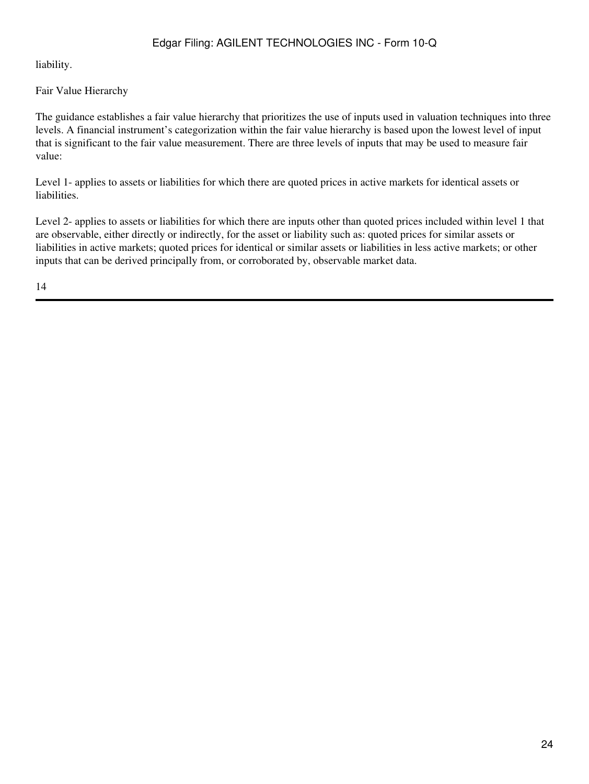liability.

### Fair Value Hierarchy

The guidance establishes a fair value hierarchy that prioritizes the use of inputs used in valuation techniques into three levels. A financial instrument's categorization within the fair value hierarchy is based upon the lowest level of input that is significant to the fair value measurement. There are three levels of inputs that may be used to measure fair value:

Level 1- applies to assets or liabilities for which there are quoted prices in active markets for identical assets or liabilities.

Level 2- applies to assets or liabilities for which there are inputs other than quoted prices included within level 1 that are observable, either directly or indirectly, for the asset or liability such as: quoted prices for similar assets or liabilities in active markets; quoted prices for identical or similar assets or liabilities in less active markets; or other inputs that can be derived principally from, or corroborated by, observable market data.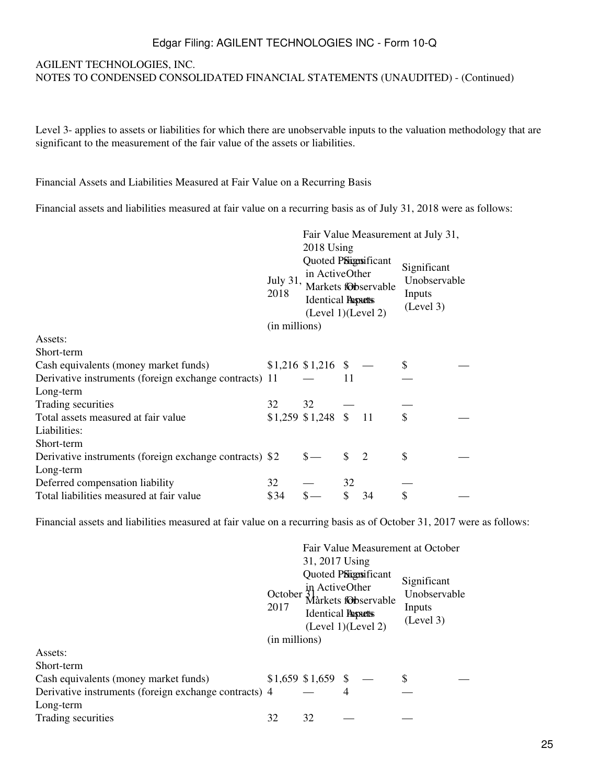#### AGILENT TECHNOLOGIES, INC.

NOTES TO CONDENSED CONSOLIDATED FINANCIAL STATEMENTS (UNAUDITED) - (Continued)

Level 3- applies to assets or liabilities for which there are unobservable inputs to the valuation methodology that are significant to the measurement of the fair value of the assets or liabilities.

Financial Assets and Liabilities Measured at Fair Value on a Recurring Basis

Financial assets and liabilities measured at fair value on a recurring basis as of July 31, 2018 were as follows:

|                                                         | Fair Value Measurement at July 31, |                                                                                                                  |     |    |                                                    |  |  |  |
|---------------------------------------------------------|------------------------------------|------------------------------------------------------------------------------------------------------------------|-----|----|----------------------------------------------------|--|--|--|
|                                                         |                                    |                                                                                                                  |     |    |                                                    |  |  |  |
|                                                         | July 31,<br>2018                   | Quoted PSignsificant<br>in ActiveOther<br>Markets fObservable<br><b>Identical Passetts</b><br>(Level 1)(Level 2) |     |    | Significant<br>Unobservable<br>Inputs<br>(Level 3) |  |  |  |
| Assets:                                                 | (in millions)                      |                                                                                                                  |     |    |                                                    |  |  |  |
| Short-term                                              |                                    |                                                                                                                  |     |    |                                                    |  |  |  |
| Cash equivalents (money market funds)                   |                                    | $$1,216$ $$1,216$ $$$                                                                                            |     |    |                                                    |  |  |  |
| Derivative instruments (foreign exchange contracts) 11  |                                    |                                                                                                                  | 11  |    |                                                    |  |  |  |
| Long-term                                               |                                    |                                                                                                                  |     |    |                                                    |  |  |  |
| Trading securities                                      | 32                                 | 32                                                                                                               |     |    |                                                    |  |  |  |
| Total assets measured at fair value                     |                                    | $$1,259$ $$1,248$ $$11$                                                                                          |     |    | \$                                                 |  |  |  |
| Liabilities:                                            |                                    |                                                                                                                  |     |    |                                                    |  |  |  |
| Short-term                                              |                                    |                                                                                                                  |     |    |                                                    |  |  |  |
| Derivative instruments (foreign exchange contracts) \$2 |                                    |                                                                                                                  | \$. | 2  | \$                                                 |  |  |  |
| Long-term                                               |                                    |                                                                                                                  |     |    |                                                    |  |  |  |
| Deferred compensation liability                         | 32                                 |                                                                                                                  | 32  |    |                                                    |  |  |  |
| Total liabilities measured at fair value                | \$34                               |                                                                                                                  | \$  | 34 | \$                                                 |  |  |  |

Financial assets and liabilities measured at fair value on a recurring basis as of October 31, 2017 were as follows:

|                                                       |                 |                                                                                           |   |                     | Fair Value Measurement at October                  |  |
|-------------------------------------------------------|-----------------|-------------------------------------------------------------------------------------------|---|---------------------|----------------------------------------------------|--|
|                                                       |                 | 31, 2017 Using                                                                            |   |                     |                                                    |  |
|                                                       | October<br>2017 | Quoted PSignsificant<br>in ActiveOther<br><b>Identical Passetts</b><br>(Level 1)(Level 2) |   | Mårkets fobservable | Significant<br>Unobservable<br>Inputs<br>(Level 3) |  |
|                                                       | (in millions)   |                                                                                           |   |                     |                                                    |  |
| Assets:                                               |                 |                                                                                           |   |                     |                                                    |  |
| Short-term                                            |                 |                                                                                           |   |                     |                                                    |  |
| Cash equivalents (money market funds)                 |                 | $$1,659$ \$1,659 \$                                                                       |   |                     |                                                    |  |
| Derivative instruments (foreign exchange contracts) 4 |                 |                                                                                           | 4 |                     |                                                    |  |
| Long-term                                             |                 |                                                                                           |   |                     |                                                    |  |
| Trading securities                                    | 32              | 32                                                                                        |   |                     |                                                    |  |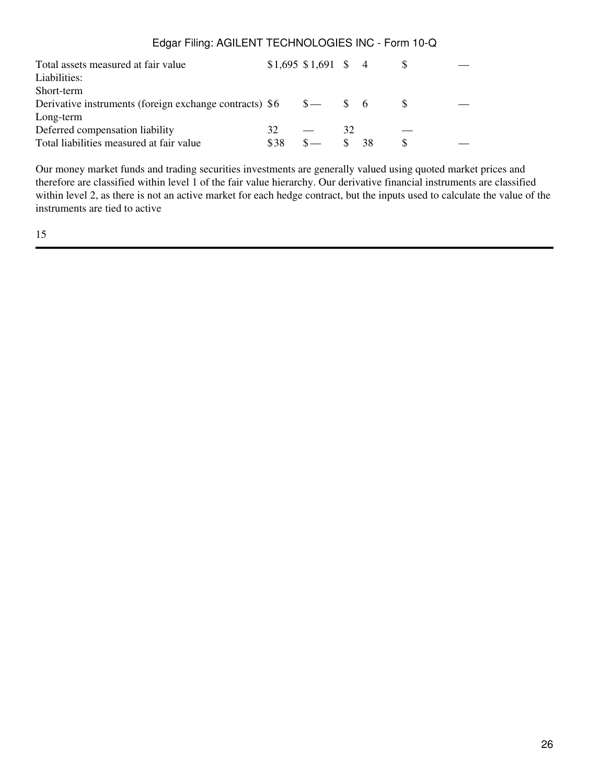| 32   |      | 32                                                               |    |                              |  |
|------|------|------------------------------------------------------------------|----|------------------------------|--|
| \$38 | $S-$ |                                                                  | 38 | S                            |  |
|      |      | Derivative instruments (foreign exchange contracts) $$6 \quad $$ |    | $$1,695$ \$1,691 \$ 4<br>S 6 |  |

Our money market funds and trading securities investments are generally valued using quoted market prices and therefore are classified within level 1 of the fair value hierarchy. Our derivative financial instruments are classified within level 2, as there is not an active market for each hedge contract, but the inputs used to calculate the value of the instruments are tied to active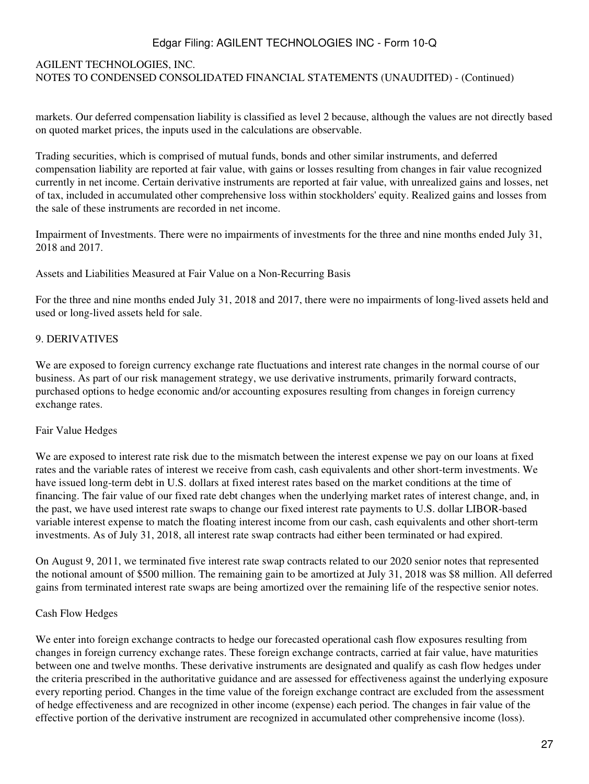#### AGILENT TECHNOLOGIES, INC.

NOTES TO CONDENSED CONSOLIDATED FINANCIAL STATEMENTS (UNAUDITED) - (Continued)

markets. Our deferred compensation liability is classified as level 2 because, although the values are not directly based on quoted market prices, the inputs used in the calculations are observable.

Trading securities, which is comprised of mutual funds, bonds and other similar instruments, and deferred compensation liability are reported at fair value, with gains or losses resulting from changes in fair value recognized currently in net income. Certain derivative instruments are reported at fair value, with unrealized gains and losses, net of tax, included in accumulated other comprehensive loss within stockholders' equity. Realized gains and losses from the sale of these instruments are recorded in net income.

Impairment of Investments. There were no impairments of investments for the three and nine months ended July 31, 2018 and 2017.

Assets and Liabilities Measured at Fair Value on a Non-Recurring Basis

For the three and nine months ended July 31, 2018 and 2017, there were no impairments of long-lived assets held and used or long-lived assets held for sale.

#### 9. DERIVATIVES

We are exposed to foreign currency exchange rate fluctuations and interest rate changes in the normal course of our business. As part of our risk management strategy, we use derivative instruments, primarily forward contracts, purchased options to hedge economic and/or accounting exposures resulting from changes in foreign currency exchange rates.

#### Fair Value Hedges

We are exposed to interest rate risk due to the mismatch between the interest expense we pay on our loans at fixed rates and the variable rates of interest we receive from cash, cash equivalents and other short-term investments. We have issued long-term debt in U.S. dollars at fixed interest rates based on the market conditions at the time of financing. The fair value of our fixed rate debt changes when the underlying market rates of interest change, and, in the past, we have used interest rate swaps to change our fixed interest rate payments to U.S. dollar LIBOR-based variable interest expense to match the floating interest income from our cash, cash equivalents and other short-term investments. As of July 31, 2018, all interest rate swap contracts had either been terminated or had expired.

On August 9, 2011, we terminated five interest rate swap contracts related to our 2020 senior notes that represented the notional amount of \$500 million. The remaining gain to be amortized at July 31, 2018 was \$8 million. All deferred gains from terminated interest rate swaps are being amortized over the remaining life of the respective senior notes.

#### Cash Flow Hedges

We enter into foreign exchange contracts to hedge our forecasted operational cash flow exposures resulting from changes in foreign currency exchange rates. These foreign exchange contracts, carried at fair value, have maturities between one and twelve months. These derivative instruments are designated and qualify as cash flow hedges under the criteria prescribed in the authoritative guidance and are assessed for effectiveness against the underlying exposure every reporting period. Changes in the time value of the foreign exchange contract are excluded from the assessment of hedge effectiveness and are recognized in other income (expense) each period. The changes in fair value of the effective portion of the derivative instrument are recognized in accumulated other comprehensive income (loss).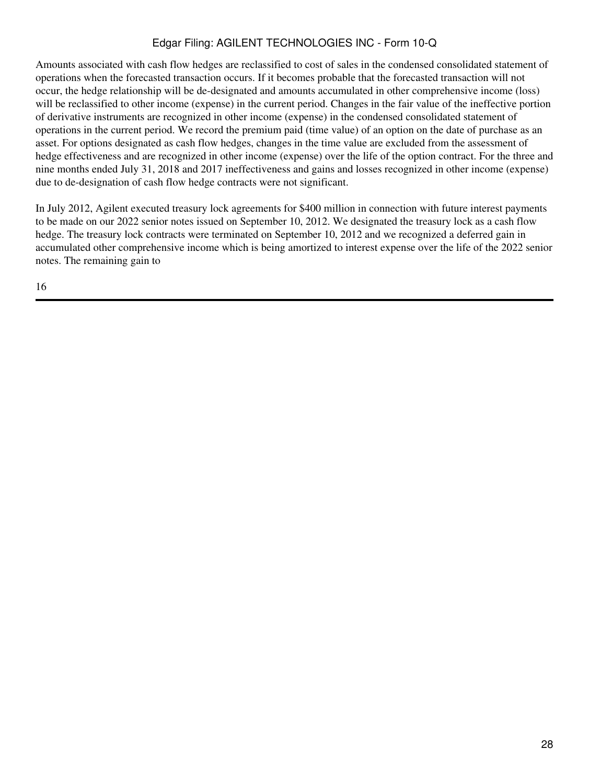Amounts associated with cash flow hedges are reclassified to cost of sales in the condensed consolidated statement of operations when the forecasted transaction occurs. If it becomes probable that the forecasted transaction will not occur, the hedge relationship will be de-designated and amounts accumulated in other comprehensive income (loss) will be reclassified to other income (expense) in the current period. Changes in the fair value of the ineffective portion of derivative instruments are recognized in other income (expense) in the condensed consolidated statement of operations in the current period. We record the premium paid (time value) of an option on the date of purchase as an asset. For options designated as cash flow hedges, changes in the time value are excluded from the assessment of hedge effectiveness and are recognized in other income (expense) over the life of the option contract. For the three and nine months ended July 31, 2018 and 2017 ineffectiveness and gains and losses recognized in other income (expense) due to de-designation of cash flow hedge contracts were not significant.

In July 2012, Agilent executed treasury lock agreements for \$400 million in connection with future interest payments to be made on our 2022 senior notes issued on September 10, 2012. We designated the treasury lock as a cash flow hedge. The treasury lock contracts were terminated on September 10, 2012 and we recognized a deferred gain in accumulated other comprehensive income which is being amortized to interest expense over the life of the 2022 senior notes. The remaining gain to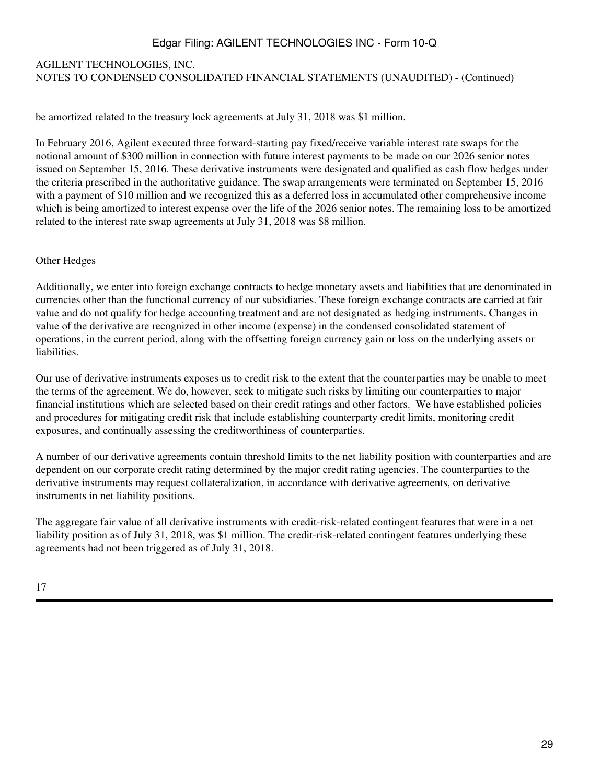# AGILENT TECHNOLOGIES, INC. NOTES TO CONDENSED CONSOLIDATED FINANCIAL STATEMENTS (UNAUDITED) - (Continued)

be amortized related to the treasury lock agreements at July 31, 2018 was \$1 million.

In February 2016, Agilent executed three forward-starting pay fixed/receive variable interest rate swaps for the notional amount of \$300 million in connection with future interest payments to be made on our 2026 senior notes issued on September 15, 2016. These derivative instruments were designated and qualified as cash flow hedges under the criteria prescribed in the authoritative guidance. The swap arrangements were terminated on September 15, 2016 with a payment of \$10 million and we recognized this as a deferred loss in accumulated other comprehensive income which is being amortized to interest expense over the life of the 2026 senior notes. The remaining loss to be amortized related to the interest rate swap agreements at July 31, 2018 was \$8 million.

#### Other Hedges

Additionally, we enter into foreign exchange contracts to hedge monetary assets and liabilities that are denominated in currencies other than the functional currency of our subsidiaries. These foreign exchange contracts are carried at fair value and do not qualify for hedge accounting treatment and are not designated as hedging instruments. Changes in value of the derivative are recognized in other income (expense) in the condensed consolidated statement of operations, in the current period, along with the offsetting foreign currency gain or loss on the underlying assets or liabilities.

Our use of derivative instruments exposes us to credit risk to the extent that the counterparties may be unable to meet the terms of the agreement. We do, however, seek to mitigate such risks by limiting our counterparties to major financial institutions which are selected based on their credit ratings and other factors. We have established policies and procedures for mitigating credit risk that include establishing counterparty credit limits, monitoring credit exposures, and continually assessing the creditworthiness of counterparties.

A number of our derivative agreements contain threshold limits to the net liability position with counterparties and are dependent on our corporate credit rating determined by the major credit rating agencies. The counterparties to the derivative instruments may request collateralization, in accordance with derivative agreements, on derivative instruments in net liability positions.

The aggregate fair value of all derivative instruments with credit-risk-related contingent features that were in a net liability position as of July 31, 2018, was \$1 million. The credit-risk-related contingent features underlying these agreements had not been triggered as of July 31, 2018.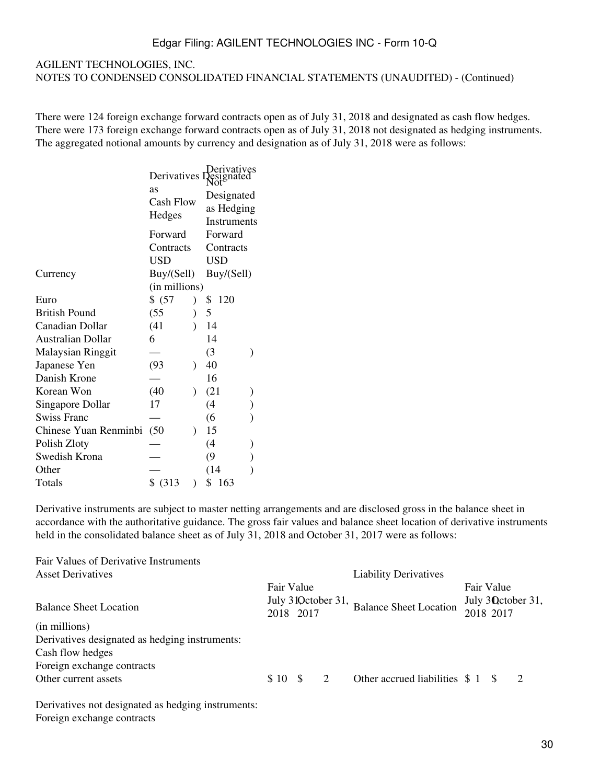#### AGILENT TECHNOLOGIES, INC. NOTES TO CONDENSED CONSOLIDATED FINANCIAL STATEMENTS (UNAUDITED) - (Continued)

There were 124 foreign exchange forward contracts open as of July 31, 2018 and designated as cash flow hedges. There were 173 foreign exchange forward contracts open as of July 31, 2018 not designated as hedging instruments. The aggregated notional amounts by currency and designation as of July 31, 2018 were as follows:

|                          | Derivatives<br>as<br>Cash Flow<br>Hedges | Derivatives<br>Pesignated<br>Designated<br>as Hedging<br>Instruments |  |  |  |  |
|--------------------------|------------------------------------------|----------------------------------------------------------------------|--|--|--|--|
|                          | Forward                                  | Forward                                                              |  |  |  |  |
|                          | Contracts                                | Contracts                                                            |  |  |  |  |
|                          | <b>USD</b>                               | <b>USD</b>                                                           |  |  |  |  |
| Currency                 | Buy/(Sell)                               | Buy/(Sell)                                                           |  |  |  |  |
|                          | (in millions)                            |                                                                      |  |  |  |  |
| Euro                     | \$ (57)                                  | 120<br>\$                                                            |  |  |  |  |
| <b>British Pound</b>     | (55)                                     | 5                                                                    |  |  |  |  |
| Canadian Dollar          | (41)                                     | 14                                                                   |  |  |  |  |
| <b>Australian Dollar</b> | 6                                        | 14                                                                   |  |  |  |  |
| Malaysian Ringgit        |                                          | (3)                                                                  |  |  |  |  |
| Japanese Yen             | (93)<br>$\lambda$                        | 40                                                                   |  |  |  |  |
| Danish Krone             |                                          | 16                                                                   |  |  |  |  |
| Korean Won               | (40)<br>$\lambda$                        | (21)                                                                 |  |  |  |  |
| Singapore Dollar         | 17                                       | (4)                                                                  |  |  |  |  |
| <b>Swiss Franc</b>       |                                          | (6)                                                                  |  |  |  |  |
| Chinese Yuan Renminbi    | (50)<br>$\lambda$                        | 15                                                                   |  |  |  |  |
| Polish Zloty             |                                          | (4)                                                                  |  |  |  |  |
| Swedish Krona            |                                          | (9)                                                                  |  |  |  |  |
| Other                    |                                          | (14)                                                                 |  |  |  |  |
| Totals                   | \$ (313)                                 | \$<br>163                                                            |  |  |  |  |

Derivative instruments are subject to master netting arrangements and are disclosed gross in the balance sheet in accordance with the authoritative guidance. The gross fair values and balance sheet location of derivative instruments held in the consolidated balance sheet as of July 31, 2018 and October 31, 2017 were as follows:

| Fair Values of Derivative Instruments          |            |                      |                               |            |                    |
|------------------------------------------------|------------|----------------------|-------------------------------|------------|--------------------|
| <b>Asset Derivatives</b>                       |            |                      | <b>Liability Derivatives</b>  |            |                    |
|                                                | Fair Value | July 31 Q ctober 31, |                               | Fair Value | July 30 ctober 31, |
| <b>Balance Sheet Location</b>                  | 2018 2017  |                      | <b>Balance Sheet Location</b> | 2018 2017  |                    |
| (in millions)                                  |            |                      |                               |            |                    |
| Derivatives designated as hedging instruments: |            |                      |                               |            |                    |
| Cash flow hedges                               |            |                      |                               |            |                    |
| Foreign exchange contracts                     |            |                      |                               |            |                    |
| Other current assets                           | \$10S      | 2                    |                               |            | $\overline{2}$     |

Derivatives not designated as hedging instruments: Foreign exchange contracts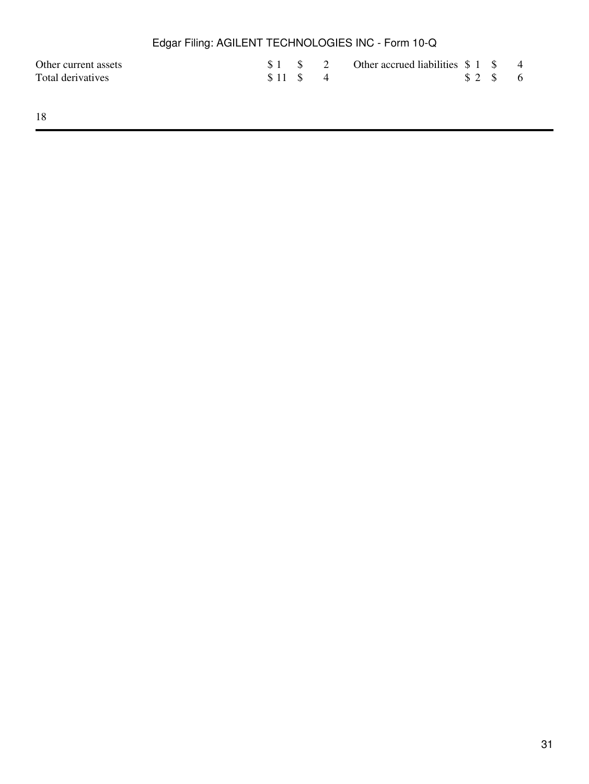|                                           | Edgar Filing: AGILENT TECHNOLOGIES INC - Form 10-Q |  |             |                                                  |  |                                             |  |
|-------------------------------------------|----------------------------------------------------|--|-------------|--------------------------------------------------|--|---------------------------------------------|--|
| Other current assets<br>Total derivatives |                                                    |  | $$11 \tS 4$ | $$1 \t$ 2 \t Other accrued liabilities $1 \t$ 4$ |  | $\frac{1}{2}$ $\frac{1}{2}$ $\frac{1}{2}$ 6 |  |
|                                           |                                                    |  |             |                                                  |  |                                             |  |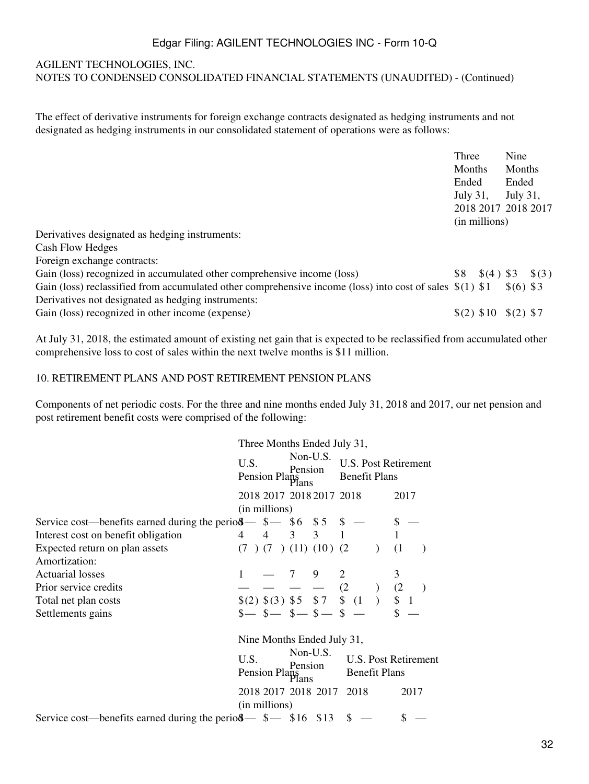#### AGILENT TECHNOLOGIES, INC.

NOTES TO CONDENSED CONSOLIDATED FINANCIAL STATEMENTS (UNAUDITED) - (Continued)

The effect of derivative instruments for foreign exchange contracts designated as hedging instruments and not designated as hedging instruments in our consolidated statement of operations were as follows:

| Three         | Nine                |  |  |  |  |  |
|---------------|---------------------|--|--|--|--|--|
| Months        | Months              |  |  |  |  |  |
| Ended         | Ended               |  |  |  |  |  |
| July 31,      | July 31,            |  |  |  |  |  |
|               | 2018 2017 2018 2017 |  |  |  |  |  |
| (in millions) |                     |  |  |  |  |  |

Derivatives designated as hedging instruments:

Cash Flow Hedges

Foreign exchange contracts:

| Gain (loss) recognized in accumulated other comprehensive income (loss)                                    | $$8 \quad $(4) $3 \quad $(3)$ |            |  |
|------------------------------------------------------------------------------------------------------------|-------------------------------|------------|--|
| Gain (loss) reclassified from accumulated other comprehensive income (loss) into cost of sales $\S(1)$ \$1 |                               | $$(6)$ \$3 |  |
| Derivatives not designated as hedging instruments:                                                         |                               |            |  |
| Gain (loss) recognized in other income (expense)                                                           | $\{(2)$ \$10 \ \$(2) \$7      |            |  |

At July 31, 2018, the estimated amount of existing net gain that is expected to be reclassified from accumulated other comprehensive loss to cost of sales within the next twelve months is \$11 million.

#### 10. RETIREMENT PLANS AND POST RETIREMENT PENSION PLANS

Components of net periodic costs. For the three and nine months ended July 31, 2018 and 2017, our net pension and post retirement benefit costs were comprised of the following:

|                                                                                                                             | Three Months Ended July 31,                  |               |                     |                                                                                        |                                                     |  |  |                             |  |
|-----------------------------------------------------------------------------------------------------------------------------|----------------------------------------------|---------------|---------------------|----------------------------------------------------------------------------------------|-----------------------------------------------------|--|--|-----------------------------|--|
|                                                                                                                             | U.S.<br>Pension Plans                        |               | Non-U.S.<br>Pension |                                                                                        | <b>Benefit Plans</b>                                |  |  | <b>U.S. Post Retirement</b> |  |
|                                                                                                                             |                                              |               |                     | 2018 2017 2018 2017 2018                                                               |                                                     |  |  | 2017                        |  |
|                                                                                                                             |                                              | (in millions) |                     |                                                                                        |                                                     |  |  |                             |  |
| Service cost—benefits earned during the perio $\frac{3}{4}$ = \$6 \$5 \$ —<br>Interest cost on benefit obligation 4 4 3 3 1 |                                              |               |                     |                                                                                        |                                                     |  |  |                             |  |
| Interest cost on benefit obligation                                                                                         |                                              |               |                     |                                                                                        |                                                     |  |  |                             |  |
| Expected return on plan assets                                                                                              |                                              |               |                     | $(7)$ $(7)$ $(11)$ $(10)$ $(2)$                                                        |                                                     |  |  | (1)                         |  |
| Amortization:                                                                                                               |                                              |               |                     |                                                                                        |                                                     |  |  |                             |  |
| <b>Actuarial losses</b>                                                                                                     |                                              |               | 7                   | 9                                                                                      |                                                     |  |  | 3                           |  |
| Prior service credits                                                                                                       |                                              |               |                     |                                                                                        |                                                     |  |  |                             |  |
| Total net plan costs                                                                                                        |                                              |               |                     | $\frac{1}{\$(2) \ \$(3) \ \$5} \frac{1}{\$5} \frac{1}{\$7} \frac{1}{\$} \frac{2}{\$1}$ |                                                     |  |  |                             |  |
| Settlements gains                                                                                                           |                                              |               |                     | $s - s - s - s - s$                                                                    |                                                     |  |  |                             |  |
|                                                                                                                             |                                              |               |                     | Nine Months Ended July 31,                                                             |                                                     |  |  |                             |  |
|                                                                                                                             | Non-U.S.<br>U.S.<br>Pension<br>Pension Plans |               |                     |                                                                                        | <b>U.S. Post Retirement</b><br><b>Benefit Plans</b> |  |  |                             |  |
|                                                                                                                             |                                              | (in millions) |                     | 2018 2017 2018 2017 2018                                                               |                                                     |  |  | 2017                        |  |
| Service cost—benefits earned during the perio $\delta$ — \$— \$16 \$13                                                      |                                              |               |                     |                                                                                        | $\mathbb{S}$                                        |  |  |                             |  |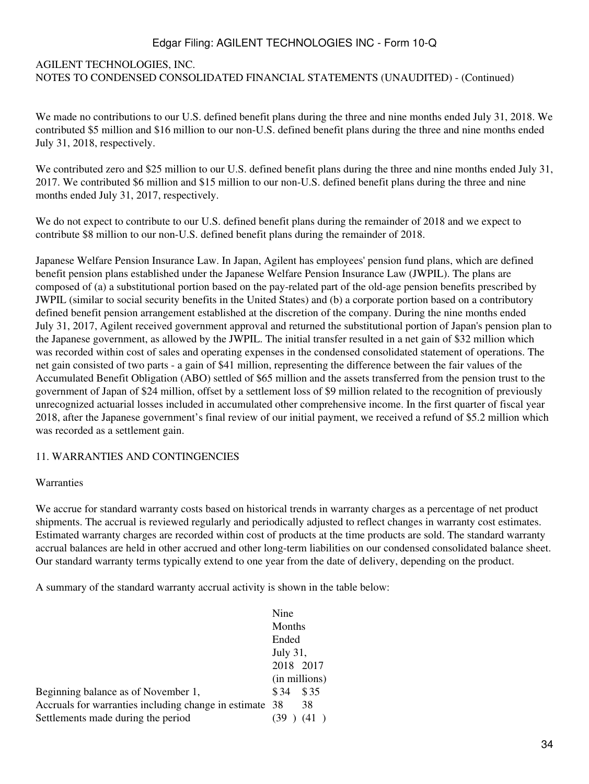# AGILENT TECHNOLOGIES, INC. NOTES TO CONDENSED CONSOLIDATED FINANCIAL STATEMENTS (UNAUDITED) - (Continued)

We made no contributions to our U.S. defined benefit plans during the three and nine months ended July 31, 2018. We contributed \$5 million and \$16 million to our non-U.S. defined benefit plans during the three and nine months ended July 31, 2018, respectively.

We contributed zero and \$25 million to our U.S. defined benefit plans during the three and nine months ended July 31, 2017. We contributed \$6 million and \$15 million to our non-U.S. defined benefit plans during the three and nine months ended July 31, 2017, respectively.

We do not expect to contribute to our U.S. defined benefit plans during the remainder of 2018 and we expect to contribute \$8 million to our non-U.S. defined benefit plans during the remainder of 2018.

Japanese Welfare Pension Insurance Law. In Japan, Agilent has employees' pension fund plans, which are defined benefit pension plans established under the Japanese Welfare Pension Insurance Law (JWPIL). The plans are composed of (a) a substitutional portion based on the pay-related part of the old-age pension benefits prescribed by JWPIL (similar to social security benefits in the United States) and (b) a corporate portion based on a contributory defined benefit pension arrangement established at the discretion of the company. During the nine months ended July 31, 2017, Agilent received government approval and returned the substitutional portion of Japan's pension plan to the Japanese government, as allowed by the JWPIL. The initial transfer resulted in a net gain of \$32 million which was recorded within cost of sales and operating expenses in the condensed consolidated statement of operations. The net gain consisted of two parts - a gain of \$41 million, representing the difference between the fair values of the Accumulated Benefit Obligation (ABO) settled of \$65 million and the assets transferred from the pension trust to the government of Japan of \$24 million, offset by a settlement loss of \$9 million related to the recognition of previously unrecognized actuarial losses included in accumulated other comprehensive income. In the first quarter of fiscal year 2018, after the Japanese government's final review of our initial payment, we received a refund of \$5.2 million which was recorded as a settlement gain.

### 11. WARRANTIES AND CONTINGENCIES

#### Warranties

We accrue for standard warranty costs based on historical trends in warranty charges as a percentage of net product shipments. The accrual is reviewed regularly and periodically adjusted to reflect changes in warranty cost estimates. Estimated warranty charges are recorded within cost of products at the time products are sold. The standard warranty accrual balances are held in other accrued and other long-term liabilities on our condensed consolidated balance sheet. Our standard warranty terms typically extend to one year from the date of delivery, depending on the product.

A summary of the standard warranty accrual activity is shown in the table below:

|                                                         | Nine              |  |  |
|---------------------------------------------------------|-------------------|--|--|
|                                                         | Months            |  |  |
|                                                         | Ended<br>July 31, |  |  |
|                                                         |                   |  |  |
|                                                         | 2018 2017         |  |  |
|                                                         | (in millions)     |  |  |
| Beginning balance as of November 1,                     | \$35<br>\$ 34     |  |  |
| Accruals for warranties including change in estimate 38 | 38                |  |  |
| Settlements made during the period                      |                   |  |  |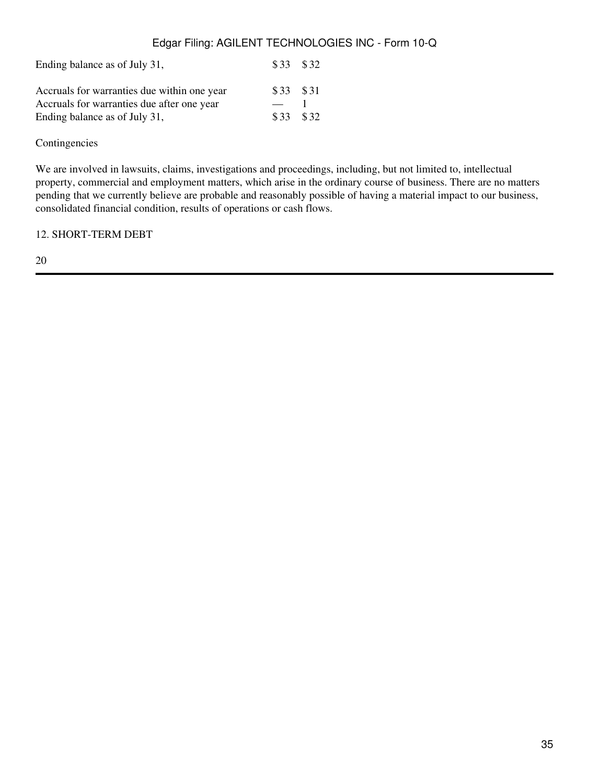| Ending balance as of July 31,               | $$33$ $$32$ |  |  |
|---------------------------------------------|-------------|--|--|
| Accruals for warranties due within one year | \$33 \$31   |  |  |
| Accruals for warranties due after one year  |             |  |  |
| Ending balance as of July 31,               | \$33 \$32   |  |  |

Contingencies

We are involved in lawsuits, claims, investigations and proceedings, including, but not limited to, intellectual property, commercial and employment matters, which arise in the ordinary course of business. There are no matters pending that we currently believe are probable and reasonably possible of having a material impact to our business, consolidated financial condition, results of operations or cash flows.

12. SHORT-TERM DEBT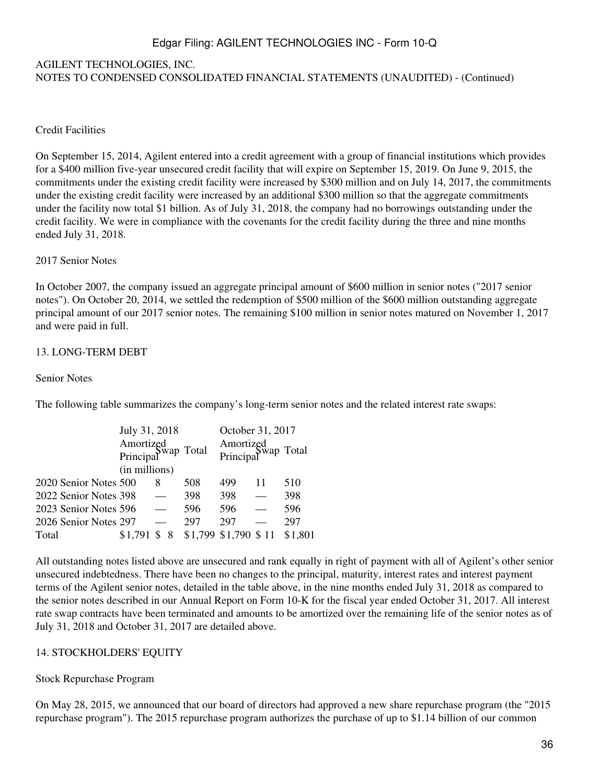### AGILENT TECHNOLOGIES, INC. NOTES TO CONDENSED CONSOLIDATED FINANCIAL STATEMENTS (UNAUDITED) - (Continued)

#### Credit Facilities

On September 15, 2014, Agilent entered into a credit agreement with a group of financial institutions which provides for a \$400 million five-year unsecured credit facility that will expire on September 15, 2019. On June 9, 2015, the commitments under the existing credit facility were increased by \$300 million and on July 14, 2017, the commitments under the existing credit facility were increased by an additional \$300 million so that the aggregate commitments under the facility now total \$1 billion. As of July 31, 2018, the company had no borrowings outstanding under the credit facility. We were in compliance with the covenants for the credit facility during the three and nine months ended July 31, 2018.

#### 2017 Senior Notes

In October 2007, the company issued an aggregate principal amount of \$600 million in senior notes ("2017 senior notes"). On October 20, 2014, we settled the redemption of \$500 million of the \$600 million outstanding aggregate principal amount of our 2017 senior notes. The remaining \$100 million in senior notes matured on November 1, 2017 and were paid in full.

#### 13. LONG-TERM DEBT

#### Senior Notes

The following table summarizes the company's long-term senior notes and the related interest rate swaps:

|                       | July 31, 2018<br>Amortized<br>Principal Wap Total |         |     | October 31, 2017<br>Amortized<br>Principal Total |  |         |
|-----------------------|---------------------------------------------------|---------|-----|--------------------------------------------------|--|---------|
|                       | (in millions)                                     |         |     |                                                  |  |         |
| 2020 Senior Notes 500 |                                                   | 8       | 508 | 499                                              |  | 510     |
| 2022 Senior Notes 398 |                                                   |         | 398 | 398                                              |  | 398     |
| 2023 Senior Notes 596 |                                                   |         | 596 | 596                                              |  | 596     |
| 2026 Senior Notes 297 |                                                   |         | 297 | 297                                              |  | 297     |
| Total                 | \$1.791                                           | ς<br>-8 |     | \$1,799 \$1,790 \$11                             |  | \$1,801 |

All outstanding notes listed above are unsecured and rank equally in right of payment with all of Agilent's other senior unsecured indebtedness. There have been no changes to the principal, maturity, interest rates and interest payment terms of the Agilent senior notes, detailed in the table above, in the nine months ended July 31, 2018 as compared to the senior notes described in our Annual Report on Form 10-K for the fiscal year ended October 31, 2017. All interest rate swap contracts have been terminated and amounts to be amortized over the remaining life of the senior notes as of July 31, 2018 and October 31, 2017 are detailed above.

#### 14. STOCKHOLDERS' EQUITY

#### Stock Repurchase Program

On May 28, 2015, we announced that our board of directors had approved a new share repurchase program (the "2015 repurchase program"). The 2015 repurchase program authorizes the purchase of up to \$1.14 billion of our common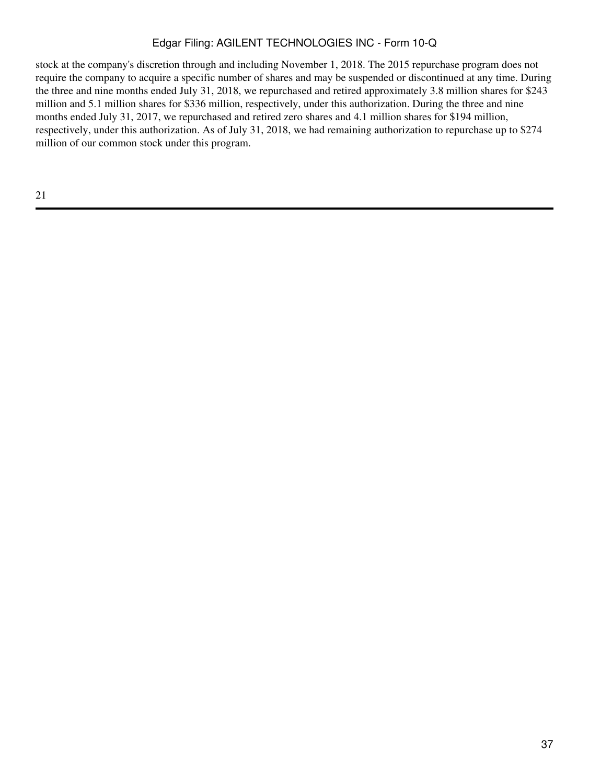stock at the company's discretion through and including November 1, 2018. The 2015 repurchase program does not require the company to acquire a specific number of shares and may be suspended or discontinued at any time. During the three and nine months ended July 31, 2018, we repurchased and retired approximately 3.8 million shares for \$243 million and 5.1 million shares for \$336 million, respectively, under this authorization. During the three and nine months ended July 31, 2017, we repurchased and retired zero shares and 4.1 million shares for \$194 million, respectively, under this authorization. As of July 31, 2018, we had remaining authorization to repurchase up to \$274 million of our common stock under this program.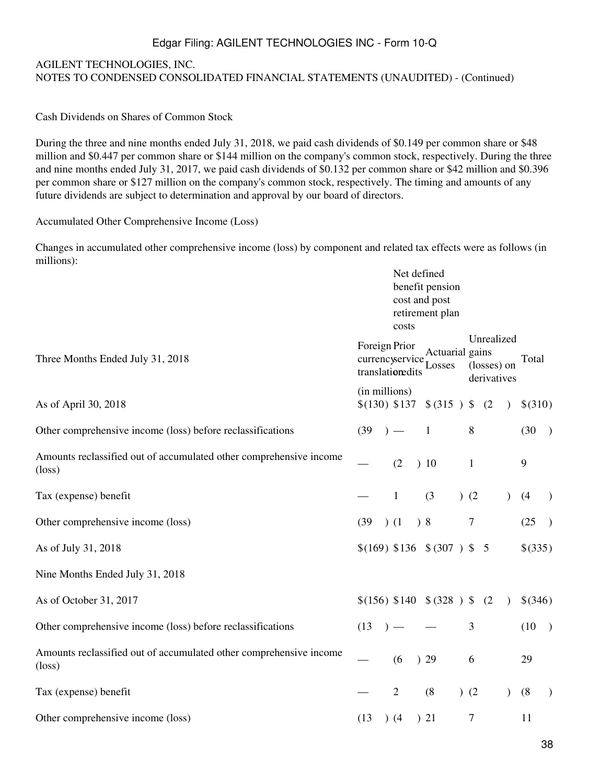# AGILENT TECHNOLOGIES, INC. NOTES TO CONDENSED CONSOLIDATED FINANCIAL STATEMENTS (UNAUDITED) - (Continued)

Cash Dividends on Shares of Common Stock

During the three and nine months ended July 31, 2018, we paid cash dividends of \$0.149 per common share or \$48 million and \$0.447 per common share or \$144 million on the company's common stock, respectively. During the three and nine months ended July 31, 2017, we paid cash dividends of \$0.132 per common share or \$42 million and \$0.396 per common share or \$127 million on the company's common stock, respectively. The timing and amounts of any future dividends are subject to determination and approval by our board of directors.

Accumulated Other Comprehensive Income (Loss)

Changes in accumulated other comprehensive income (loss) by component and related tax effects were as follows (in millions):

|                                                                                       | Net defined<br>benefit pension<br>cost and post<br>retirement plan<br>costs                                                            |
|---------------------------------------------------------------------------------------|----------------------------------------------------------------------------------------------------------------------------------------|
| Three Months Ended July 31, 2018                                                      | Unrealized<br>Foreign Prior<br>Actuarial gains<br>Total<br>currencyservice<br>(losses) on<br>Losses<br>translationedits<br>derivatives |
| As of April 30, 2018                                                                  | (in millions)<br>\$(130) \$137<br>$$ (315 )$ \$<br>(2)<br>\$(310)<br>$\lambda$                                                         |
| Other comprehensive income (loss) before reclassifications                            | 8<br>(30)<br>(39)<br>$\mathbf{1}$<br>$\big)$<br>$)$ —                                                                                  |
| Amounts reclassified out of accumulated other comprehensive income<br>$(\text{loss})$ | 9<br>(2)<br>10<br>$\mathbf{1}$                                                                                                         |
| Tax (expense) benefit                                                                 | (3)<br>(2)<br>(4)<br>1<br>$\mathcal{L}$<br>$\mathcal{L}$                                                                               |
| Other comprehensive income (loss)                                                     | $\boldsymbol{7}$<br>8 <sup>o</sup><br>(25)<br>(39)<br>(1)<br>$\big)$                                                                   |
| As of July 31, 2018                                                                   | \$(169) \$136 \$ (\$307) \$ \$ 5<br>\$(335)                                                                                            |
| Nine Months Ended July 31, 2018                                                       |                                                                                                                                        |
| As of October 31, 2017                                                                | \$(156) \$140 \$ (\$328) \$<br>\$(346)<br>(2)<br>$\lambda$                                                                             |
| Other comprehensive income (loss) before reclassifications                            | 3<br>(13)<br>(10)<br>$\big)$                                                                                                           |
| Amounts reclassified out of accumulated other comprehensive income<br>$(\text{loss})$ | (6)<br>)29<br>29<br>6                                                                                                                  |
| Tax (expense) benefit                                                                 | (8)<br>$\overline{2}$<br>)(2)<br>(8)<br>$\mathcal{L}$<br>$\mathcal{L}$                                                                 |
| Other comprehensive income (loss)                                                     | $\tau$<br>(13)<br>(4)<br>)21<br>11                                                                                                     |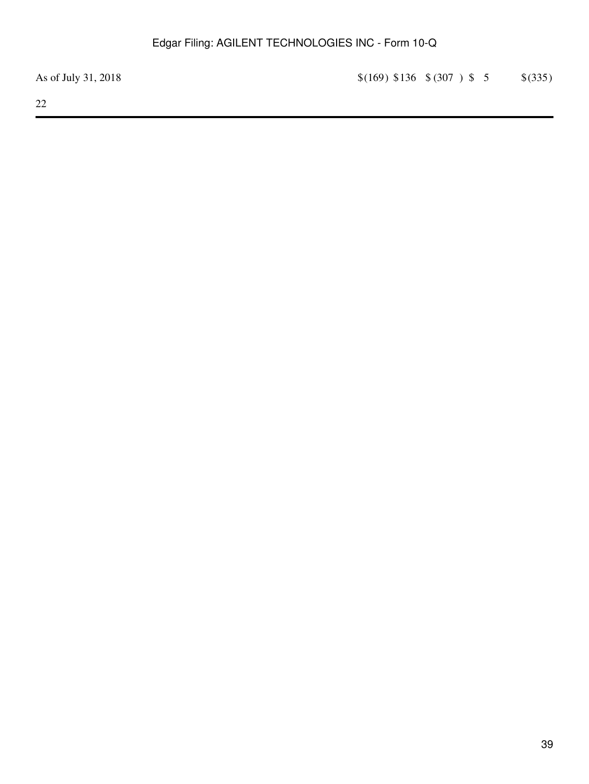As of July 31, 2018 <br>  $\{(169) \$136 \ \$(307) \$ 5 \$  \$(335)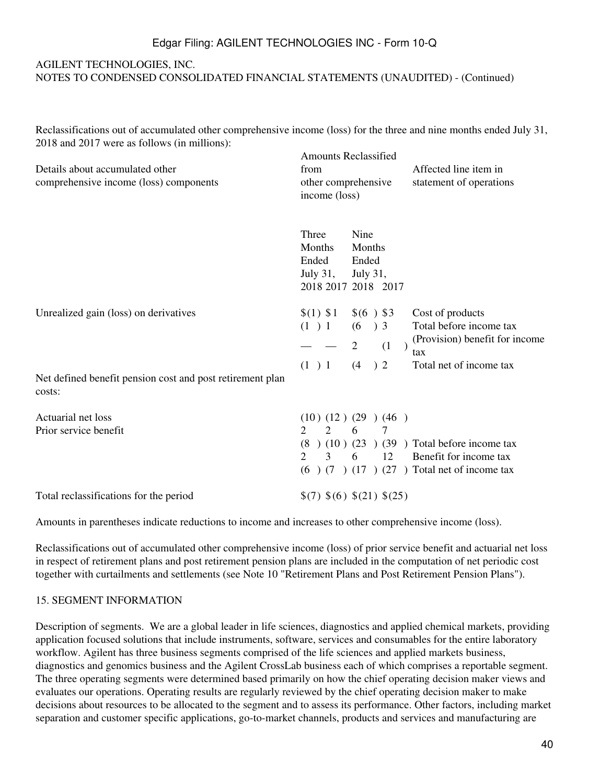## AGILENT TECHNOLOGIES, INC. NOTES TO CONDENSED CONSOLIDATED FINANCIAL STATEMENTS (UNAUDITED) - (Continued)

Reclassifications out of accumulated other comprehensive income (loss) for the three and nine months ended July 31, 2018 and 2017 were as follows (in millions): Amounts Reclassified

| Details about accumulated other<br>comprehensive income (loss) components | Amounts Reclassified<br>Affected line item in<br>from<br>other comprehensive<br>statement of operations<br>income (loss)                                                                                                                              |
|---------------------------------------------------------------------------|-------------------------------------------------------------------------------------------------------------------------------------------------------------------------------------------------------------------------------------------------------|
|                                                                           | Three<br>Nine<br>Months<br>Months<br>Ended<br>Ended<br>July $31$ ,<br><b>July 31,</b><br>2018 2017 2018 2017                                                                                                                                          |
| Unrealized gain (loss) on derivatives                                     | $$(1)$ \$1<br>$$(6)$ \$3<br>Cost of products<br>Total before income tax<br>(1) 1<br>(6)<br>$\left( \frac{1}{2} \right)$ 3<br>(Provision) benefit for income<br>2<br>(1)<br>$\big)$<br>tax<br>Total net of income tax<br>$\binom{2}{}$<br>(1) 1<br>(4) |
| Net defined benefit pension cost and post retirement plan<br>costs:       |                                                                                                                                                                                                                                                       |
| Actuarial net loss<br>Prior service benefit                               | (10)(12)(29)(46)<br>$2^{\circ}$<br>6<br>2<br>7<br>$(10)(23)(39)$ Total before income tax<br>(8)<br>$\overline{2}$<br>12<br>Benefit for income tax<br>$\mathcal{E}$<br>6<br>$(6)$ $(7)$ $(17)$ $(27)$ Total net of income tax                          |
| Total reclassifications for the period                                    | \$(7) \$(6) \$(21) \$(25)                                                                                                                                                                                                                             |

Amounts in parentheses indicate reductions to income and increases to other comprehensive income (loss).

Reclassifications out of accumulated other comprehensive income (loss) of prior service benefit and actuarial net loss in respect of retirement plans and post retirement pension plans are included in the computation of net periodic cost together with curtailments and settlements (see Note 10 "Retirement Plans and Post Retirement Pension Plans").

#### 15. SEGMENT INFORMATION

Description of segments. We are a global leader in life sciences, diagnostics and applied chemical markets, providing application focused solutions that include instruments, software, services and consumables for the entire laboratory workflow. Agilent has three business segments comprised of the life sciences and applied markets business, diagnostics and genomics business and the Agilent CrossLab business each of which comprises a reportable segment. The three operating segments were determined based primarily on how the chief operating decision maker views and evaluates our operations. Operating results are regularly reviewed by the chief operating decision maker to make decisions about resources to be allocated to the segment and to assess its performance. Other factors, including market separation and customer specific applications, go-to-market channels, products and services and manufacturing are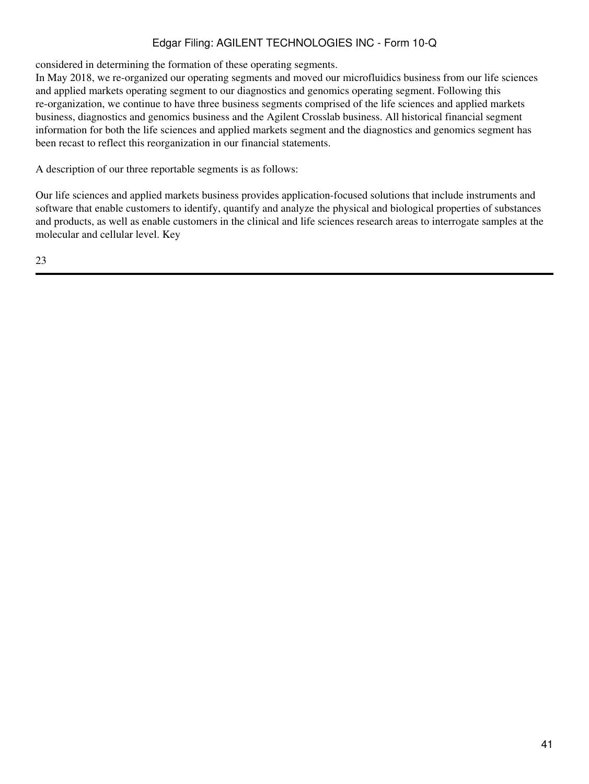considered in determining the formation of these operating segments.

In May 2018, we re-organized our operating segments and moved our microfluidics business from our life sciences and applied markets operating segment to our diagnostics and genomics operating segment. Following this re-organization, we continue to have three business segments comprised of the life sciences and applied markets business, diagnostics and genomics business and the Agilent Crosslab business. All historical financial segment information for both the life sciences and applied markets segment and the diagnostics and genomics segment has been recast to reflect this reorganization in our financial statements.

A description of our three reportable segments is as follows:

Our life sciences and applied markets business provides application-focused solutions that include instruments and software that enable customers to identify, quantify and analyze the physical and biological properties of substances and products, as well as enable customers in the clinical and life sciences research areas to interrogate samples at the molecular and cellular level. Key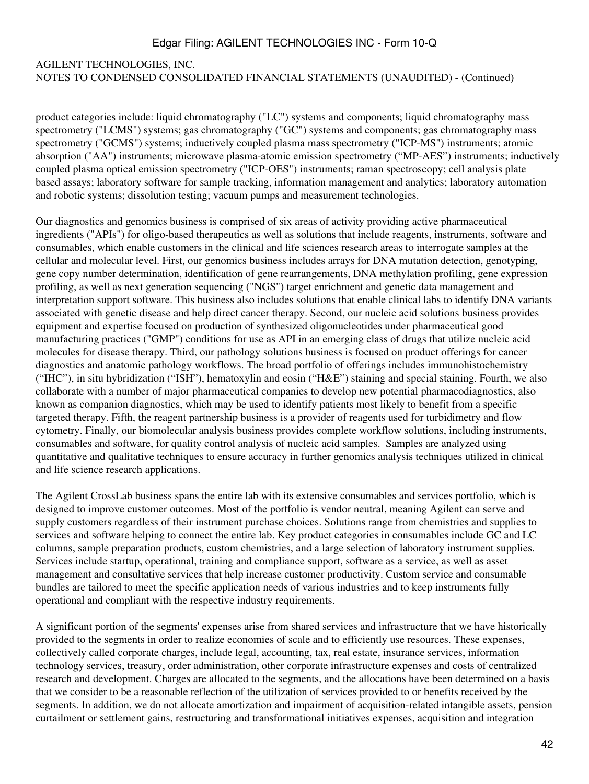## AGILENT TECHNOLOGIES, INC. NOTES TO CONDENSED CONSOLIDATED FINANCIAL STATEMENTS (UNAUDITED) - (Continued)

product categories include: liquid chromatography ("LC") systems and components; liquid chromatography mass spectrometry ("LCMS") systems; gas chromatography ("GC") systems and components; gas chromatography mass spectrometry ("GCMS") systems; inductively coupled plasma mass spectrometry ("ICP-MS") instruments; atomic absorption ("AA") instruments; microwave plasma-atomic emission spectrometry ("MP-AES") instruments; inductively coupled plasma optical emission spectrometry ("ICP-OES") instruments; raman spectroscopy; cell analysis plate based assays; laboratory software for sample tracking, information management and analytics; laboratory automation and robotic systems; dissolution testing; vacuum pumps and measurement technologies.

Our diagnostics and genomics business is comprised of six areas of activity providing active pharmaceutical ingredients ("APIs") for oligo-based therapeutics as well as solutions that include reagents, instruments, software and consumables, which enable customers in the clinical and life sciences research areas to interrogate samples at the cellular and molecular level. First, our genomics business includes arrays for DNA mutation detection, genotyping, gene copy number determination, identification of gene rearrangements, DNA methylation profiling, gene expression profiling, as well as next generation sequencing ("NGS") target enrichment and genetic data management and interpretation support software. This business also includes solutions that enable clinical labs to identify DNA variants associated with genetic disease and help direct cancer therapy. Second, our nucleic acid solutions business provides equipment and expertise focused on production of synthesized oligonucleotides under pharmaceutical good manufacturing practices ("GMP") conditions for use as API in an emerging class of drugs that utilize nucleic acid molecules for disease therapy. Third, our pathology solutions business is focused on product offerings for cancer diagnostics and anatomic pathology workflows. The broad portfolio of offerings includes immunohistochemistry ("IHC"), in situ hybridization ("ISH"), hematoxylin and eosin ("H&E") staining and special staining. Fourth, we also collaborate with a number of major pharmaceutical companies to develop new potential pharmacodiagnostics, also known as companion diagnostics, which may be used to identify patients most likely to benefit from a specific targeted therapy. Fifth, the reagent partnership business is a provider of reagents used for turbidimetry and flow cytometry. Finally, our biomolecular analysis business provides complete workflow solutions, including instruments, consumables and software, for quality control analysis of nucleic acid samples. Samples are analyzed using quantitative and qualitative techniques to ensure accuracy in further genomics analysis techniques utilized in clinical and life science research applications.

The Agilent CrossLab business spans the entire lab with its extensive consumables and services portfolio, which is designed to improve customer outcomes. Most of the portfolio is vendor neutral, meaning Agilent can serve and supply customers regardless of their instrument purchase choices. Solutions range from chemistries and supplies to services and software helping to connect the entire lab. Key product categories in consumables include GC and LC columns, sample preparation products, custom chemistries, and a large selection of laboratory instrument supplies. Services include startup, operational, training and compliance support, software as a service, as well as asset management and consultative services that help increase customer productivity. Custom service and consumable bundles are tailored to meet the specific application needs of various industries and to keep instruments fully operational and compliant with the respective industry requirements.

A significant portion of the segments' expenses arise from shared services and infrastructure that we have historically provided to the segments in order to realize economies of scale and to efficiently use resources. These expenses, collectively called corporate charges, include legal, accounting, tax, real estate, insurance services, information technology services, treasury, order administration, other corporate infrastructure expenses and costs of centralized research and development. Charges are allocated to the segments, and the allocations have been determined on a basis that we consider to be a reasonable reflection of the utilization of services provided to or benefits received by the segments. In addition, we do not allocate amortization and impairment of acquisition-related intangible assets, pension curtailment or settlement gains, restructuring and transformational initiatives expenses, acquisition and integration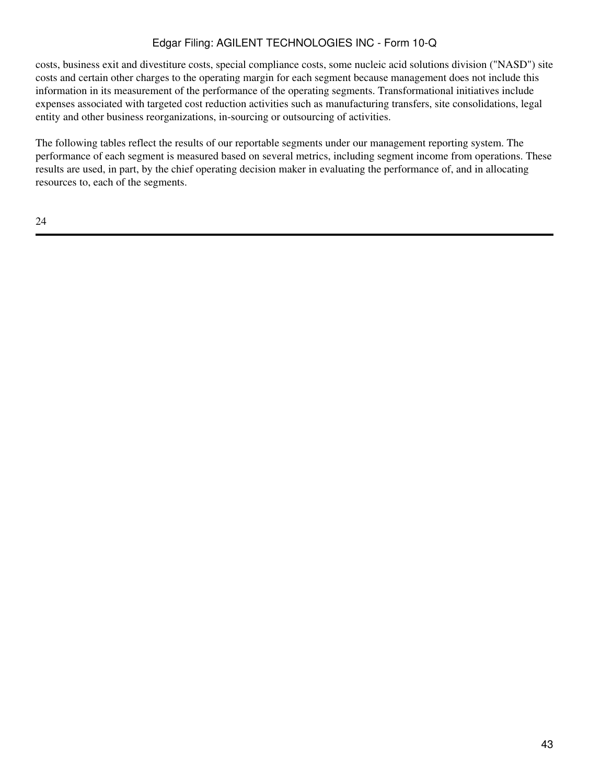costs, business exit and divestiture costs, special compliance costs, some nucleic acid solutions division ("NASD") site costs and certain other charges to the operating margin for each segment because management does not include this information in its measurement of the performance of the operating segments. Transformational initiatives include expenses associated with targeted cost reduction activities such as manufacturing transfers, site consolidations, legal entity and other business reorganizations, in-sourcing or outsourcing of activities.

The following tables reflect the results of our reportable segments under our management reporting system. The performance of each segment is measured based on several metrics, including segment income from operations. These results are used, in part, by the chief operating decision maker in evaluating the performance of, and in allocating resources to, each of the segments.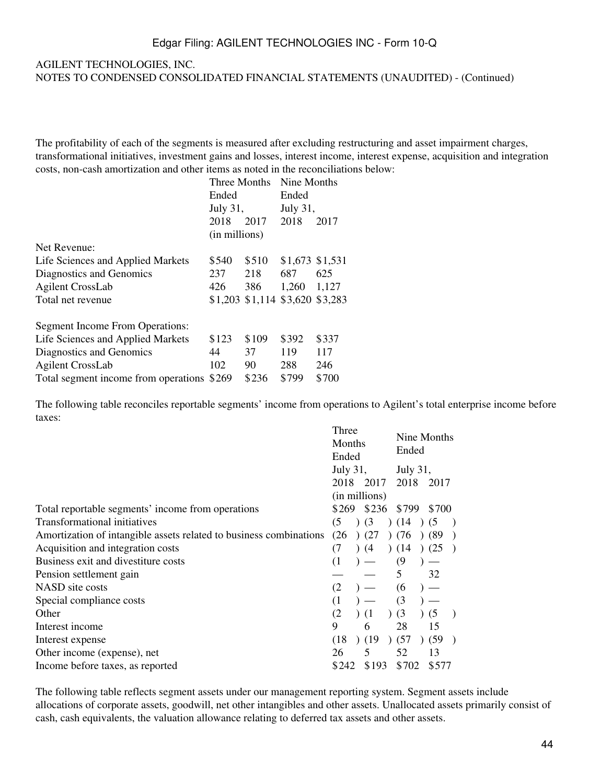#### AGILENT TECHNOLOGIES, INC. NOTES TO CONDENSED CONSOLIDATED FINANCIAL STATEMENTS (UNAUDITED) - (Continued)

The profitability of each of the segments is measured after excluding restructuring and asset impairment charges, transformational initiatives, investment gains and losses, interest income, interest expense, acquisition and integration costs, non-cash amortization and other items as noted in the reconciliations below:

|                                        | Three Months  |                                 | Nine Months     |       |
|----------------------------------------|---------------|---------------------------------|-----------------|-------|
|                                        | Ended         |                                 | Ended           |       |
|                                        | July 31,      |                                 | July 31,        |       |
|                                        | 2018          | 2017                            | 2018            | 2017  |
|                                        | (in millions) |                                 |                 |       |
| Net Revenue:                           |               |                                 |                 |       |
| Life Sciences and Applied Markets      | \$540         | \$510                           | \$1,673 \$1,531 |       |
| Diagnostics and Genomics               | 237           | 218                             | 687             | 625   |
| <b>Agilent CrossLab</b>                | 426           | 386                             | 1,260           | 1,127 |
| Total net revenue                      |               | \$1,203 \$1,114 \$3,620 \$3,283 |                 |       |
| <b>Segment Income From Operations:</b> |               |                                 |                 |       |
| Life Sciences and Applied Markets      | \$123         | \$109                           | \$392           | \$337 |
| Diagnostics and Genomics               | 44            | 37                              | 119             | 117   |
| <b>Agilent CrossLab</b>                | 102           | 90                              | 288             | 246   |
| Total segment income from operations   | \$269         | \$236                           | \$799           | \$700 |

The following table reconciles reportable segments' income from operations to Agilent's total enterprise income before taxes:

|                                                                    | Three          | Nine Months |       |
|--------------------------------------------------------------------|----------------|-------------|-------|
|                                                                    | Months         | Ended       |       |
|                                                                    | Ended          |             |       |
|                                                                    | July 31,       | July 31,    |       |
|                                                                    | 2018 2017      | 2018 2017   |       |
|                                                                    | (in millions)  |             |       |
| Total reportable segments' income from operations                  | \$269<br>\$236 | \$799       | \$700 |
| Transformational initiatives                                       | (5)<br>(3)     | (14)        | (5)   |
| Amortization of intangible assets related to business combinations | (26)<br>(27)   | (76)        | (89)  |
| Acquisition and integration costs                                  | (7<br>(4)      | (14)        | (25)  |
| Business exit and divestiture costs                                | (1)            | (9)         |       |
| Pension settlement gain                                            |                | 5           | 32    |
| NASD site costs                                                    | (2)            | (6)         |       |
| Special compliance costs                                           | (1)            | (3)         |       |
| Other                                                              | (2)<br>(1)     | )(3)        | (5)   |
| Interest income                                                    | 9<br>6         | 28          | 15    |
| Interest expense                                                   | (18)<br>(19)   | (57)        | (59)  |
| Other income (expense), net                                        | 5<br>26        | 52          | 13    |
| Income before taxes, as reported                                   | \$193<br>\$242 | \$702       | \$577 |

The following table reflects segment assets under our management reporting system. Segment assets include allocations of corporate assets, goodwill, net other intangibles and other assets. Unallocated assets primarily consist of cash, cash equivalents, the valuation allowance relating to deferred tax assets and other assets.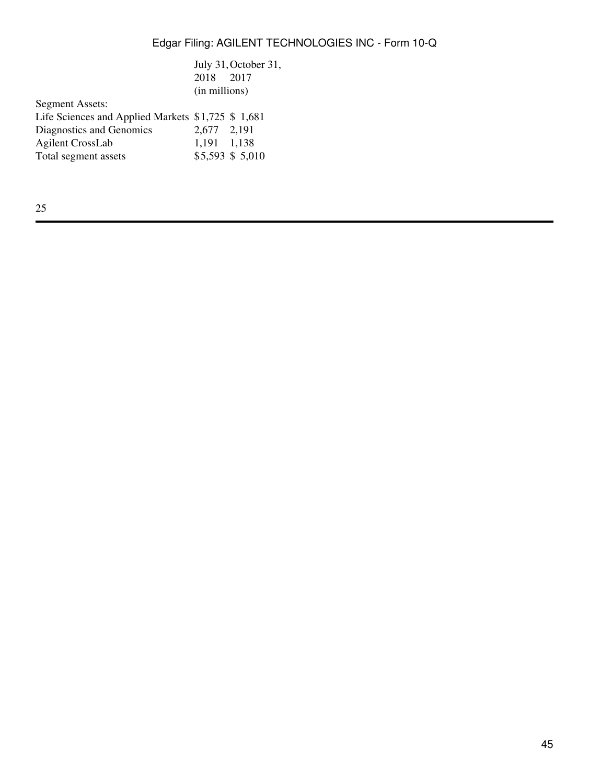|                                                   |               | July 31, October 31, |
|---------------------------------------------------|---------------|----------------------|
|                                                   | 2018 2017     |                      |
|                                                   | (in millions) |                      |
| <b>Segment Assets:</b>                            |               |                      |
| Life Sciences and Applied Markets \$1,725 \$1,681 |               |                      |
| Diagnostics and Genomics                          | 2,677 2,191   |                      |
| <b>Agilent CrossLab</b>                           | 1,191 1,138   |                      |
| Total segment assets                              |               | \$5,593 \$5,010      |
|                                                   |               |                      |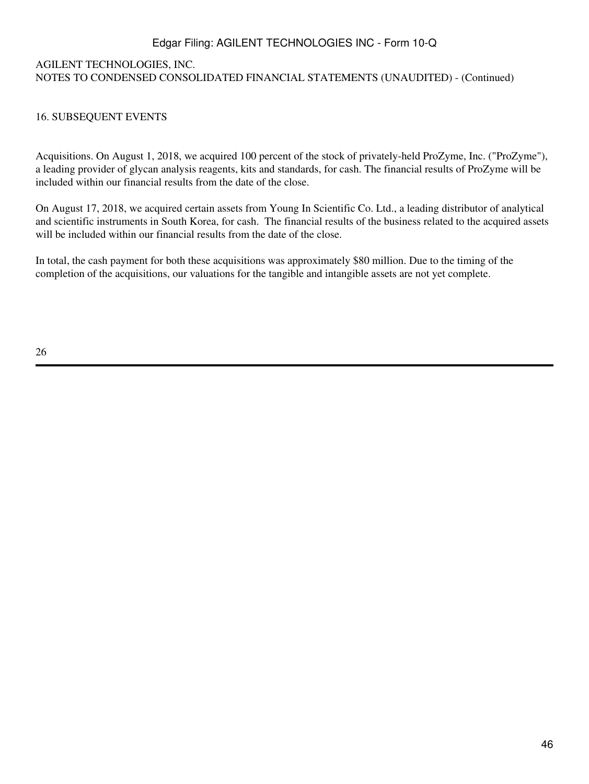## AGILENT TECHNOLOGIES, INC. NOTES TO CONDENSED CONSOLIDATED FINANCIAL STATEMENTS (UNAUDITED) - (Continued)

### 16. SUBSEQUENT EVENTS

Acquisitions. On August 1, 2018, we acquired 100 percent of the stock of privately-held ProZyme, Inc. ("ProZyme"), a leading provider of glycan analysis reagents, kits and standards, for cash. The financial results of ProZyme will be included within our financial results from the date of the close.

On August 17, 2018, we acquired certain assets from Young In Scientific Co. Ltd., a leading distributor of analytical and scientific instruments in South Korea, for cash. The financial results of the business related to the acquired assets will be included within our financial results from the date of the close.

In total, the cash payment for both these acquisitions was approximately \$80 million. Due to the timing of the completion of the acquisitions, our valuations for the tangible and intangible assets are not yet complete.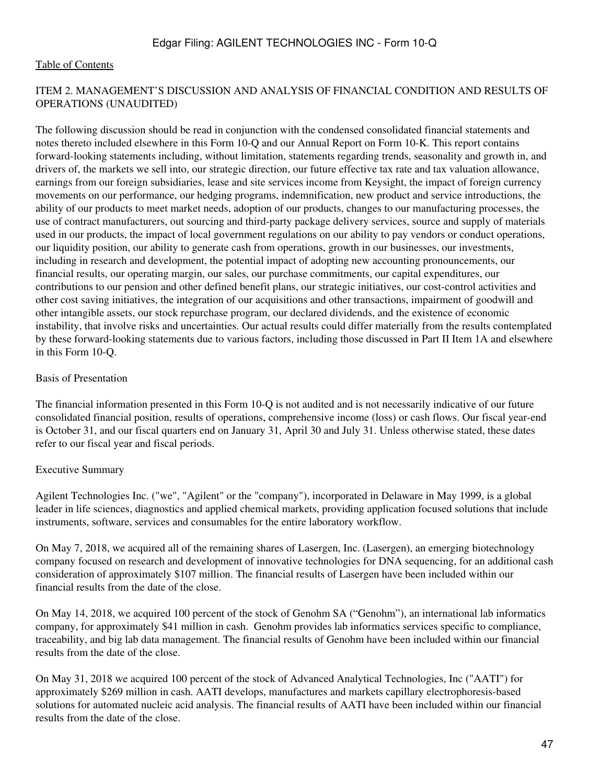### ITEM 2. MANAGEMENT'S DISCUSSION AND ANALYSIS OF FINANCIAL CONDITION AND RESULTS OF OPERATIONS (UNAUDITED)

The following discussion should be read in conjunction with the condensed consolidated financial statements and notes thereto included elsewhere in this Form 10-Q and our Annual Report on Form 10-K. This report contains forward-looking statements including, without limitation, statements regarding trends, seasonality and growth in, and drivers of, the markets we sell into, our strategic direction, our future effective tax rate and tax valuation allowance, earnings from our foreign subsidiaries, lease and site services income from Keysight, the impact of foreign currency movements on our performance, our hedging programs, indemnification, new product and service introductions, the ability of our products to meet market needs, adoption of our products, changes to our manufacturing processes, the use of contract manufacturers, out sourcing and third-party package delivery services, source and supply of materials used in our products, the impact of local government regulations on our ability to pay vendors or conduct operations, our liquidity position, our ability to generate cash from operations, growth in our businesses, our investments, including in research and development, the potential impact of adopting new accounting pronouncements, our financial results, our operating margin, our sales, our purchase commitments, our capital expenditures, our contributions to our pension and other defined benefit plans, our strategic initiatives, our cost-control activities and other cost saving initiatives, the integration of our acquisitions and other transactions, impairment of goodwill and other intangible assets, our stock repurchase program, our declared dividends, and the existence of economic instability, that involve risks and uncertainties. Our actual results could differ materially from the results contemplated by these forward-looking statements due to various factors, including those discussed in Part II Item 1A and elsewhere in this Form 10-Q.

### Basis of Presentation

The financial information presented in this Form 10-Q is not audited and is not necessarily indicative of our future consolidated financial position, results of operations, comprehensive income (loss) or cash flows. Our fiscal year-end is October 31, and our fiscal quarters end on January 31, April 30 and July 31. Unless otherwise stated, these dates refer to our fiscal year and fiscal periods.

### Executive Summary

Agilent Technologies Inc. ("we", "Agilent" or the "company"), incorporated in Delaware in May 1999, is a global leader in life sciences, diagnostics and applied chemical markets, providing application focused solutions that include instruments, software, services and consumables for the entire laboratory workflow.

On May 7, 2018, we acquired all of the remaining shares of Lasergen, Inc. (Lasergen), an emerging biotechnology company focused on research and development of innovative technologies for DNA sequencing, for an additional cash consideration of approximately \$107 million. The financial results of Lasergen have been included within our financial results from the date of the close.

On May 14, 2018, we acquired 100 percent of the stock of Genohm SA ("Genohm"), an international lab informatics company, for approximately \$41 million in cash. Genohm provides lab informatics services specific to compliance, traceability, and big lab data management. The financial results of Genohm have been included within our financial results from the date of the close.

On May 31, 2018 we acquired 100 percent of the stock of Advanced Analytical Technologies, Inc ("AATI") for approximately \$269 million in cash. AATI develops, manufactures and markets capillary electrophoresis-based solutions for automated nucleic acid analysis. The financial results of AATI have been included within our financial results from the date of the close.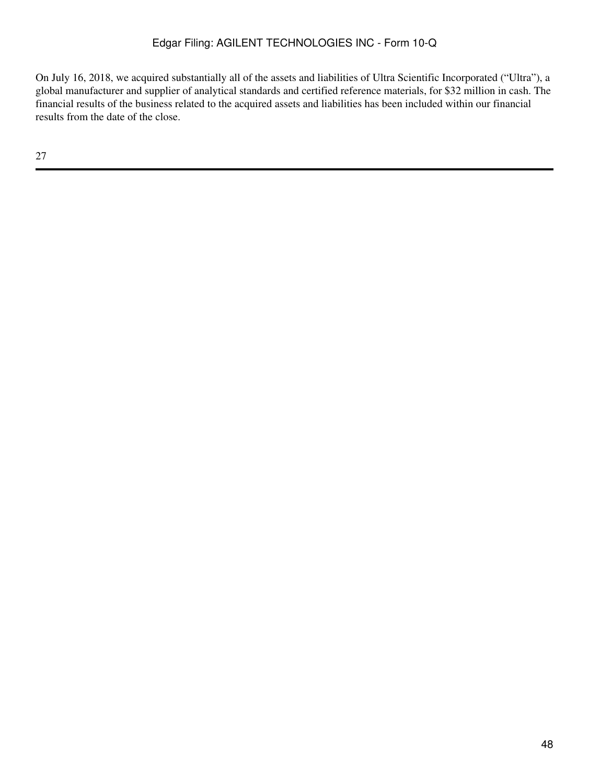On July 16, 2018, we acquired substantially all of the assets and liabilities of Ultra Scientific Incorporated ("Ultra"), a global manufacturer and supplier of analytical standards and certified reference materials, for \$32 million in cash. The financial results of the business related to the acquired assets and liabilities has been included within our financial results from the date of the close.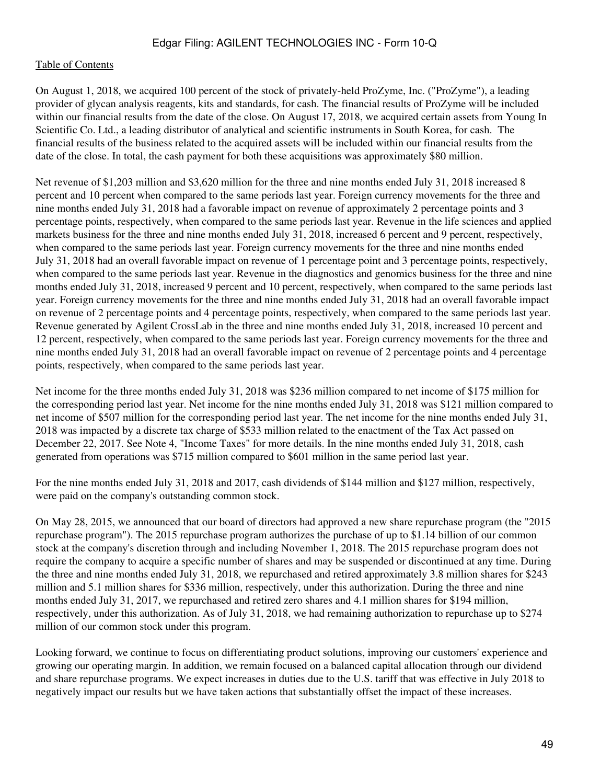### [Table of Contents](#page-2-0)

On August 1, 2018, we acquired 100 percent of the stock of privately-held ProZyme, Inc. ("ProZyme"), a leading provider of glycan analysis reagents, kits and standards, for cash. The financial results of ProZyme will be included within our financial results from the date of the close. On August 17, 2018, we acquired certain assets from Young In Scientific Co. Ltd., a leading distributor of analytical and scientific instruments in South Korea, for cash. The financial results of the business related to the acquired assets will be included within our financial results from the date of the close. In total, the cash payment for both these acquisitions was approximately \$80 million.

Net revenue of \$1,203 million and \$3,620 million for the three and nine months ended July 31, 2018 increased 8 percent and 10 percent when compared to the same periods last year. Foreign currency movements for the three and nine months ended July 31, 2018 had a favorable impact on revenue of approximately 2 percentage points and 3 percentage points, respectively, when compared to the same periods last year. Revenue in the life sciences and applied markets business for the three and nine months ended July 31, 2018, increased 6 percent and 9 percent, respectively, when compared to the same periods last year. Foreign currency movements for the three and nine months ended July 31, 2018 had an overall favorable impact on revenue of 1 percentage point and 3 percentage points, respectively, when compared to the same periods last year. Revenue in the diagnostics and genomics business for the three and nine months ended July 31, 2018, increased 9 percent and 10 percent, respectively, when compared to the same periods last year. Foreign currency movements for the three and nine months ended July 31, 2018 had an overall favorable impact on revenue of 2 percentage points and 4 percentage points, respectively, when compared to the same periods last year. Revenue generated by Agilent CrossLab in the three and nine months ended July 31, 2018, increased 10 percent and 12 percent, respectively, when compared to the same periods last year. Foreign currency movements for the three and nine months ended July 31, 2018 had an overall favorable impact on revenue of 2 percentage points and 4 percentage points, respectively, when compared to the same periods last year.

Net income for the three months ended July 31, 2018 was \$236 million compared to net income of \$175 million for the corresponding period last year. Net income for the nine months ended July 31, 2018 was \$121 million compared to net income of \$507 million for the corresponding period last year. The net income for the nine months ended July 31, 2018 was impacted by a discrete tax charge of \$533 million related to the enactment of the Tax Act passed on December 22, 2017. See Note 4, "Income Taxes" for more details. In the nine months ended July 31, 2018, cash generated from operations was \$715 million compared to \$601 million in the same period last year.

For the nine months ended July 31, 2018 and 2017, cash dividends of \$144 million and \$127 million, respectively, were paid on the company's outstanding common stock.

On May 28, 2015, we announced that our board of directors had approved a new share repurchase program (the "2015 repurchase program"). The 2015 repurchase program authorizes the purchase of up to \$1.14 billion of our common stock at the company's discretion through and including November 1, 2018. The 2015 repurchase program does not require the company to acquire a specific number of shares and may be suspended or discontinued at any time. During the three and nine months ended July 31, 2018, we repurchased and retired approximately 3.8 million shares for \$243 million and 5.1 million shares for \$336 million, respectively, under this authorization. During the three and nine months ended July 31, 2017, we repurchased and retired zero shares and 4.1 million shares for \$194 million, respectively, under this authorization. As of July 31, 2018, we had remaining authorization to repurchase up to \$274 million of our common stock under this program.

Looking forward, we continue to focus on differentiating product solutions, improving our customers' experience and growing our operating margin. In addition, we remain focused on a balanced capital allocation through our dividend and share repurchase programs. We expect increases in duties due to the U.S. tariff that was effective in July 2018 to negatively impact our results but we have taken actions that substantially offset the impact of these increases.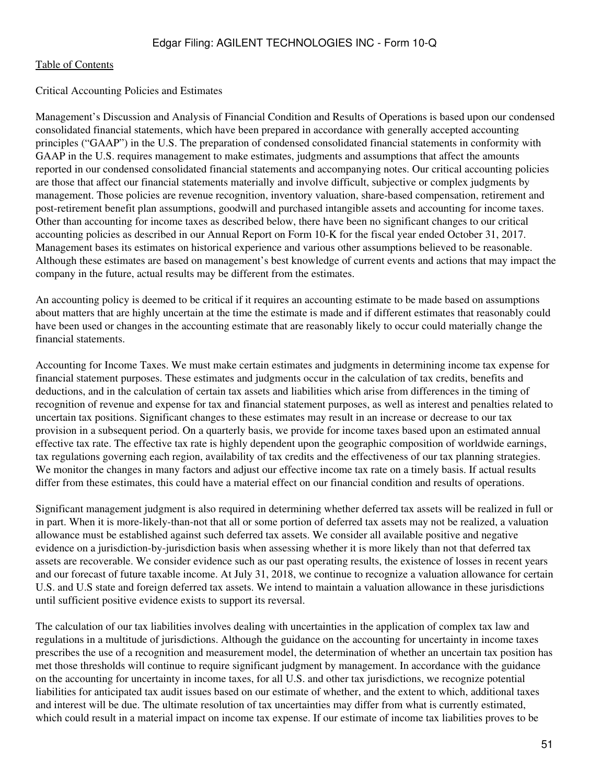#### Critical Accounting Policies and Estimates

Management's Discussion and Analysis of Financial Condition and Results of Operations is based upon our condensed consolidated financial statements, which have been prepared in accordance with generally accepted accounting principles ("GAAP") in the U.S. The preparation of condensed consolidated financial statements in conformity with GAAP in the U.S. requires management to make estimates, judgments and assumptions that affect the amounts reported in our condensed consolidated financial statements and accompanying notes. Our critical accounting policies are those that affect our financial statements materially and involve difficult, subjective or complex judgments by management. Those policies are revenue recognition, inventory valuation, share-based compensation, retirement and post-retirement benefit plan assumptions, goodwill and purchased intangible assets and accounting for income taxes. Other than accounting for income taxes as described below, there have been no significant changes to our critical accounting policies as described in our Annual Report on Form 10-K for the fiscal year ended October 31, 2017. Management bases its estimates on historical experience and various other assumptions believed to be reasonable. Although these estimates are based on management's best knowledge of current events and actions that may impact the company in the future, actual results may be different from the estimates.

An accounting policy is deemed to be critical if it requires an accounting estimate to be made based on assumptions about matters that are highly uncertain at the time the estimate is made and if different estimates that reasonably could have been used or changes in the accounting estimate that are reasonably likely to occur could materially change the financial statements.

Accounting for Income Taxes. We must make certain estimates and judgments in determining income tax expense for financial statement purposes. These estimates and judgments occur in the calculation of tax credits, benefits and deductions, and in the calculation of certain tax assets and liabilities which arise from differences in the timing of recognition of revenue and expense for tax and financial statement purposes, as well as interest and penalties related to uncertain tax positions. Significant changes to these estimates may result in an increase or decrease to our tax provision in a subsequent period. On a quarterly basis, we provide for income taxes based upon an estimated annual effective tax rate. The effective tax rate is highly dependent upon the geographic composition of worldwide earnings, tax regulations governing each region, availability of tax credits and the effectiveness of our tax planning strategies. We monitor the changes in many factors and adjust our effective income tax rate on a timely basis. If actual results differ from these estimates, this could have a material effect on our financial condition and results of operations.

Significant management judgment is also required in determining whether deferred tax assets will be realized in full or in part. When it is more-likely-than-not that all or some portion of deferred tax assets may not be realized, a valuation allowance must be established against such deferred tax assets. We consider all available positive and negative evidence on a jurisdiction-by-jurisdiction basis when assessing whether it is more likely than not that deferred tax assets are recoverable. We consider evidence such as our past operating results, the existence of losses in recent years and our forecast of future taxable income. At July 31, 2018, we continue to recognize a valuation allowance for certain U.S. and U.S state and foreign deferred tax assets. We intend to maintain a valuation allowance in these jurisdictions until sufficient positive evidence exists to support its reversal.

The calculation of our tax liabilities involves dealing with uncertainties in the application of complex tax law and regulations in a multitude of jurisdictions. Although the guidance on the accounting for uncertainty in income taxes prescribes the use of a recognition and measurement model, the determination of whether an uncertain tax position has met those thresholds will continue to require significant judgment by management. In accordance with the guidance on the accounting for uncertainty in income taxes, for all U.S. and other tax jurisdictions, we recognize potential liabilities for anticipated tax audit issues based on our estimate of whether, and the extent to which, additional taxes and interest will be due. The ultimate resolution of tax uncertainties may differ from what is currently estimated, which could result in a material impact on income tax expense. If our estimate of income tax liabilities proves to be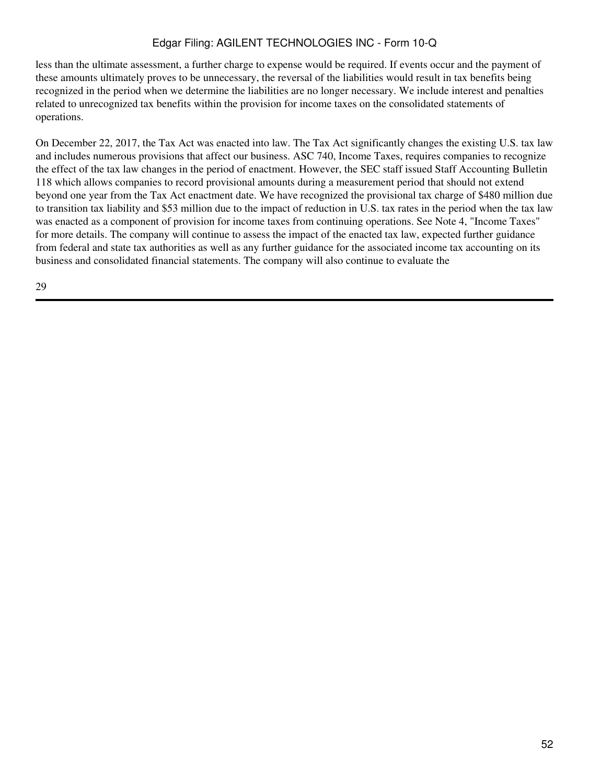less than the ultimate assessment, a further charge to expense would be required. If events occur and the payment of these amounts ultimately proves to be unnecessary, the reversal of the liabilities would result in tax benefits being recognized in the period when we determine the liabilities are no longer necessary. We include interest and penalties related to unrecognized tax benefits within the provision for income taxes on the consolidated statements of operations.

On December 22, 2017, the Tax Act was enacted into law. The Tax Act significantly changes the existing U.S. tax law and includes numerous provisions that affect our business. ASC 740, Income Taxes, requires companies to recognize the effect of the tax law changes in the period of enactment. However, the SEC staff issued Staff Accounting Bulletin 118 which allows companies to record provisional amounts during a measurement period that should not extend beyond one year from the Tax Act enactment date. We have recognized the provisional tax charge of \$480 million due to transition tax liability and \$53 million due to the impact of reduction in U.S. tax rates in the period when the tax law was enacted as a component of provision for income taxes from continuing operations. See Note 4, "Income Taxes" for more details. The company will continue to assess the impact of the enacted tax law, expected further guidance from federal and state tax authorities as well as any further guidance for the associated income tax accounting on its business and consolidated financial statements. The company will also continue to evaluate the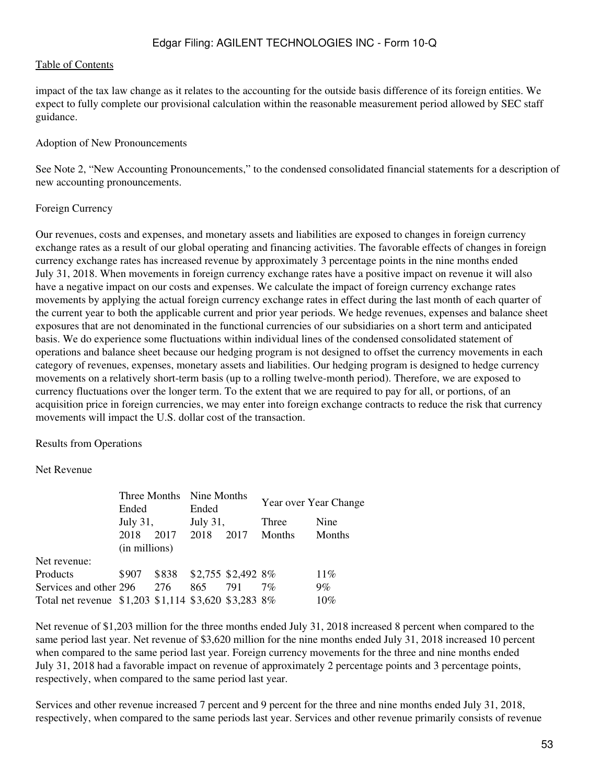impact of the tax law change as it relates to the accounting for the outside basis difference of its foreign entities. We expect to fully complete our provisional calculation within the reasonable measurement period allowed by SEC staff guidance.

### Adoption of New Pronouncements

See Note 2, "New Accounting Pronouncements," to the condensed consolidated financial statements for a description of new accounting pronouncements.

### Foreign Currency

Our revenues, costs and expenses, and monetary assets and liabilities are exposed to changes in foreign currency exchange rates as a result of our global operating and financing activities. The favorable effects of changes in foreign currency exchange rates has increased revenue by approximately 3 percentage points in the nine months ended July 31, 2018. When movements in foreign currency exchange rates have a positive impact on revenue it will also have a negative impact on our costs and expenses. We calculate the impact of foreign currency exchange rates movements by applying the actual foreign currency exchange rates in effect during the last month of each quarter of the current year to both the applicable current and prior year periods. We hedge revenues, expenses and balance sheet exposures that are not denominated in the functional currencies of our subsidiaries on a short term and anticipated basis. We do experience some fluctuations within individual lines of the condensed consolidated statement of operations and balance sheet because our hedging program is not designed to offset the currency movements in each category of revenues, expenses, monetary assets and liabilities. Our hedging program is designed to hedge currency movements on a relatively short-term basis (up to a rolling twelve-month period). Therefore, we are exposed to currency fluctuations over the longer term. To the extent that we are required to pay for all, or portions, of an acquisition price in foreign currencies, we may enter into foreign exchange contracts to reduce the risk that currency movements will impact the U.S. dollar cost of the transaction.

Results from Operations

### Net Revenue

| Ended                  |     | Ended                 |      | Year over Year Change    |                                                                                  |  |
|------------------------|-----|-----------------------|------|--------------------------|----------------------------------------------------------------------------------|--|
| July 31,               |     | July 31,              |      | Three                    | Nine                                                                             |  |
| 2018                   |     |                       | 2017 | Months                   | Months                                                                           |  |
|                        |     |                       |      |                          |                                                                                  |  |
|                        |     |                       |      |                          |                                                                                  |  |
| \$907                  |     |                       |      |                          | $11\%$                                                                           |  |
| Services and other 296 | 276 | 865                   | 791  | $7\%$                    | $9\%$                                                                            |  |
|                        |     |                       |      |                          | 10%                                                                              |  |
|                        |     | 2017<br>(in millions) | 2018 | Three Months Nine Months | \$838 \$2,755 \$2,492 8%<br>Total net revenue \$1,203 \$1,114 \$3,620 \$3,283 8% |  |

Net revenue of \$1,203 million for the three months ended July 31, 2018 increased 8 percent when compared to the same period last year. Net revenue of \$3,620 million for the nine months ended July 31, 2018 increased 10 percent when compared to the same period last year. Foreign currency movements for the three and nine months ended July 31, 2018 had a favorable impact on revenue of approximately 2 percentage points and 3 percentage points, respectively, when compared to the same period last year.

Services and other revenue increased 7 percent and 9 percent for the three and nine months ended July 31, 2018, respectively, when compared to the same periods last year. Services and other revenue primarily consists of revenue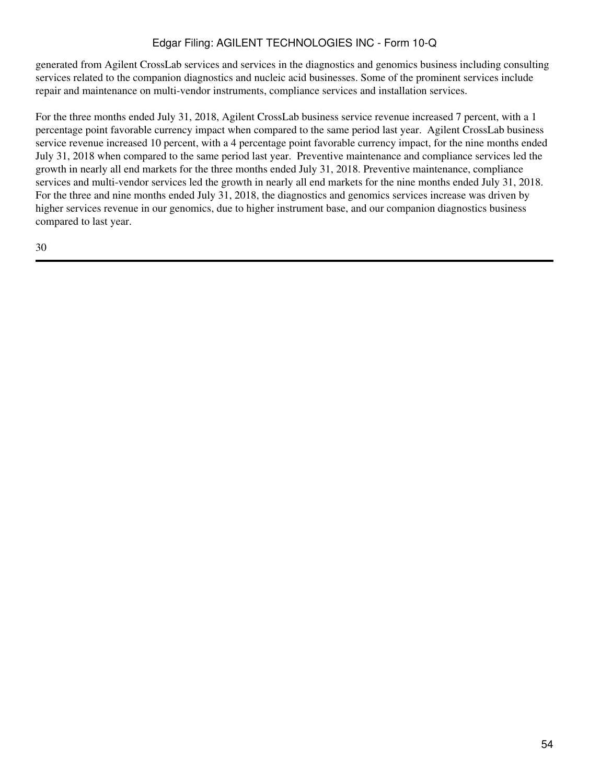generated from Agilent CrossLab services and services in the diagnostics and genomics business including consulting services related to the companion diagnostics and nucleic acid businesses. Some of the prominent services include repair and maintenance on multi-vendor instruments, compliance services and installation services.

For the three months ended July 31, 2018, Agilent CrossLab business service revenue increased 7 percent, with a 1 percentage point favorable currency impact when compared to the same period last year. Agilent CrossLab business service revenue increased 10 percent, with a 4 percentage point favorable currency impact, for the nine months ended July 31, 2018 when compared to the same period last year. Preventive maintenance and compliance services led the growth in nearly all end markets for the three months ended July 31, 2018. Preventive maintenance, compliance services and multi-vendor services led the growth in nearly all end markets for the nine months ended July 31, 2018. For the three and nine months ended July 31, 2018, the diagnostics and genomics services increase was driven by higher services revenue in our genomics, due to higher instrument base, and our companion diagnostics business compared to last year.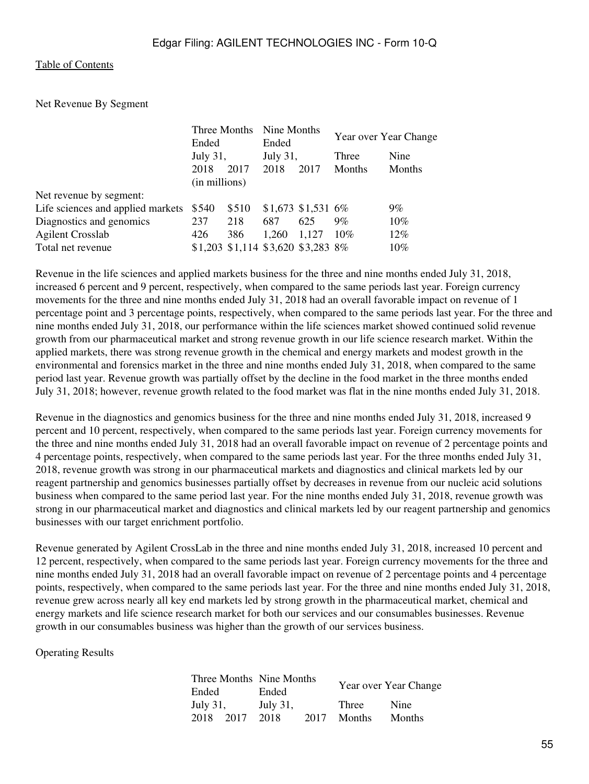Net Revenue By Segment

| Three Months<br>Ended<br>July 31, |       | Nine Months<br>Ended<br>July 31, |       | Year over Year Change |                                                           |
|-----------------------------------|-------|----------------------------------|-------|-----------------------|-----------------------------------------------------------|
|                                   |       |                                  |       |                       |                                                           |
|                                   |       |                                  |       | Three                 | Nine                                                      |
| 2018                              | 2017  | 2018                             | 2017  | <b>Months</b>         | Months                                                    |
|                                   |       |                                  |       |                       |                                                           |
|                                   |       |                                  |       |                       |                                                           |
| \$540                             | \$510 |                                  |       |                       | $9\%$                                                     |
| 237                               | 218   | 687                              | 625   | $9\%$                 | $10\%$                                                    |
| 426                               | 386   | 1.260                            | 1,127 | 10%                   | 12%                                                       |
|                                   |       |                                  |       |                       | $10\%$                                                    |
|                                   |       | (in millions)                    |       |                       | $$1,673$ \$1,531 6%<br>\$1,203 \$1,114 \$3,620 \$3,283 8% |

Revenue in the life sciences and applied markets business for the three and nine months ended July 31, 2018, increased 6 percent and 9 percent, respectively, when compared to the same periods last year. Foreign currency movements for the three and nine months ended July 31, 2018 had an overall favorable impact on revenue of 1 percentage point and 3 percentage points, respectively, when compared to the same periods last year. For the three and nine months ended July 31, 2018, our performance within the life sciences market showed continued solid revenue growth from our pharmaceutical market and strong revenue growth in our life science research market. Within the applied markets, there was strong revenue growth in the chemical and energy markets and modest growth in the environmental and forensics market in the three and nine months ended July 31, 2018, when compared to the same period last year. Revenue growth was partially offset by the decline in the food market in the three months ended July 31, 2018; however, revenue growth related to the food market was flat in the nine months ended July 31, 2018.

Revenue in the diagnostics and genomics business for the three and nine months ended July 31, 2018, increased 9 percent and 10 percent, respectively, when compared to the same periods last year. Foreign currency movements for the three and nine months ended July 31, 2018 had an overall favorable impact on revenue of 2 percentage points and 4 percentage points, respectively, when compared to the same periods last year. For the three months ended July 31, 2018, revenue growth was strong in our pharmaceutical markets and diagnostics and clinical markets led by our reagent partnership and genomics businesses partially offset by decreases in revenue from our nucleic acid solutions business when compared to the same period last year. For the nine months ended July 31, 2018, revenue growth was strong in our pharmaceutical market and diagnostics and clinical markets led by our reagent partnership and genomics businesses with our target enrichment portfolio.

Revenue generated by Agilent CrossLab in the three and nine months ended July 31, 2018, increased 10 percent and 12 percent, respectively, when compared to the same periods last year. Foreign currency movements for the three and nine months ended July 31, 2018 had an overall favorable impact on revenue of 2 percentage points and 4 percentage points, respectively, when compared to the same periods last year. For the three and nine months ended July 31, 2018, revenue grew across nearly all key end markets led by strong growth in the pharmaceutical market, chemical and energy markets and life science research market for both our services and our consumables businesses. Revenue growth in our consumables business was higher than the growth of our services business.

Operating Results

|           | Three Months Nine Months |      | Year over Year Change |               |  |
|-----------|--------------------------|------|-----------------------|---------------|--|
| Ended     | Ended                    |      |                       |               |  |
| July 31,  | July 31,                 |      | Three                 | Nine          |  |
| 2018 2017 | 2018                     | 2017 | <b>Months</b>         | <b>Months</b> |  |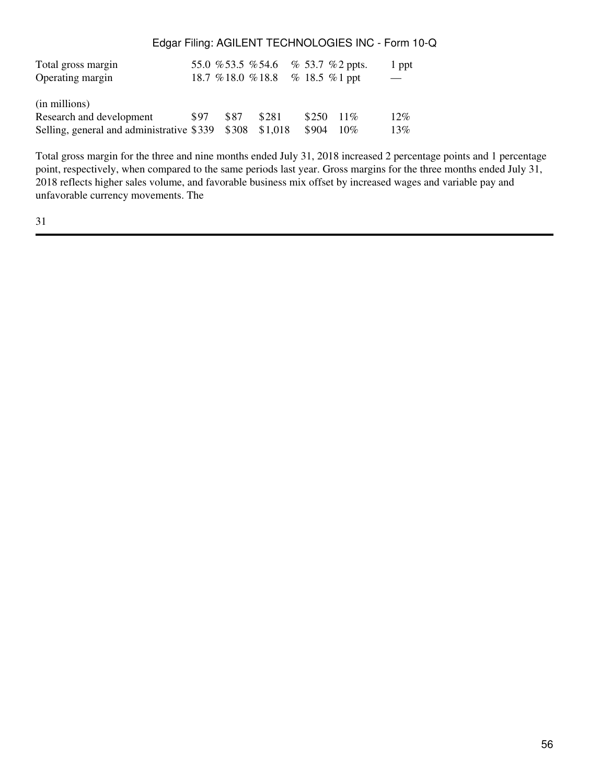| Total gross margin                              |      |      | 55.0 % 53.5 % 54.6 % 53.7 % 2 ppts. |       |             | 1 ppt |
|-------------------------------------------------|------|------|-------------------------------------|-------|-------------|-------|
| Operating margin                                |      |      | 18.7 % 18.0 % 18.8 % 18.5 % 1 ppt   |       |             |       |
|                                                 |      |      |                                     |       |             |       |
| (in millions)                                   |      |      |                                     |       |             |       |
| Research and development                        | \$97 | \$87 | \$281                               |       | $$250$ 11\% | 12%   |
| Selling, general and administrative \$339 \$308 |      |      | \$1,018                             | \$904 | 10%         | 13%   |

Total gross margin for the three and nine months ended July 31, 2018 increased 2 percentage points and 1 percentage point, respectively, when compared to the same periods last year. Gross margins for the three months ended July 31, 2018 reflects higher sales volume, and favorable business mix offset by increased wages and variable pay and unfavorable currency movements. The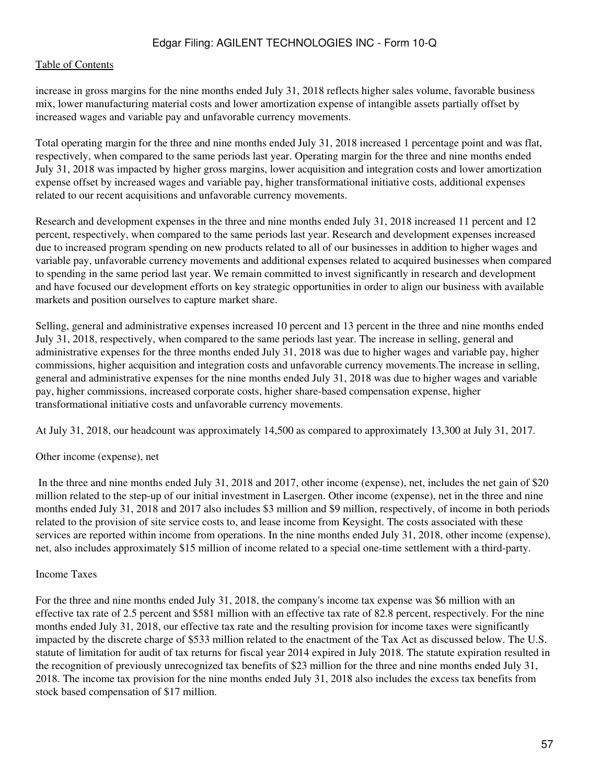#### [Table of Contents](#page-2-0)

increase in gross margins for the nine months ended July 31, 2018 reflects higher sales volume, favorable business mix, lower manufacturing material costs and lower amortization expense of intangible assets partially offset by increased wages and variable pay and unfavorable currency movements.

Total operating margin for the three and nine months ended July 31, 2018 increased 1 percentage point and was flat, respectively, when compared to the same periods last year. Operating margin for the three and nine months ended July 31, 2018 was impacted by higher gross margins, lower acquisition and integration costs and lower amortization expense offset by increased wages and variable pay, higher transformational initiative costs, additional expenses related to our recent acquisitions and unfavorable currency movements.

Research and development expenses in the three and nine months ended July 31, 2018 increased 11 percent and 12 percent, respectively, when compared to the same periods last year. Research and development expenses increased due to increased program spending on new products related to all of our businesses in addition to higher wages and variable pay, unfavorable currency movements and additional expenses related to acquired businesses when compared to spending in the same period last year. We remain committed to invest significantly in research and development and have focused our development efforts on key strategic opportunities in order to align our business with available markets and position ourselves to capture market share.

Selling, general and administrative expenses increased 10 percent and 13 percent in the three and nine months ended July 31, 2018, respectively, when compared to the same periods last year. The increase in selling, general and administrative expenses for the three months ended July 31, 2018 was due to higher wages and variable pay, higher commissions, higher acquisition and integration costs and unfavorable currency movements.The increase in selling, general and administrative expenses for the nine months ended July 31, 2018 was due to higher wages and variable pay, higher commissions, increased corporate costs, higher share-based compensation expense, higher transformational initiative costs and unfavorable currency movements.

At July 31, 2018, our headcount was approximately 14,500 as compared to approximately 13,300 at July 31, 2017.

#### Other income (expense), net

 In the three and nine months ended July 31, 2018 and 2017, other income (expense), net, includes the net gain of \$20 million related to the step-up of our initial investment in Lasergen. Other income (expense), net in the three and nine months ended July 31, 2018 and 2017 also includes \$3 million and \$9 million, respectively, of income in both periods related to the provision of site service costs to, and lease income from Keysight. The costs associated with these services are reported within income from operations. In the nine months ended July 31, 2018, other income (expense), net, also includes approximately \$15 million of income related to a special one-time settlement with a third-party.

#### Income Taxes

For the three and nine months ended July 31, 2018, the company's income tax expense was \$6 million with an effective tax rate of 2.5 percent and \$581 million with an effective tax rate of 82.8 percent, respectively. For the nine months ended July 31, 2018, our effective tax rate and the resulting provision for income taxes were significantly impacted by the discrete charge of \$533 million related to the enactment of the Tax Act as discussed below. The U.S. statute of limitation for audit of tax returns for fiscal year 2014 expired in July 2018. The statute expiration resulted in the recognition of previously unrecognized tax benefits of \$23 million for the three and nine months ended July 31, 2018. The income tax provision for the nine months ended July 31, 2018 also includes the excess tax benefits from stock based compensation of \$17 million.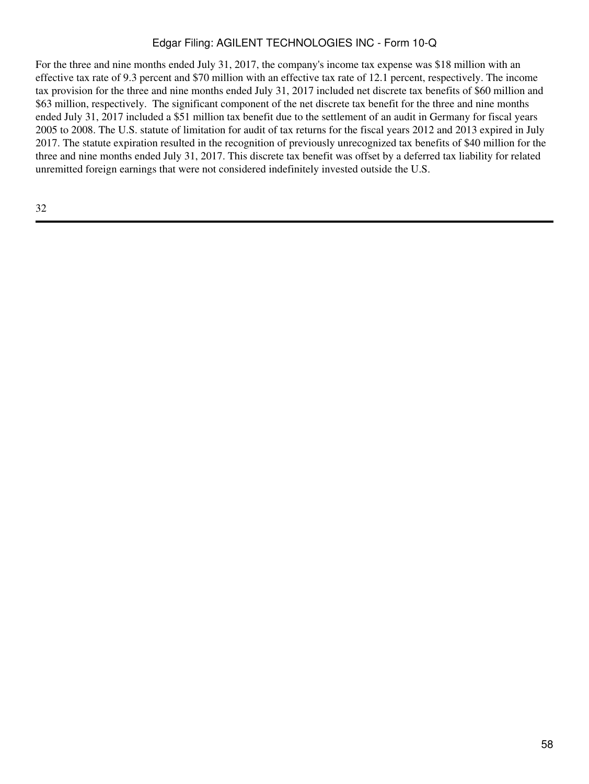For the three and nine months ended July 31, 2017, the company's income tax expense was \$18 million with an effective tax rate of 9.3 percent and \$70 million with an effective tax rate of 12.1 percent, respectively. The income tax provision for the three and nine months ended July 31, 2017 included net discrete tax benefits of \$60 million and \$63 million, respectively. The significant component of the net discrete tax benefit for the three and nine months ended July 31, 2017 included a \$51 million tax benefit due to the settlement of an audit in Germany for fiscal years 2005 to 2008. The U.S. statute of limitation for audit of tax returns for the fiscal years 2012 and 2013 expired in July 2017. The statute expiration resulted in the recognition of previously unrecognized tax benefits of \$40 million for the three and nine months ended July 31, 2017. This discrete tax benefit was offset by a deferred tax liability for related unremitted foreign earnings that were not considered indefinitely invested outside the U.S.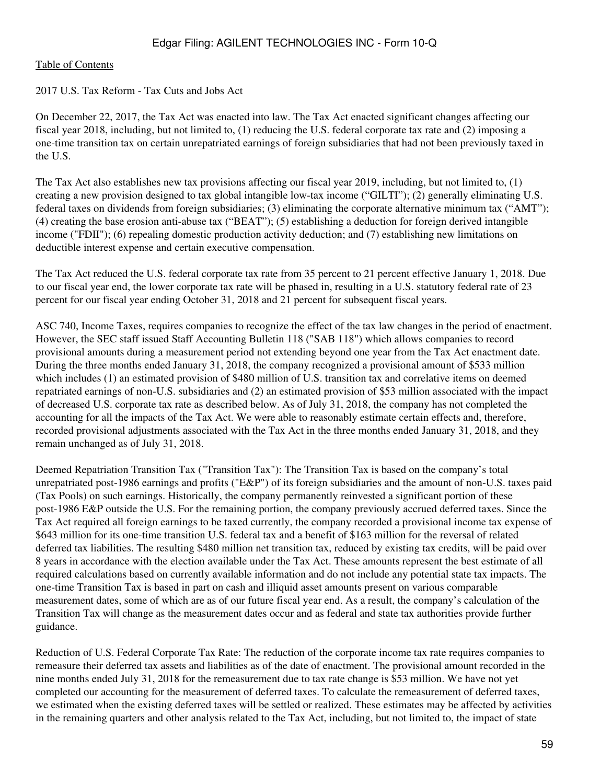### 2017 U.S. Tax Reform - Tax Cuts and Jobs Act

On December 22, 2017, the Tax Act was enacted into law. The Tax Act enacted significant changes affecting our fiscal year 2018, including, but not limited to, (1) reducing the U.S. federal corporate tax rate and (2) imposing a one-time transition tax on certain unrepatriated earnings of foreign subsidiaries that had not been previously taxed in the U.S.

The Tax Act also establishes new tax provisions affecting our fiscal year 2019, including, but not limited to, (1) creating a new provision designed to tax global intangible low-tax income ("GILTI"); (2) generally eliminating U.S. federal taxes on dividends from foreign subsidiaries; (3) eliminating the corporate alternative minimum tax ("AMT"); (4) creating the base erosion anti-abuse tax ("BEAT"); (5) establishing a deduction for foreign derived intangible income ("FDII"); (6) repealing domestic production activity deduction; and (7) establishing new limitations on deductible interest expense and certain executive compensation.

The Tax Act reduced the U.S. federal corporate tax rate from 35 percent to 21 percent effective January 1, 2018. Due to our fiscal year end, the lower corporate tax rate will be phased in, resulting in a U.S. statutory federal rate of 23 percent for our fiscal year ending October 31, 2018 and 21 percent for subsequent fiscal years.

ASC 740, Income Taxes, requires companies to recognize the effect of the tax law changes in the period of enactment. However, the SEC staff issued Staff Accounting Bulletin 118 ("SAB 118") which allows companies to record provisional amounts during a measurement period not extending beyond one year from the Tax Act enactment date. During the three months ended January 31, 2018, the company recognized a provisional amount of \$533 million which includes (1) an estimated provision of \$480 million of U.S. transition tax and correlative items on deemed repatriated earnings of non-U.S. subsidiaries and (2) an estimated provision of \$53 million associated with the impact of decreased U.S. corporate tax rate as described below. As of July 31, 2018, the company has not completed the accounting for all the impacts of the Tax Act. We were able to reasonably estimate certain effects and, therefore, recorded provisional adjustments associated with the Tax Act in the three months ended January 31, 2018, and they remain unchanged as of July 31, 2018.

Deemed Repatriation Transition Tax ("Transition Tax"): The Transition Tax is based on the company's total unrepatriated post-1986 earnings and profits ("E&P") of its foreign subsidiaries and the amount of non-U.S. taxes paid (Tax Pools) on such earnings. Historically, the company permanently reinvested a significant portion of these post-1986 E&P outside the U.S. For the remaining portion, the company previously accrued deferred taxes. Since the Tax Act required all foreign earnings to be taxed currently, the company recorded a provisional income tax expense of \$643 million for its one-time transition U.S. federal tax and a benefit of \$163 million for the reversal of related deferred tax liabilities. The resulting \$480 million net transition tax, reduced by existing tax credits, will be paid over 8 years in accordance with the election available under the Tax Act. These amounts represent the best estimate of all required calculations based on currently available information and do not include any potential state tax impacts. The one-time Transition Tax is based in part on cash and illiquid asset amounts present on various comparable measurement dates, some of which are as of our future fiscal year end. As a result, the company's calculation of the Transition Tax will change as the measurement dates occur and as federal and state tax authorities provide further guidance.

Reduction of U.S. Federal Corporate Tax Rate: The reduction of the corporate income tax rate requires companies to remeasure their deferred tax assets and liabilities as of the date of enactment. The provisional amount recorded in the nine months ended July 31, 2018 for the remeasurement due to tax rate change is \$53 million. We have not yet completed our accounting for the measurement of deferred taxes. To calculate the remeasurement of deferred taxes, we estimated when the existing deferred taxes will be settled or realized. These estimates may be affected by activities in the remaining quarters and other analysis related to the Tax Act, including, but not limited to, the impact of state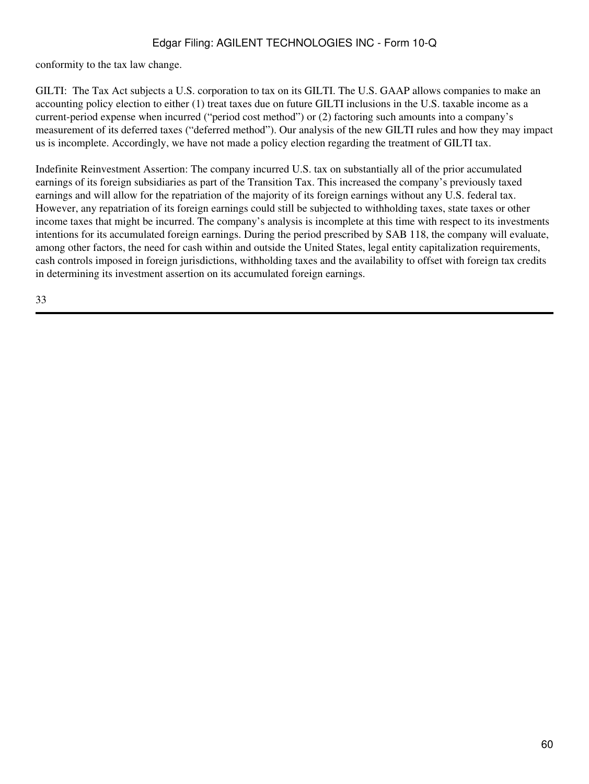conformity to the tax law change.

GILTI: The Tax Act subjects a U.S. corporation to tax on its GILTI. The U.S. GAAP allows companies to make an accounting policy election to either (1) treat taxes due on future GILTI inclusions in the U.S. taxable income as a current-period expense when incurred ("period cost method") or (2) factoring such amounts into a company's measurement of its deferred taxes ("deferred method"). Our analysis of the new GILTI rules and how they may impact us is incomplete. Accordingly, we have not made a policy election regarding the treatment of GILTI tax.

Indefinite Reinvestment Assertion: The company incurred U.S. tax on substantially all of the prior accumulated earnings of its foreign subsidiaries as part of the Transition Tax. This increased the company's previously taxed earnings and will allow for the repatriation of the majority of its foreign earnings without any U.S. federal tax. However, any repatriation of its foreign earnings could still be subjected to withholding taxes, state taxes or other income taxes that might be incurred. The company's analysis is incomplete at this time with respect to its investments intentions for its accumulated foreign earnings. During the period prescribed by SAB 118, the company will evaluate, among other factors, the need for cash within and outside the United States, legal entity capitalization requirements, cash controls imposed in foreign jurisdictions, withholding taxes and the availability to offset with foreign tax credits in determining its investment assertion on its accumulated foreign earnings.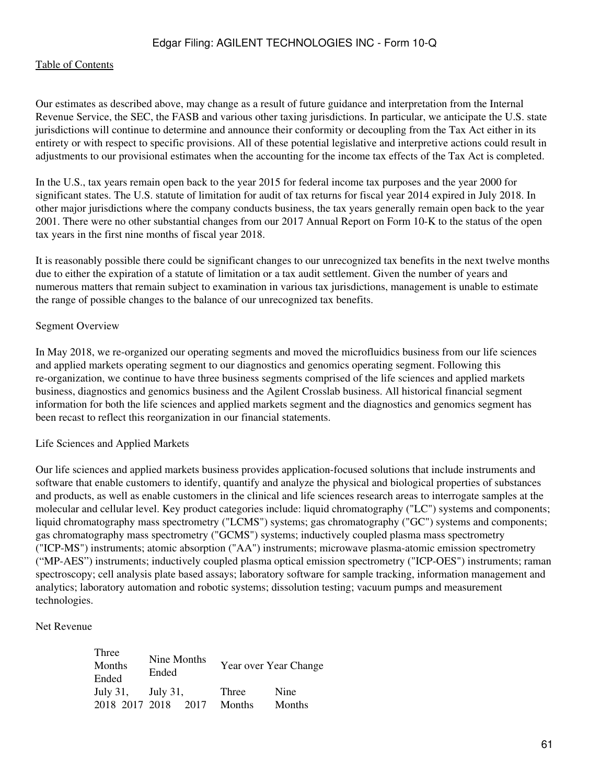#### [Table of Contents](#page-2-0)

Our estimates as described above, may change as a result of future guidance and interpretation from the Internal Revenue Service, the SEC, the FASB and various other taxing jurisdictions. In particular, we anticipate the U.S. state jurisdictions will continue to determine and announce their conformity or decoupling from the Tax Act either in its entirety or with respect to specific provisions. All of these potential legislative and interpretive actions could result in adjustments to our provisional estimates when the accounting for the income tax effects of the Tax Act is completed.

In the U.S., tax years remain open back to the year 2015 for federal income tax purposes and the year 2000 for significant states. The U.S. statute of limitation for audit of tax returns for fiscal year 2014 expired in July 2018. In other major jurisdictions where the company conducts business, the tax years generally remain open back to the year 2001. There were no other substantial changes from our 2017 Annual Report on Form 10-K to the status of the open tax years in the first nine months of fiscal year 2018.

It is reasonably possible there could be significant changes to our unrecognized tax benefits in the next twelve months due to either the expiration of a statute of limitation or a tax audit settlement. Given the number of years and numerous matters that remain subject to examination in various tax jurisdictions, management is unable to estimate the range of possible changes to the balance of our unrecognized tax benefits.

### Segment Overview

In May 2018, we re-organized our operating segments and moved the microfluidics business from our life sciences and applied markets operating segment to our diagnostics and genomics operating segment. Following this re-organization, we continue to have three business segments comprised of the life sciences and applied markets business, diagnostics and genomics business and the Agilent Crosslab business. All historical financial segment information for both the life sciences and applied markets segment and the diagnostics and genomics segment has been recast to reflect this reorganization in our financial statements.

#### Life Sciences and Applied Markets

Our life sciences and applied markets business provides application-focused solutions that include instruments and software that enable customers to identify, quantify and analyze the physical and biological properties of substances and products, as well as enable customers in the clinical and life sciences research areas to interrogate samples at the molecular and cellular level. Key product categories include: liquid chromatography ("LC") systems and components; liquid chromatography mass spectrometry ("LCMS") systems; gas chromatography ("GC") systems and components; gas chromatography mass spectrometry ("GCMS") systems; inductively coupled plasma mass spectrometry ("ICP-MS") instruments; atomic absorption ("AA") instruments; microwave plasma-atomic emission spectrometry ("MP-AES") instruments; inductively coupled plasma optical emission spectrometry ("ICP-OES") instruments; raman spectroscopy; cell analysis plate based assays; laboratory software for sample tracking, information management and analytics; laboratory automation and robotic systems; dissolution testing; vacuum pumps and measurement technologies.

#### Net Revenue

| Three<br>Months      | Nine Months<br>Ended |        | Year over Year Change |  |  |
|----------------------|----------------------|--------|-----------------------|--|--|
| Ended<br>July $31$ , | July 31,             | Three  | Nine                  |  |  |
| 2018 2017 2018       | 2017                 | Months | Months                |  |  |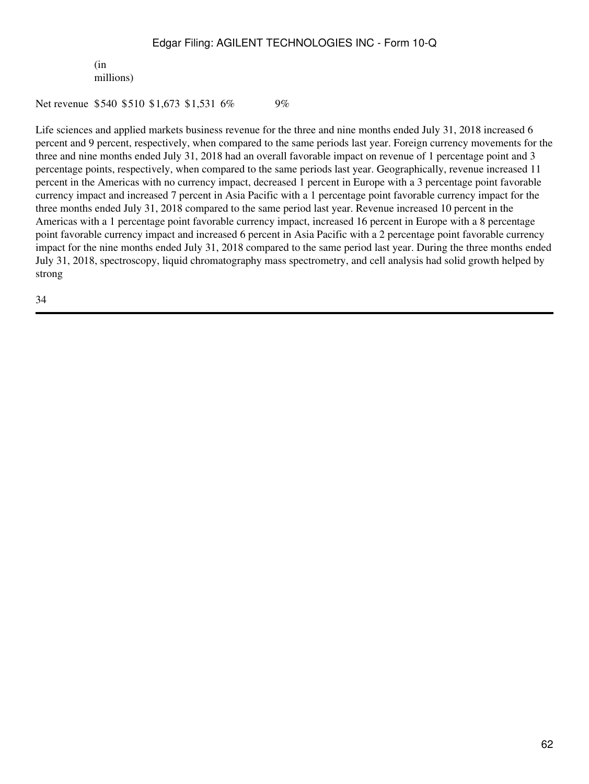(in millions)

Net revenue \$540 \$510 \$1,673 \$1,531 6% 9%

Life sciences and applied markets business revenue for the three and nine months ended July 31, 2018 increased 6 percent and 9 percent, respectively, when compared to the same periods last year. Foreign currency movements for the three and nine months ended July 31, 2018 had an overall favorable impact on revenue of 1 percentage point and 3 percentage points, respectively, when compared to the same periods last year. Geographically, revenue increased 11 percent in the Americas with no currency impact, decreased 1 percent in Europe with a 3 percentage point favorable currency impact and increased 7 percent in Asia Pacific with a 1 percentage point favorable currency impact for the three months ended July 31, 2018 compared to the same period last year. Revenue increased 10 percent in the Americas with a 1 percentage point favorable currency impact, increased 16 percent in Europe with a 8 percentage point favorable currency impact and increased 6 percent in Asia Pacific with a 2 percentage point favorable currency impact for the nine months ended July 31, 2018 compared to the same period last year. During the three months ended July 31, 2018, spectroscopy, liquid chromatography mass spectrometry, and cell analysis had solid growth helped by strong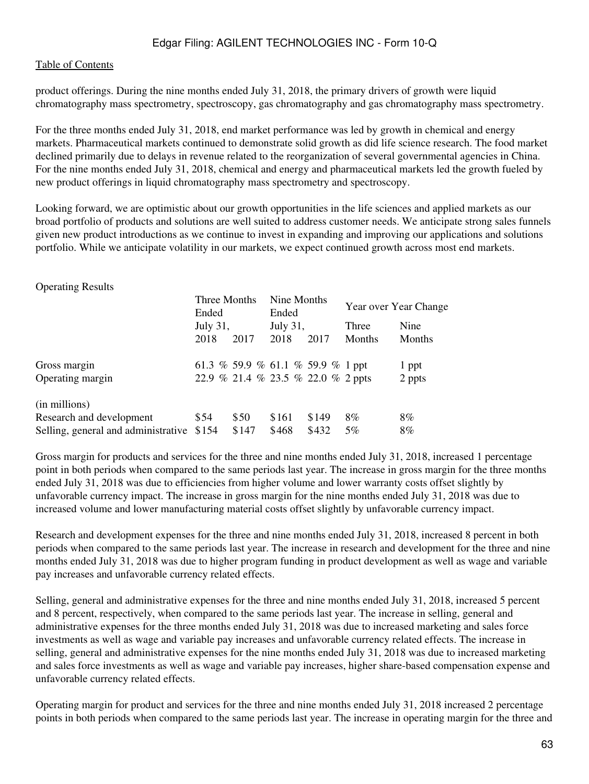### [Table of Contents](#page-2-0)

product offerings. During the nine months ended July 31, 2018, the primary drivers of growth were liquid chromatography mass spectrometry, spectroscopy, gas chromatography and gas chromatography mass spectrometry.

For the three months ended July 31, 2018, end market performance was led by growth in chemical and energy markets. Pharmaceutical markets continued to demonstrate solid growth as did life science research. The food market declined primarily due to delays in revenue related to the reorganization of several governmental agencies in China. For the nine months ended July 31, 2018, chemical and energy and pharmaceutical markets led the growth fueled by new product offerings in liquid chromatography mass spectrometry and spectroscopy.

Looking forward, we are optimistic about our growth opportunities in the life sciences and applied markets as our broad portfolio of products and solutions are well suited to address customer needs. We anticipate strong sales funnels given new product introductions as we continue to invest in expanding and improving our applications and solutions portfolio. While we anticipate volatility in our markets, we expect continued growth across most end markets.

| <b>Operating Results</b>            |                       |                                    |                      |       |                       |               |
|-------------------------------------|-----------------------|------------------------------------|----------------------|-------|-----------------------|---------------|
|                                     | Three Months<br>Ended |                                    | Nine Months<br>Ended |       | Year over Year Change |               |
|                                     | July 31,              |                                    | July 31,             |       | Three                 | Nine          |
|                                     | 2018                  | 2017                               | 2018                 | 2017  | <b>Months</b>         | <b>Months</b> |
| Gross margin                        |                       | 61.3 % 59.9 % 61.1 % 59.9 % 1 ppt  |                      |       |                       | 1 ppt         |
| Operating margin                    |                       | 22.9 % 21.4 % 23.5 % 22.0 % 2 ppts |                      |       |                       | 2 ppts        |
| (in millions)                       |                       |                                    |                      |       |                       |               |
| Research and development            | \$54                  | \$50                               | \$161                | \$149 | 8%                    | 8%            |
| Selling, general and administrative | \$154                 | \$147                              | \$468                | \$432 | $5\%$                 | 8%            |

Gross margin for products and services for the three and nine months ended July 31, 2018, increased 1 percentage point in both periods when compared to the same periods last year. The increase in gross margin for the three months ended July 31, 2018 was due to efficiencies from higher volume and lower warranty costs offset slightly by unfavorable currency impact. The increase in gross margin for the nine months ended July 31, 2018 was due to increased volume and lower manufacturing material costs offset slightly by unfavorable currency impact.

Research and development expenses for the three and nine months ended July 31, 2018, increased 8 percent in both periods when compared to the same periods last year. The increase in research and development for the three and nine months ended July 31, 2018 was due to higher program funding in product development as well as wage and variable pay increases and unfavorable currency related effects.

Selling, general and administrative expenses for the three and nine months ended July 31, 2018, increased 5 percent and 8 percent, respectively, when compared to the same periods last year. The increase in selling, general and administrative expenses for the three months ended July 31, 2018 was due to increased marketing and sales force investments as well as wage and variable pay increases and unfavorable currency related effects. The increase in selling, general and administrative expenses for the nine months ended July 31, 2018 was due to increased marketing and sales force investments as well as wage and variable pay increases, higher share-based compensation expense and unfavorable currency related effects.

Operating margin for product and services for the three and nine months ended July 31, 2018 increased 2 percentage points in both periods when compared to the same periods last year. The increase in operating margin for the three and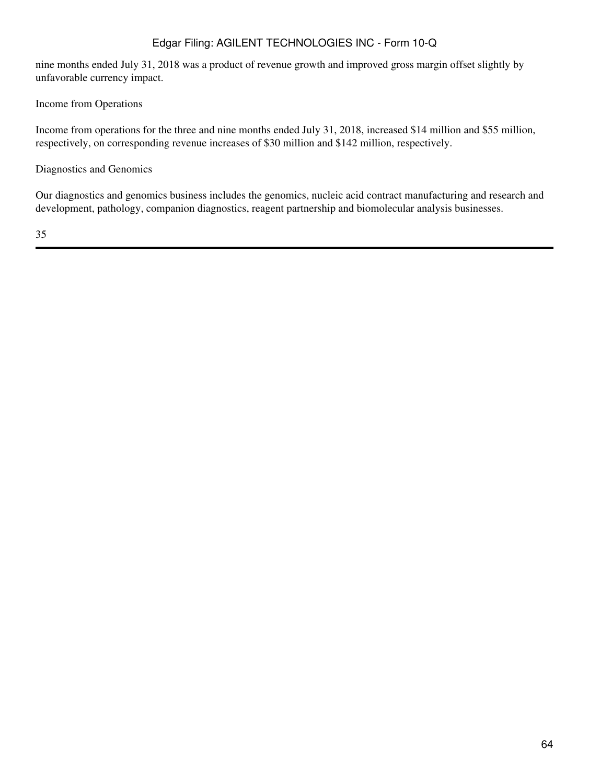nine months ended July 31, 2018 was a product of revenue growth and improved gross margin offset slightly by unfavorable currency impact.

Income from Operations

Income from operations for the three and nine months ended July 31, 2018, increased \$14 million and \$55 million, respectively, on corresponding revenue increases of \$30 million and \$142 million, respectively.

Diagnostics and Genomics

Our diagnostics and genomics business includes the genomics, nucleic acid contract manufacturing and research and development, pathology, companion diagnostics, reagent partnership and biomolecular analysis businesses.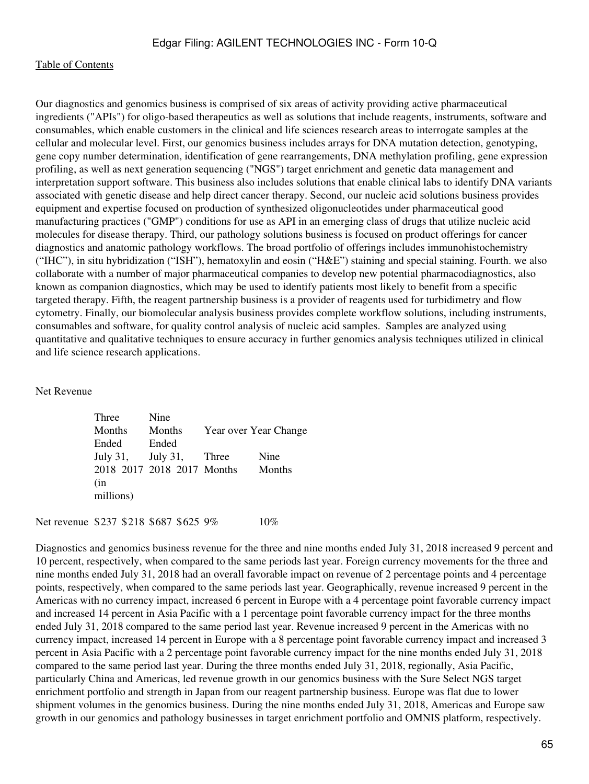Our diagnostics and genomics business is comprised of six areas of activity providing active pharmaceutical ingredients ("APIs") for oligo-based therapeutics as well as solutions that include reagents, instruments, software and consumables, which enable customers in the clinical and life sciences research areas to interrogate samples at the cellular and molecular level. First, our genomics business includes arrays for DNA mutation detection, genotyping, gene copy number determination, identification of gene rearrangements, DNA methylation profiling, gene expression profiling, as well as next generation sequencing ("NGS") target enrichment and genetic data management and interpretation support software. This business also includes solutions that enable clinical labs to identify DNA variants associated with genetic disease and help direct cancer therapy. Second, our nucleic acid solutions business provides equipment and expertise focused on production of synthesized oligonucleotides under pharmaceutical good manufacturing practices ("GMP") conditions for use as API in an emerging class of drugs that utilize nucleic acid molecules for disease therapy. Third, our pathology solutions business is focused on product offerings for cancer diagnostics and anatomic pathology workflows. The broad portfolio of offerings includes immunohistochemistry ("IHC"), in situ hybridization ("ISH"), hematoxylin and eosin ("H&E") staining and special staining. Fourth. we also collaborate with a number of major pharmaceutical companies to develop new potential pharmacodiagnostics, also known as companion diagnostics, which may be used to identify patients most likely to benefit from a specific targeted therapy. Fifth, the reagent partnership business is a provider of reagents used for turbidimetry and flow cytometry. Finally, our biomolecular analysis business provides complete workflow solutions, including instruments, consumables and software, for quality control analysis of nucleic acid samples. Samples are analyzed using quantitative and qualitative techniques to ensure accuracy in further genomics analysis techniques utilized in clinical and life science research applications.

Net Revenue

| Three     | Nine                       |                       |        |
|-----------|----------------------------|-----------------------|--------|
| Months    | Months                     | Year over Year Change |        |
| Ended     | Ended                      |                       |        |
|           | July 31, July 31, Three    |                       | Nine   |
|           | 2018 2017 2018 2017 Months |                       | Months |
| (in       |                            |                       |        |
| millions) |                            |                       |        |
|           |                            |                       |        |

Net revenue \$237 \$218 \$687 \$625 9% 10%

Diagnostics and genomics business revenue for the three and nine months ended July 31, 2018 increased 9 percent and 10 percent, respectively, when compared to the same periods last year. Foreign currency movements for the three and nine months ended July 31, 2018 had an overall favorable impact on revenue of 2 percentage points and 4 percentage points, respectively, when compared to the same periods last year. Geographically, revenue increased 9 percent in the Americas with no currency impact, increased 6 percent in Europe with a 4 percentage point favorable currency impact and increased 14 percent in Asia Pacific with a 1 percentage point favorable currency impact for the three months ended July 31, 2018 compared to the same period last year. Revenue increased 9 percent in the Americas with no currency impact, increased 14 percent in Europe with a 8 percentage point favorable currency impact and increased 3 percent in Asia Pacific with a 2 percentage point favorable currency impact for the nine months ended July 31, 2018 compared to the same period last year. During the three months ended July 31, 2018, regionally, Asia Pacific, particularly China and Americas, led revenue growth in our genomics business with the Sure Select NGS target enrichment portfolio and strength in Japan from our reagent partnership business. Europe was flat due to lower shipment volumes in the genomics business. During the nine months ended July 31, 2018, Americas and Europe saw growth in our genomics and pathology businesses in target enrichment portfolio and OMNIS platform, respectively.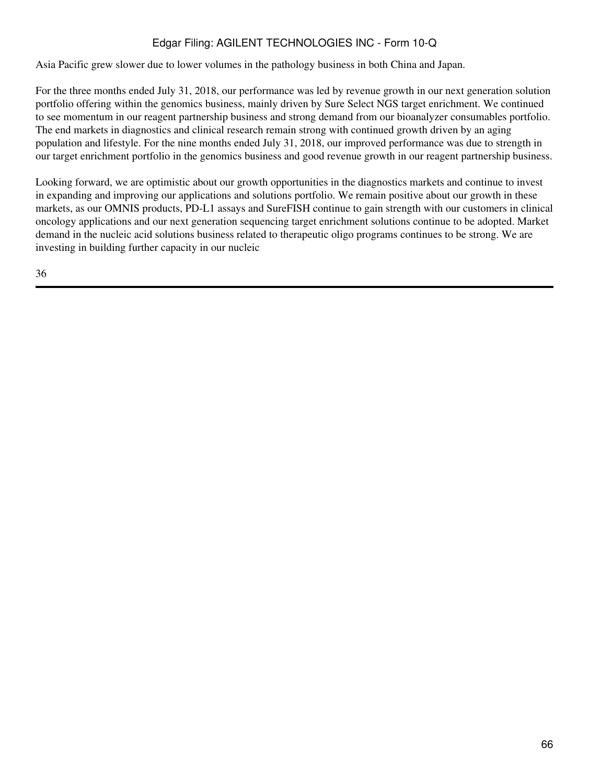Asia Pacific grew slower due to lower volumes in the pathology business in both China and Japan.

For the three months ended July 31, 2018, our performance was led by revenue growth in our next generation solution portfolio offering within the genomics business, mainly driven by Sure Select NGS target enrichment. We continued to see momentum in our reagent partnership business and strong demand from our bioanalyzer consumables portfolio. The end markets in diagnostics and clinical research remain strong with continued growth driven by an aging population and lifestyle. For the nine months ended July 31, 2018, our improved performance was due to strength in our target enrichment portfolio in the genomics business and good revenue growth in our reagent partnership business.

Looking forward, we are optimistic about our growth opportunities in the diagnostics markets and continue to invest in expanding and improving our applications and solutions portfolio. We remain positive about our growth in these markets, as our OMNIS products, PD-L1 assays and SureFISH continue to gain strength with our customers in clinical oncology applications and our next generation sequencing target enrichment solutions continue to be adopted. Market demand in the nucleic acid solutions business related to therapeutic oligo programs continues to be strong. We are investing in building further capacity in our nucleic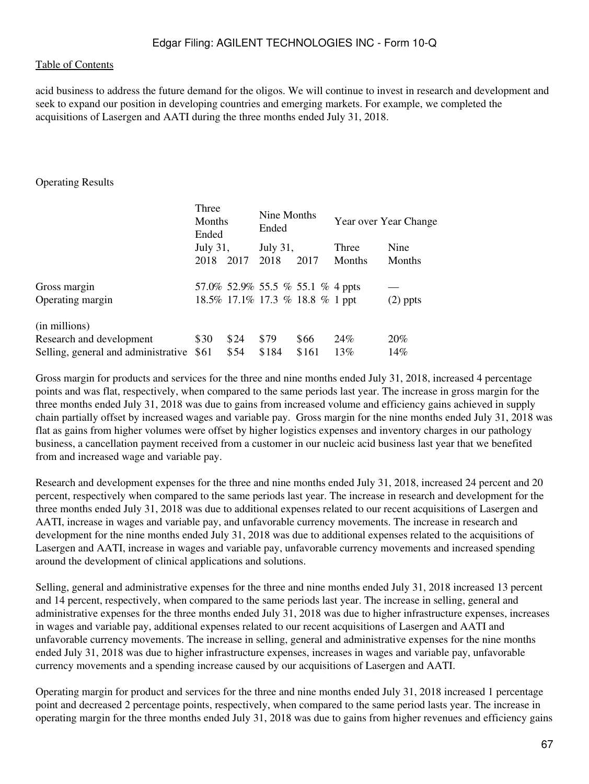acid business to address the future demand for the oligos. We will continue to invest in research and development and seek to expand our position in developing countries and emerging markets. For example, we completed the acquisitions of Lasergen and AATI during the three months ended July 31, 2018.

### Operating Results

|                                     | Three<br>Months<br>Ended<br>July 31, |      | Nine Months<br>Ended<br>July 31, |       | Year over Year Change |            |
|-------------------------------------|--------------------------------------|------|----------------------------------|-------|-----------------------|------------|
|                                     |                                      |      |                                  |       | Three                 | Nine       |
|                                     | 2018                                 | 2017 | 2018                             | 2017  | Months                | Months     |
| Gross margin                        |                                      |      | 57.0% 52.9% 55.5 % 55.1 % 4 ppts |       |                       |            |
| Operating margin                    |                                      |      | 18.5% 17.1% 17.3 % 18.8 % 1 ppt  |       |                       | $(2)$ ppts |
| (in millions)                       |                                      |      |                                  |       |                       |            |
| Research and development            | \$30                                 | \$24 | \$79                             | \$66  | 24%                   | 20%        |
| Selling, general and administrative | \$61                                 | \$54 | \$184                            | \$161 | 13%                   | 14%        |

Gross margin for products and services for the three and nine months ended July 31, 2018, increased 4 percentage points and was flat, respectively, when compared to the same periods last year. The increase in gross margin for the three months ended July 31, 2018 was due to gains from increased volume and efficiency gains achieved in supply chain partially offset by increased wages and variable pay. Gross margin for the nine months ended July 31, 2018 was flat as gains from higher volumes were offset by higher logistics expenses and inventory charges in our pathology business, a cancellation payment received from a customer in our nucleic acid business last year that we benefited from and increased wage and variable pay.

Research and development expenses for the three and nine months ended July 31, 2018, increased 24 percent and 20 percent, respectively when compared to the same periods last year. The increase in research and development for the three months ended July 31, 2018 was due to additional expenses related to our recent acquisitions of Lasergen and AATI, increase in wages and variable pay, and unfavorable currency movements. The increase in research and development for the nine months ended July 31, 2018 was due to additional expenses related to the acquisitions of Lasergen and AATI, increase in wages and variable pay, unfavorable currency movements and increased spending around the development of clinical applications and solutions.

Selling, general and administrative expenses for the three and nine months ended July 31, 2018 increased 13 percent and 14 percent, respectively, when compared to the same periods last year. The increase in selling, general and administrative expenses for the three months ended July 31, 2018 was due to higher infrastructure expenses, increases in wages and variable pay, additional expenses related to our recent acquisitions of Lasergen and AATI and unfavorable currency movements. The increase in selling, general and administrative expenses for the nine months ended July 31, 2018 was due to higher infrastructure expenses, increases in wages and variable pay, unfavorable currency movements and a spending increase caused by our acquisitions of Lasergen and AATI.

Operating margin for product and services for the three and nine months ended July 31, 2018 increased 1 percentage point and decreased 2 percentage points, respectively, when compared to the same period lasts year. The increase in operating margin for the three months ended July 31, 2018 was due to gains from higher revenues and efficiency gains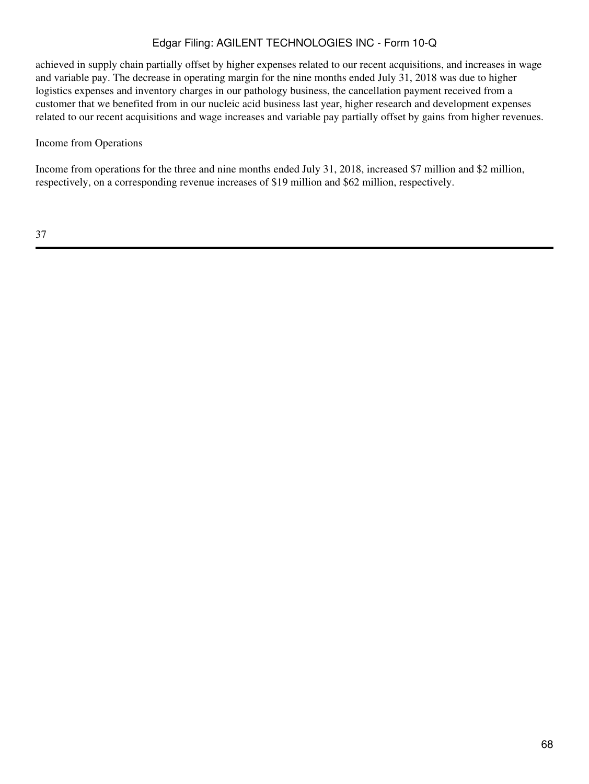achieved in supply chain partially offset by higher expenses related to our recent acquisitions, and increases in wage and variable pay. The decrease in operating margin for the nine months ended July 31, 2018 was due to higher logistics expenses and inventory charges in our pathology business, the cancellation payment received from a customer that we benefited from in our nucleic acid business last year, higher research and development expenses related to our recent acquisitions and wage increases and variable pay partially offset by gains from higher revenues.

### Income from Operations

Income from operations for the three and nine months ended July 31, 2018, increased \$7 million and \$2 million, respectively, on a corresponding revenue increases of \$19 million and \$62 million, respectively.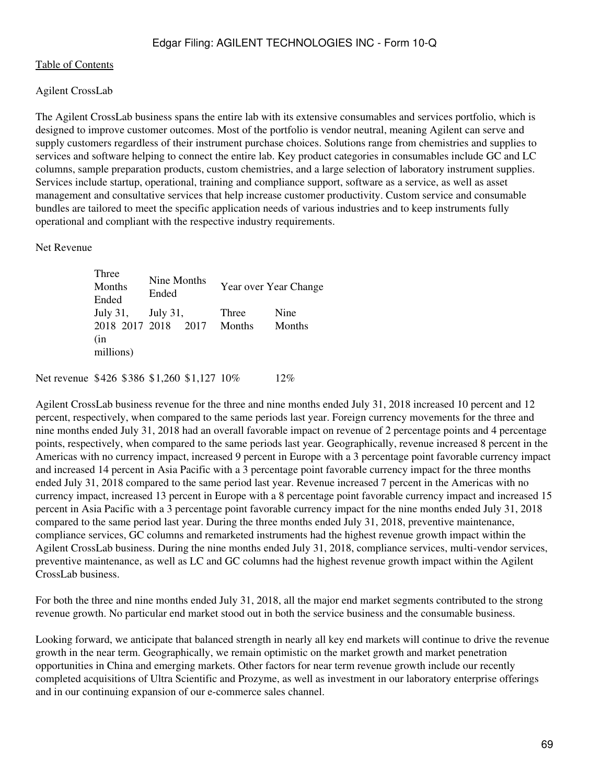## Agilent CrossLab

The Agilent CrossLab business spans the entire lab with its extensive consumables and services portfolio, which is designed to improve customer outcomes. Most of the portfolio is vendor neutral, meaning Agilent can serve and supply customers regardless of their instrument purchase choices. Solutions range from chemistries and supplies to services and software helping to connect the entire lab. Key product categories in consumables include GC and LC columns, sample preparation products, custom chemistries, and a large selection of laboratory instrument supplies. Services include startup, operational, training and compliance support, software as a service, as well as asset management and consultative services that help increase customer productivity. Custom service and consumable bundles are tailored to meet the specific application needs of various industries and to keep instruments fully operational and compliant with the respective industry requirements.

Net Revenue

Three Months Ended Nine Months Finded Year over Year Change July 31, July 31, Three Nine 2018 2017 2018 2017 Months Months (in millions)

Net revenue \$426 \$386 \$1,260 \$1,127 10\% 12\%

Agilent CrossLab business revenue for the three and nine months ended July 31, 2018 increased 10 percent and 12 percent, respectively, when compared to the same periods last year. Foreign currency movements for the three and nine months ended July 31, 2018 had an overall favorable impact on revenue of 2 percentage points and 4 percentage points, respectively, when compared to the same periods last year. Geographically, revenue increased 8 percent in the Americas with no currency impact, increased 9 percent in Europe with a 3 percentage point favorable currency impact and increased 14 percent in Asia Pacific with a 3 percentage point favorable currency impact for the three months ended July 31, 2018 compared to the same period last year. Revenue increased 7 percent in the Americas with no currency impact, increased 13 percent in Europe with a 8 percentage point favorable currency impact and increased 15 percent in Asia Pacific with a 3 percentage point favorable currency impact for the nine months ended July 31, 2018 compared to the same period last year. During the three months ended July 31, 2018, preventive maintenance, compliance services, GC columns and remarketed instruments had the highest revenue growth impact within the Agilent CrossLab business. During the nine months ended July 31, 2018, compliance services, multi-vendor services, preventive maintenance, as well as LC and GC columns had the highest revenue growth impact within the Agilent CrossLab business.

For both the three and nine months ended July 31, 2018, all the major end market segments contributed to the strong revenue growth. No particular end market stood out in both the service business and the consumable business.

Looking forward, we anticipate that balanced strength in nearly all key end markets will continue to drive the revenue growth in the near term. Geographically, we remain optimistic on the market growth and market penetration opportunities in China and emerging markets. Other factors for near term revenue growth include our recently completed acquisitions of Ultra Scientific and Prozyme, as well as investment in our laboratory enterprise offerings and in our continuing expansion of our e-commerce sales channel.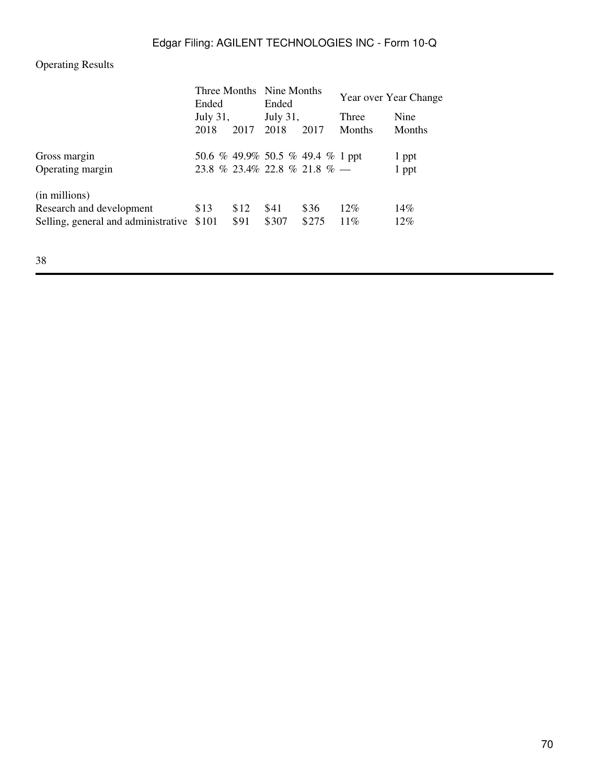# Operating Results

| Ended<br>July $31$ ,                      |      | Ended<br><b>July 31,</b> |       | Year over Year Change    |                                                                  |
|-------------------------------------------|------|--------------------------|-------|--------------------------|------------------------------------------------------------------|
|                                           |      |                          |       |                          |                                                                  |
|                                           |      |                          |       | 2018                     | 2017                                                             |
|                                           |      |                          |       |                          | 1 ppt                                                            |
|                                           |      |                          |       |                          | 1 ppt                                                            |
|                                           |      |                          |       |                          |                                                                  |
| \$13                                      | \$12 | \$41                     | \$36  | $12\%$                   | 14%                                                              |
| Selling, general and administrative \$101 | \$91 | \$307                    | \$275 | $11\%$                   | $12\%$                                                           |
|                                           |      |                          |       | Three Months Nine Months | 50.6 % 49.9% 50.5 % 49.4 % 1 ppt<br>23.8 % 23.4% 22.8 % 21.8 % — |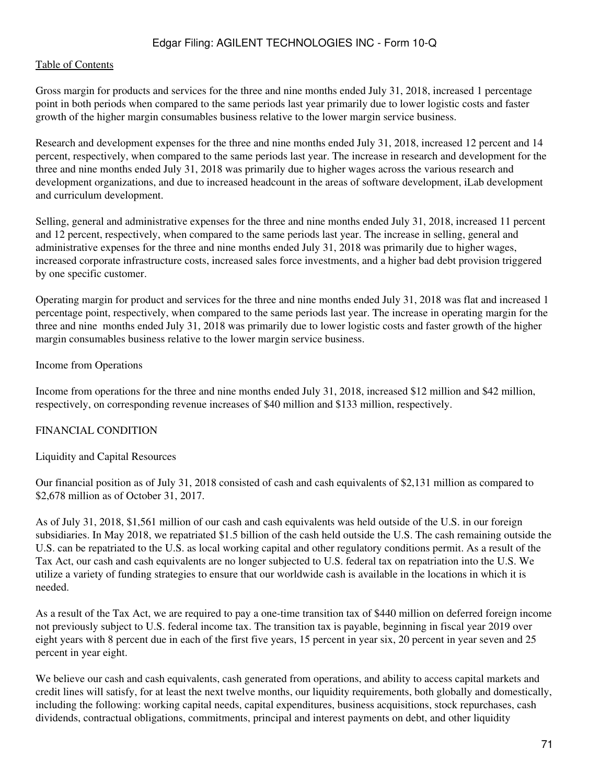#### [Table of Contents](#page-2-0)

Gross margin for products and services for the three and nine months ended July 31, 2018, increased 1 percentage point in both periods when compared to the same periods last year primarily due to lower logistic costs and faster growth of the higher margin consumables business relative to the lower margin service business.

Research and development expenses for the three and nine months ended July 31, 2018, increased 12 percent and 14 percent, respectively, when compared to the same periods last year. The increase in research and development for the three and nine months ended July 31, 2018 was primarily due to higher wages across the various research and development organizations, and due to increased headcount in the areas of software development, iLab development and curriculum development.

Selling, general and administrative expenses for the three and nine months ended July 31, 2018, increased 11 percent and 12 percent, respectively, when compared to the same periods last year. The increase in selling, general and administrative expenses for the three and nine months ended July 31, 2018 was primarily due to higher wages, increased corporate infrastructure costs, increased sales force investments, and a higher bad debt provision triggered by one specific customer.

Operating margin for product and services for the three and nine months ended July 31, 2018 was flat and increased 1 percentage point, respectively, when compared to the same periods last year. The increase in operating margin for the three and nine months ended July 31, 2018 was primarily due to lower logistic costs and faster growth of the higher margin consumables business relative to the lower margin service business.

Income from Operations

Income from operations for the three and nine months ended July 31, 2018, increased \$12 million and \$42 million, respectively, on corresponding revenue increases of \$40 million and \$133 million, respectively.

#### FINANCIAL CONDITION

Liquidity and Capital Resources

Our financial position as of July 31, 2018 consisted of cash and cash equivalents of \$2,131 million as compared to \$2,678 million as of October 31, 2017.

As of July 31, 2018, \$1,561 million of our cash and cash equivalents was held outside of the U.S. in our foreign subsidiaries. In May 2018, we repatriated \$1.5 billion of the cash held outside the U.S. The cash remaining outside the U.S. can be repatriated to the U.S. as local working capital and other regulatory conditions permit. As a result of the Tax Act, our cash and cash equivalents are no longer subjected to U.S. federal tax on repatriation into the U.S. We utilize a variety of funding strategies to ensure that our worldwide cash is available in the locations in which it is needed.

As a result of the Tax Act, we are required to pay a one-time transition tax of \$440 million on deferred foreign income not previously subject to U.S. federal income tax. The transition tax is payable, beginning in fiscal year 2019 over eight years with 8 percent due in each of the first five years, 15 percent in year six, 20 percent in year seven and 25 percent in year eight.

We believe our cash and cash equivalents, cash generated from operations, and ability to access capital markets and credit lines will satisfy, for at least the next twelve months, our liquidity requirements, both globally and domestically, including the following: working capital needs, capital expenditures, business acquisitions, stock repurchases, cash dividends, contractual obligations, commitments, principal and interest payments on debt, and other liquidity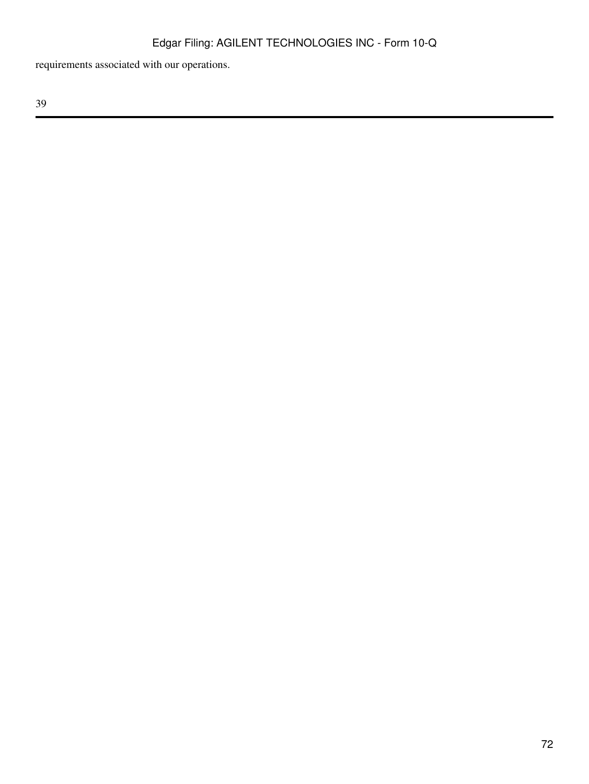requirements associated with our operations.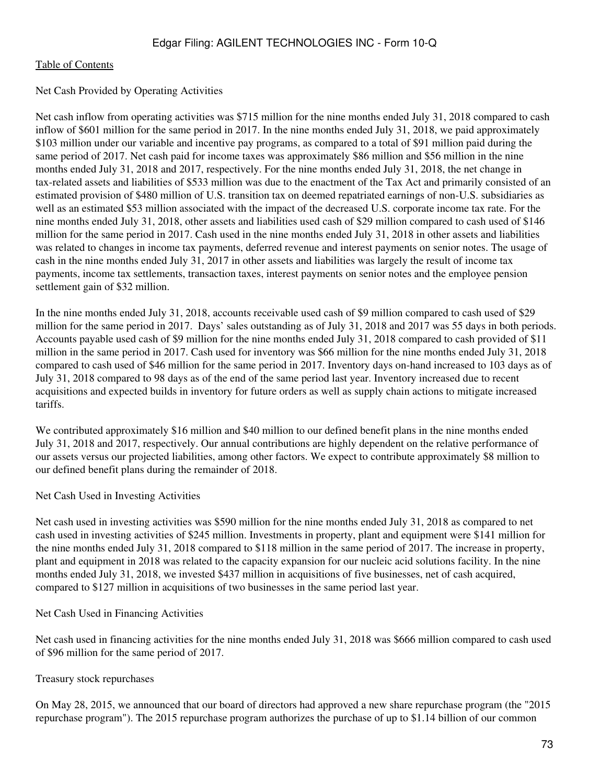### Net Cash Provided by Operating Activities

Net cash inflow from operating activities was \$715 million for the nine months ended July 31, 2018 compared to cash inflow of \$601 million for the same period in 2017. In the nine months ended July 31, 2018, we paid approximately \$103 million under our variable and incentive pay programs, as compared to a total of \$91 million paid during the same period of 2017. Net cash paid for income taxes was approximately \$86 million and \$56 million in the nine months ended July 31, 2018 and 2017, respectively. For the nine months ended July 31, 2018, the net change in tax-related assets and liabilities of \$533 million was due to the enactment of the Tax Act and primarily consisted of an estimated provision of \$480 million of U.S. transition tax on deemed repatriated earnings of non-U.S. subsidiaries as well as an estimated \$53 million associated with the impact of the decreased U.S. corporate income tax rate. For the nine months ended July 31, 2018, other assets and liabilities used cash of \$29 million compared to cash used of \$146 million for the same period in 2017. Cash used in the nine months ended July 31, 2018 in other assets and liabilities was related to changes in income tax payments, deferred revenue and interest payments on senior notes. The usage of cash in the nine months ended July 31, 2017 in other assets and liabilities was largely the result of income tax payments, income tax settlements, transaction taxes, interest payments on senior notes and the employee pension settlement gain of \$32 million.

In the nine months ended July 31, 2018, accounts receivable used cash of \$9 million compared to cash used of \$29 million for the same period in 2017. Days' sales outstanding as of July 31, 2018 and 2017 was 55 days in both periods. Accounts payable used cash of \$9 million for the nine months ended July 31, 2018 compared to cash provided of \$11 million in the same period in 2017. Cash used for inventory was \$66 million for the nine months ended July 31, 2018 compared to cash used of \$46 million for the same period in 2017. Inventory days on-hand increased to 103 days as of July 31, 2018 compared to 98 days as of the end of the same period last year. Inventory increased due to recent acquisitions and expected builds in inventory for future orders as well as supply chain actions to mitigate increased tariffs.

We contributed approximately \$16 million and \$40 million to our defined benefit plans in the nine months ended July 31, 2018 and 2017, respectively. Our annual contributions are highly dependent on the relative performance of our assets versus our projected liabilities, among other factors. We expect to contribute approximately \$8 million to our defined benefit plans during the remainder of 2018.

Net Cash Used in Investing Activities

Net cash used in investing activities was \$590 million for the nine months ended July 31, 2018 as compared to net cash used in investing activities of \$245 million. Investments in property, plant and equipment were \$141 million for the nine months ended July 31, 2018 compared to \$118 million in the same period of 2017. The increase in property, plant and equipment in 2018 was related to the capacity expansion for our nucleic acid solutions facility. In the nine months ended July 31, 2018, we invested \$437 million in acquisitions of five businesses, net of cash acquired, compared to \$127 million in acquisitions of two businesses in the same period last year.

### Net Cash Used in Financing Activities

Net cash used in financing activities for the nine months ended July 31, 2018 was \$666 million compared to cash used of \$96 million for the same period of 2017.

### Treasury stock repurchases

On May 28, 2015, we announced that our board of directors had approved a new share repurchase program (the "2015 repurchase program"). The 2015 repurchase program authorizes the purchase of up to \$1.14 billion of our common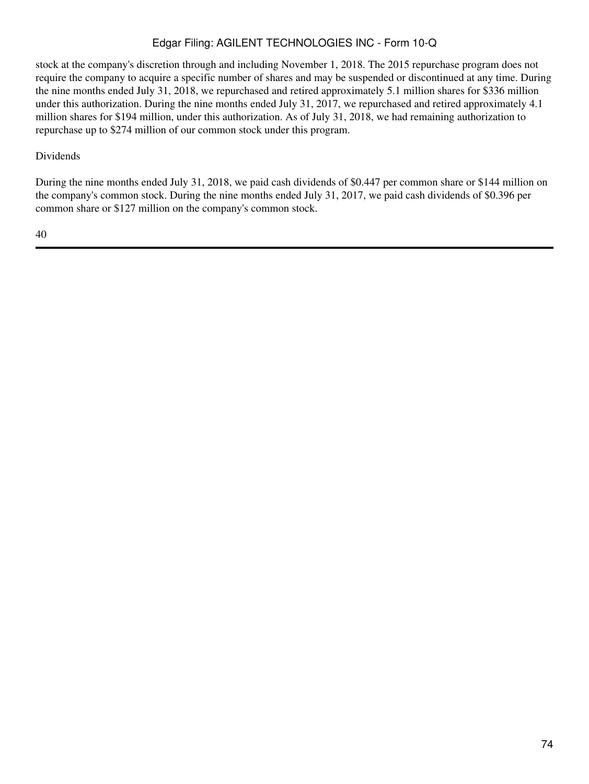stock at the company's discretion through and including November 1, 2018. The 2015 repurchase program does not require the company to acquire a specific number of shares and may be suspended or discontinued at any time. During the nine months ended July 31, 2018, we repurchased and retired approximately 5.1 million shares for \$336 million under this authorization. During the nine months ended July 31, 2017, we repurchased and retired approximately 4.1 million shares for \$194 million, under this authorization. As of July 31, 2018, we had remaining authorization to repurchase up to \$274 million of our common stock under this program.

### Dividends

During the nine months ended July 31, 2018, we paid cash dividends of \$0.447 per common share or \$144 million on the company's common stock. During the nine months ended July 31, 2017, we paid cash dividends of \$0.396 per common share or \$127 million on the company's common stock.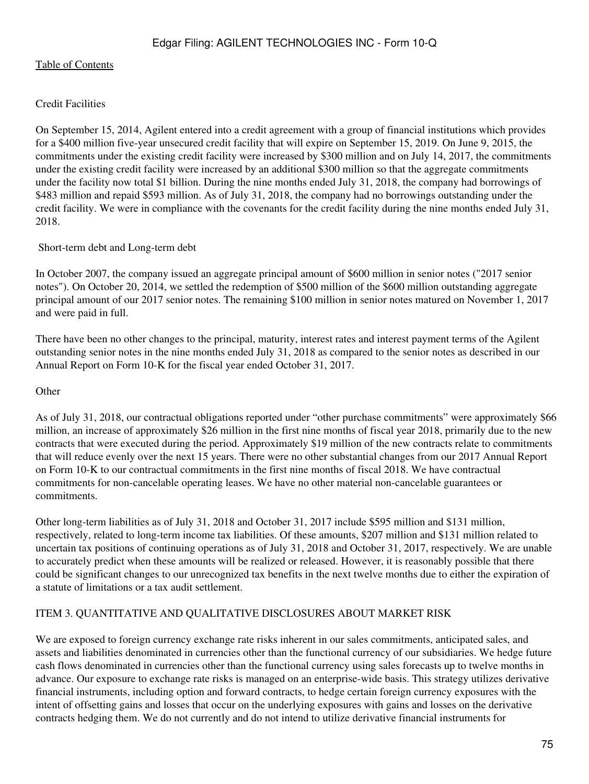### Credit Facilities

On September 15, 2014, Agilent entered into a credit agreement with a group of financial institutions which provides for a \$400 million five-year unsecured credit facility that will expire on September 15, 2019. On June 9, 2015, the commitments under the existing credit facility were increased by \$300 million and on July 14, 2017, the commitments under the existing credit facility were increased by an additional \$300 million so that the aggregate commitments under the facility now total \$1 billion. During the nine months ended July 31, 2018, the company had borrowings of \$483 million and repaid \$593 million. As of July 31, 2018, the company had no borrowings outstanding under the credit facility. We were in compliance with the covenants for the credit facility during the nine months ended July 31, 2018.

### Short-term debt and Long-term debt

In October 2007, the company issued an aggregate principal amount of \$600 million in senior notes ("2017 senior notes"). On October 20, 2014, we settled the redemption of \$500 million of the \$600 million outstanding aggregate principal amount of our 2017 senior notes. The remaining \$100 million in senior notes matured on November 1, 2017 and were paid in full.

There have been no other changes to the principal, maturity, interest rates and interest payment terms of the Agilent outstanding senior notes in the nine months ended July 31, 2018 as compared to the senior notes as described in our Annual Report on Form 10-K for the fiscal year ended October 31, 2017.

**Other** 

As of July 31, 2018, our contractual obligations reported under "other purchase commitments" were approximately \$66 million, an increase of approximately \$26 million in the first nine months of fiscal year 2018, primarily due to the new contracts that were executed during the period. Approximately \$19 million of the new contracts relate to commitments that will reduce evenly over the next 15 years. There were no other substantial changes from our 2017 Annual Report on Form 10-K to our contractual commitments in the first nine months of fiscal 2018. We have contractual commitments for non-cancelable operating leases. We have no other material non-cancelable guarantees or commitments.

Other long-term liabilities as of July 31, 2018 and October 31, 2017 include \$595 million and \$131 million, respectively, related to long-term income tax liabilities. Of these amounts, \$207 million and \$131 million related to uncertain tax positions of continuing operations as of July 31, 2018 and October 31, 2017, respectively. We are unable to accurately predict when these amounts will be realized or released. However, it is reasonably possible that there could be significant changes to our unrecognized tax benefits in the next twelve months due to either the expiration of a statute of limitations or a tax audit settlement.

### ITEM 3. QUANTITATIVE AND QUALITATIVE DISCLOSURES ABOUT MARKET RISK

We are exposed to foreign currency exchange rate risks inherent in our sales commitments, anticipated sales, and assets and liabilities denominated in currencies other than the functional currency of our subsidiaries. We hedge future cash flows denominated in currencies other than the functional currency using sales forecasts up to twelve months in advance. Our exposure to exchange rate risks is managed on an enterprise-wide basis. This strategy utilizes derivative financial instruments, including option and forward contracts, to hedge certain foreign currency exposures with the intent of offsetting gains and losses that occur on the underlying exposures with gains and losses on the derivative contracts hedging them. We do not currently and do not intend to utilize derivative financial instruments for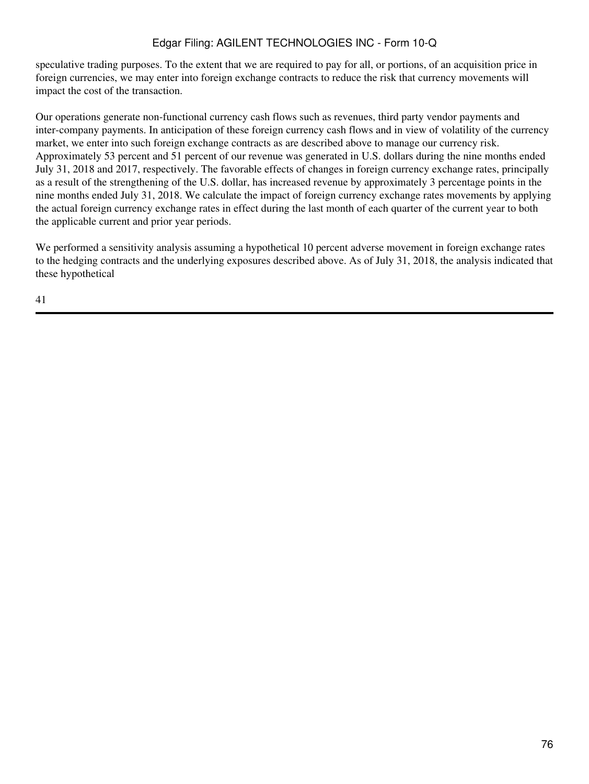speculative trading purposes. To the extent that we are required to pay for all, or portions, of an acquisition price in foreign currencies, we may enter into foreign exchange contracts to reduce the risk that currency movements will impact the cost of the transaction.

Our operations generate non-functional currency cash flows such as revenues, third party vendor payments and inter-company payments. In anticipation of these foreign currency cash flows and in view of volatility of the currency market, we enter into such foreign exchange contracts as are described above to manage our currency risk. Approximately 53 percent and 51 percent of our revenue was generated in U.S. dollars during the nine months ended July 31, 2018 and 2017, respectively. The favorable effects of changes in foreign currency exchange rates, principally as a result of the strengthening of the U.S. dollar, has increased revenue by approximately 3 percentage points in the nine months ended July 31, 2018. We calculate the impact of foreign currency exchange rates movements by applying the actual foreign currency exchange rates in effect during the last month of each quarter of the current year to both the applicable current and prior year periods.

We performed a sensitivity analysis assuming a hypothetical 10 percent adverse movement in foreign exchange rates to the hedging contracts and the underlying exposures described above. As of July 31, 2018, the analysis indicated that these hypothetical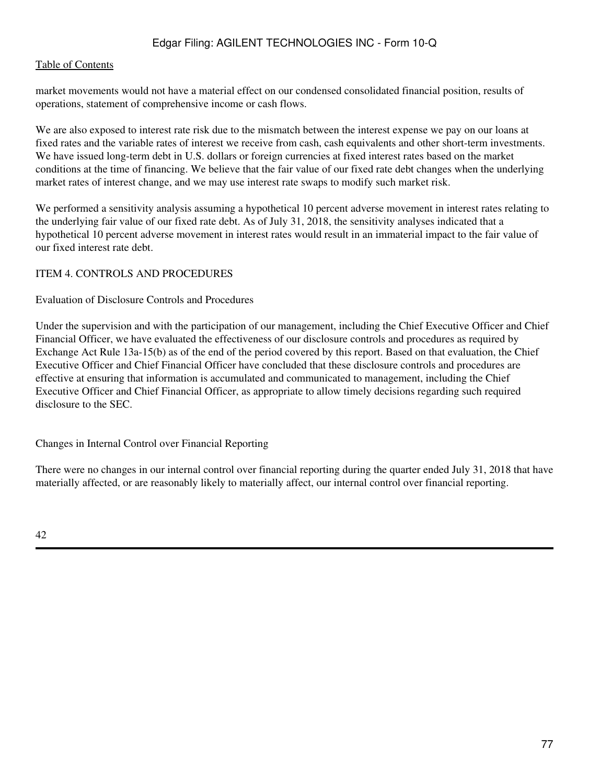#### [Table of Contents](#page-2-0)

market movements would not have a material effect on our condensed consolidated financial position, results of operations, statement of comprehensive income or cash flows.

We are also exposed to interest rate risk due to the mismatch between the interest expense we pay on our loans at fixed rates and the variable rates of interest we receive from cash, cash equivalents and other short-term investments. We have issued long-term debt in U.S. dollars or foreign currencies at fixed interest rates based on the market conditions at the time of financing. We believe that the fair value of our fixed rate debt changes when the underlying market rates of interest change, and we may use interest rate swaps to modify such market risk.

We performed a sensitivity analysis assuming a hypothetical 10 percent adverse movement in interest rates relating to the underlying fair value of our fixed rate debt. As of July 31, 2018, the sensitivity analyses indicated that a hypothetical 10 percent adverse movement in interest rates would result in an immaterial impact to the fair value of our fixed interest rate debt.

### ITEM 4. CONTROLS AND PROCEDURES

#### Evaluation of Disclosure Controls and Procedures

Under the supervision and with the participation of our management, including the Chief Executive Officer and Chief Financial Officer, we have evaluated the effectiveness of our disclosure controls and procedures as required by Exchange Act Rule 13a-15(b) as of the end of the period covered by this report. Based on that evaluation, the Chief Executive Officer and Chief Financial Officer have concluded that these disclosure controls and procedures are effective at ensuring that information is accumulated and communicated to management, including the Chief Executive Officer and Chief Financial Officer, as appropriate to allow timely decisions regarding such required disclosure to the SEC.

Changes in Internal Control over Financial Reporting

There were no changes in our internal control over financial reporting during the quarter ended July 31, 2018 that have materially affected, or are reasonably likely to materially affect, our internal control over financial reporting.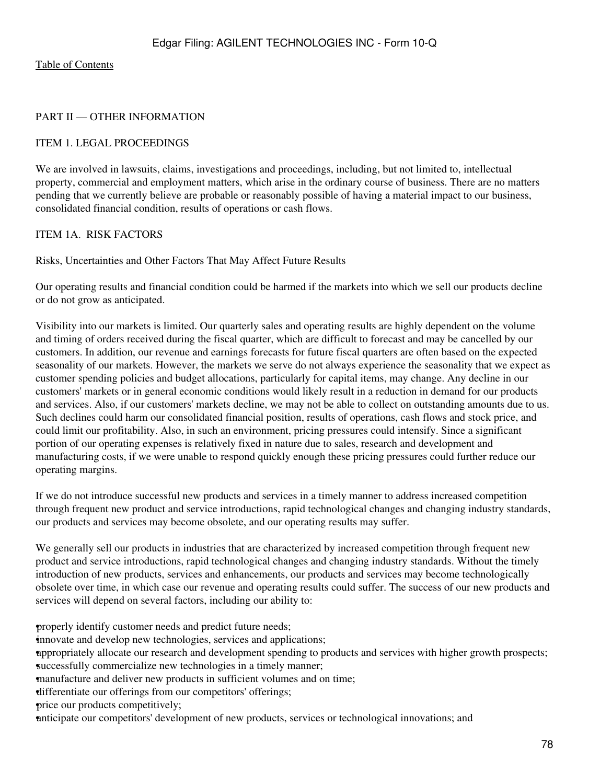## PART II — OTHER INFORMATION

### ITEM 1. LEGAL PROCEEDINGS

We are involved in lawsuits, claims, investigations and proceedings, including, but not limited to, intellectual property, commercial and employment matters, which arise in the ordinary course of business. There are no matters pending that we currently believe are probable or reasonably possible of having a material impact to our business, consolidated financial condition, results of operations or cash flows.

### ITEM 1A. RISK FACTORS

Risks, Uncertainties and Other Factors That May Affect Future Results

Our operating results and financial condition could be harmed if the markets into which we sell our products decline or do not grow as anticipated.

Visibility into our markets is limited. Our quarterly sales and operating results are highly dependent on the volume and timing of orders received during the fiscal quarter, which are difficult to forecast and may be cancelled by our customers. In addition, our revenue and earnings forecasts for future fiscal quarters are often based on the expected seasonality of our markets. However, the markets we serve do not always experience the seasonality that we expect as customer spending policies and budget allocations, particularly for capital items, may change. Any decline in our customers' markets or in general economic conditions would likely result in a reduction in demand for our products and services. Also, if our customers' markets decline, we may not be able to collect on outstanding amounts due to us. Such declines could harm our consolidated financial position, results of operations, cash flows and stock price, and could limit our profitability. Also, in such an environment, pricing pressures could intensify. Since a significant portion of our operating expenses is relatively fixed in nature due to sales, research and development and manufacturing costs, if we were unable to respond quickly enough these pricing pressures could further reduce our operating margins.

If we do not introduce successful new products and services in a timely manner to address increased competition through frequent new product and service introductions, rapid technological changes and changing industry standards, our products and services may become obsolete, and our operating results may suffer.

We generally sell our products in industries that are characterized by increased competition through frequent new product and service introductions, rapid technological changes and changing industry standards. Without the timely introduction of new products, services and enhancements, our products and services may become technologically obsolete over time, in which case our revenue and operating results could suffer. The success of our new products and services will depend on several factors, including our ability to:

properly identify customer needs and predict future needs;

•innovate and develop new technologies, services and applications;

•appropriately allocate our research and development spending to products and services with higher growth prospects; successfully commercialize new technologies in a timely manner;

•manufacture and deliver new products in sufficient volumes and on time;

•differentiate our offerings from our competitors' offerings;

•price our products competitively;

•anticipate our competitors' development of new products, services or technological innovations; and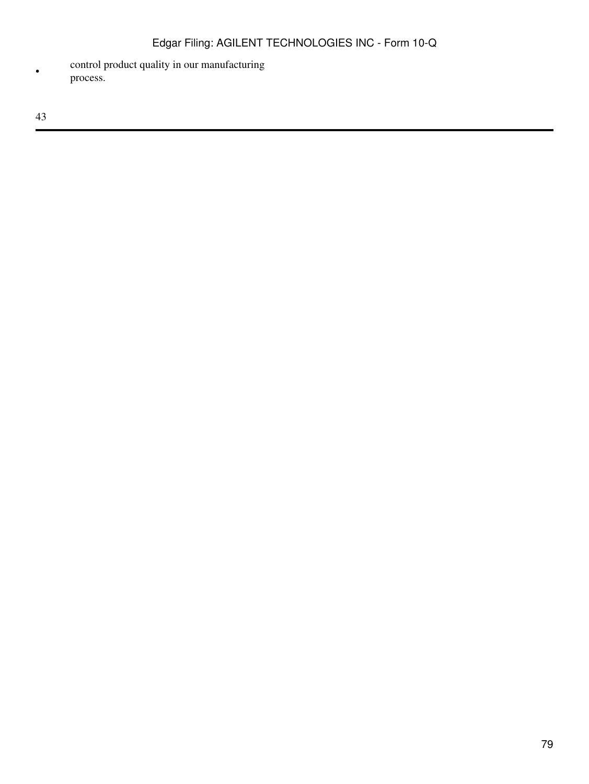• control product quality in our manufacturing process.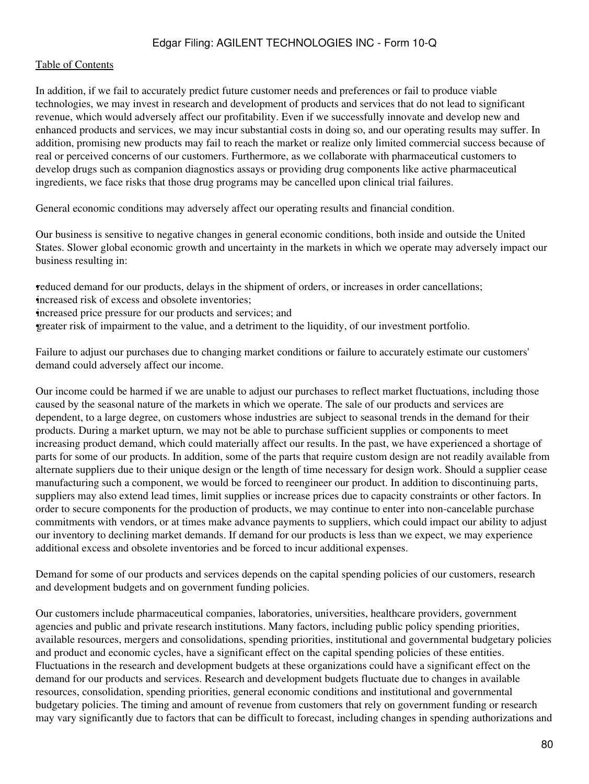#### [Table of Contents](#page-2-0)

In addition, if we fail to accurately predict future customer needs and preferences or fail to produce viable technologies, we may invest in research and development of products and services that do not lead to significant revenue, which would adversely affect our profitability. Even if we successfully innovate and develop new and enhanced products and services, we may incur substantial costs in doing so, and our operating results may suffer. In addition, promising new products may fail to reach the market or realize only limited commercial success because of real or perceived concerns of our customers. Furthermore, as we collaborate with pharmaceutical customers to develop drugs such as companion diagnostics assays or providing drug components like active pharmaceutical ingredients, we face risks that those drug programs may be cancelled upon clinical trial failures.

General economic conditions may adversely affect our operating results and financial condition.

Our business is sensitive to negative changes in general economic conditions, both inside and outside the United States. Slower global economic growth and uncertainty in the markets in which we operate may adversely impact our business resulting in:

•reduced demand for our products, delays in the shipment of orders, or increases in order cancellations; increased risk of excess and obsolete inventories; •increased price pressure for our products and services; and •greater risk of impairment to the value, and a detriment to the liquidity, of our investment portfolio.

Failure to adjust our purchases due to changing market conditions or failure to accurately estimate our customers' demand could adversely affect our income.

Our income could be harmed if we are unable to adjust our purchases to reflect market fluctuations, including those caused by the seasonal nature of the markets in which we operate. The sale of our products and services are dependent, to a large degree, on customers whose industries are subject to seasonal trends in the demand for their products. During a market upturn, we may not be able to purchase sufficient supplies or components to meet increasing product demand, which could materially affect our results. In the past, we have experienced a shortage of parts for some of our products. In addition, some of the parts that require custom design are not readily available from alternate suppliers due to their unique design or the length of time necessary for design work. Should a supplier cease manufacturing such a component, we would be forced to reengineer our product. In addition to discontinuing parts, suppliers may also extend lead times, limit supplies or increase prices due to capacity constraints or other factors. In order to secure components for the production of products, we may continue to enter into non-cancelable purchase commitments with vendors, or at times make advance payments to suppliers, which could impact our ability to adjust our inventory to declining market demands. If demand for our products is less than we expect, we may experience additional excess and obsolete inventories and be forced to incur additional expenses.

Demand for some of our products and services depends on the capital spending policies of our customers, research and development budgets and on government funding policies.

Our customers include pharmaceutical companies, laboratories, universities, healthcare providers, government agencies and public and private research institutions. Many factors, including public policy spending priorities, available resources, mergers and consolidations, spending priorities, institutional and governmental budgetary policies and product and economic cycles, have a significant effect on the capital spending policies of these entities. Fluctuations in the research and development budgets at these organizations could have a significant effect on the demand for our products and services. Research and development budgets fluctuate due to changes in available resources, consolidation, spending priorities, general economic conditions and institutional and governmental budgetary policies. The timing and amount of revenue from customers that rely on government funding or research may vary significantly due to factors that can be difficult to forecast, including changes in spending authorizations and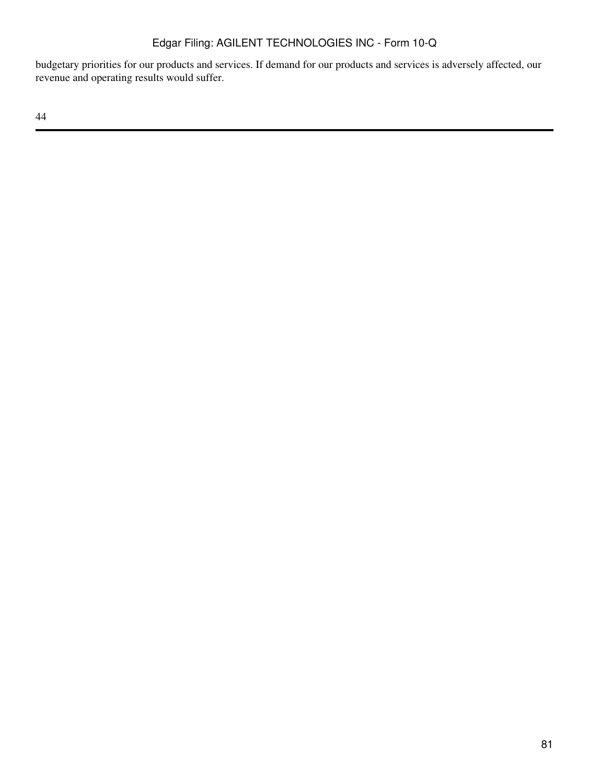budgetary priorities for our products and services. If demand for our products and services is adversely affected, our revenue and operating results would suffer.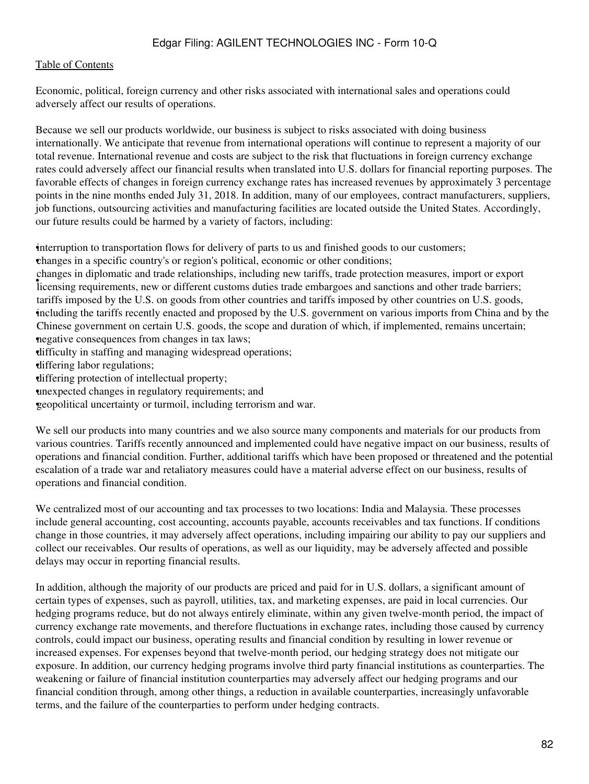Economic, political, foreign currency and other risks associated with international sales and operations could adversely affect our results of operations.

Because we sell our products worldwide, our business is subject to risks associated with doing business internationally. We anticipate that revenue from international operations will continue to represent a majority of our total revenue. International revenue and costs are subject to the risk that fluctuations in foreign currency exchange rates could adversely affect our financial results when translated into U.S. dollars for financial reporting purposes. The favorable effects of changes in foreign currency exchange rates has increased revenues by approximately 3 percentage points in the nine months ended July 31, 2018. In addition, many of our employees, contract manufacturers, suppliers, job functions, outsourcing activities and manufacturing facilities are located outside the United States. Accordingly, our future results could be harmed by a variety of factors, including:

•interruption to transportation flows for delivery of parts to us and finished goods to our customers;

•changes in a specific country's or region's political, economic or other conditions;

enanges in appointance and trade relationships, including hew tarins, trade protection measures, import or export-<br>licensing requirements, new or different customs duties trade embargoes and sanctions and other trade barri changes in diplomatic and trade relationships, including new tariffs, trade protection measures, import or export • including the tariffs recently enacted and proposed by the U.S. government on various imports from China and by the tariffs imposed by the U.S. on goods from other countries and tariffs imposed by other countries on U.S. goods, Chinese government on certain U.S. goods, the scope and duration of which, if implemented, remains uncertain; negative consequences from changes in tax laws;

•difficulty in staffing and managing widespread operations;

•differing labor regulations;

•differing protection of intellectual property;

•unexpected changes in regulatory requirements; and

•geopolitical uncertainty or turmoil, including terrorism and war.

We sell our products into many countries and we also source many components and materials for our products from various countries. Tariffs recently announced and implemented could have negative impact on our business, results of operations and financial condition. Further, additional tariffs which have been proposed or threatened and the potential escalation of a trade war and retaliatory measures could have a material adverse effect on our business, results of operations and financial condition.

We centralized most of our accounting and tax processes to two locations: India and Malaysia. These processes include general accounting, cost accounting, accounts payable, accounts receivables and tax functions. If conditions change in those countries, it may adversely affect operations, including impairing our ability to pay our suppliers and collect our receivables. Our results of operations, as well as our liquidity, may be adversely affected and possible delays may occur in reporting financial results.

In addition, although the majority of our products are priced and paid for in U.S. dollars, a significant amount of certain types of expenses, such as payroll, utilities, tax, and marketing expenses, are paid in local currencies. Our hedging programs reduce, but do not always entirely eliminate, within any given twelve-month period, the impact of currency exchange rate movements, and therefore fluctuations in exchange rates, including those caused by currency controls, could impact our business, operating results and financial condition by resulting in lower revenue or increased expenses. For expenses beyond that twelve-month period, our hedging strategy does not mitigate our exposure. In addition, our currency hedging programs involve third party financial institutions as counterparties. The weakening or failure of financial institution counterparties may adversely affect our hedging programs and our financial condition through, among other things, a reduction in available counterparties, increasingly unfavorable terms, and the failure of the counterparties to perform under hedging contracts.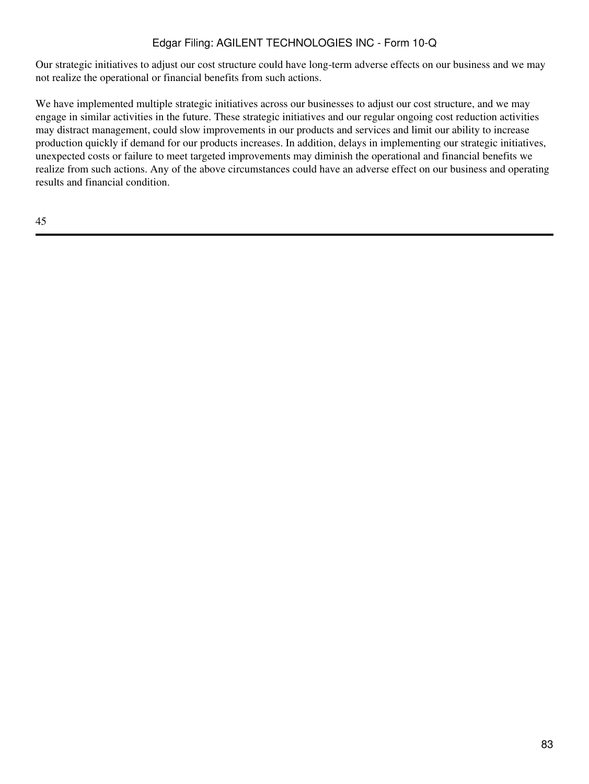Our strategic initiatives to adjust our cost structure could have long-term adverse effects on our business and we may not realize the operational or financial benefits from such actions.

We have implemented multiple strategic initiatives across our businesses to adjust our cost structure, and we may engage in similar activities in the future. These strategic initiatives and our regular ongoing cost reduction activities may distract management, could slow improvements in our products and services and limit our ability to increase production quickly if demand for our products increases. In addition, delays in implementing our strategic initiatives, unexpected costs or failure to meet targeted improvements may diminish the operational and financial benefits we realize from such actions. Any of the above circumstances could have an adverse effect on our business and operating results and financial condition.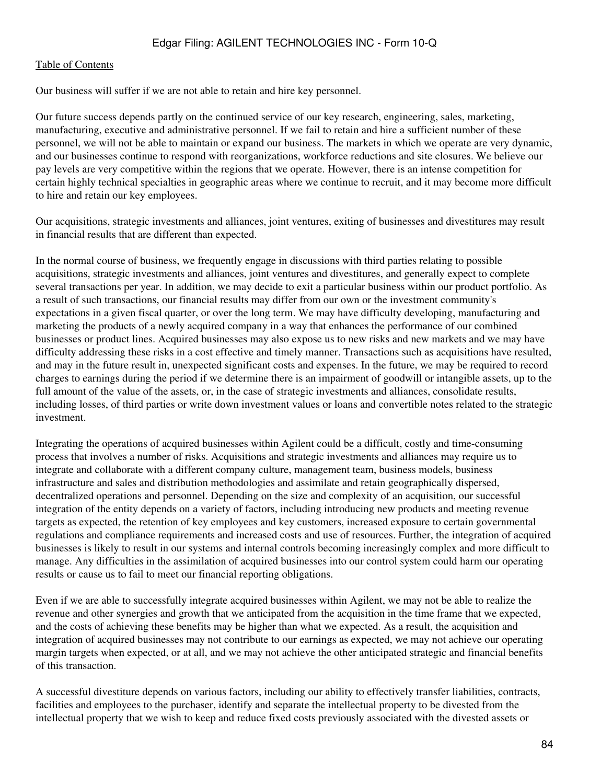#### [Table of Contents](#page-2-0)

Our business will suffer if we are not able to retain and hire key personnel.

Our future success depends partly on the continued service of our key research, engineering, sales, marketing, manufacturing, executive and administrative personnel. If we fail to retain and hire a sufficient number of these personnel, we will not be able to maintain or expand our business. The markets in which we operate are very dynamic, and our businesses continue to respond with reorganizations, workforce reductions and site closures. We believe our pay levels are very competitive within the regions that we operate. However, there is an intense competition for certain highly technical specialties in geographic areas where we continue to recruit, and it may become more difficult to hire and retain our key employees.

Our acquisitions, strategic investments and alliances, joint ventures, exiting of businesses and divestitures may result in financial results that are different than expected.

In the normal course of business, we frequently engage in discussions with third parties relating to possible acquisitions, strategic investments and alliances, joint ventures and divestitures, and generally expect to complete several transactions per year. In addition, we may decide to exit a particular business within our product portfolio. As a result of such transactions, our financial results may differ from our own or the investment community's expectations in a given fiscal quarter, or over the long term. We may have difficulty developing, manufacturing and marketing the products of a newly acquired company in a way that enhances the performance of our combined businesses or product lines. Acquired businesses may also expose us to new risks and new markets and we may have difficulty addressing these risks in a cost effective and timely manner. Transactions such as acquisitions have resulted, and may in the future result in, unexpected significant costs and expenses. In the future, we may be required to record charges to earnings during the period if we determine there is an impairment of goodwill or intangible assets, up to the full amount of the value of the assets, or, in the case of strategic investments and alliances, consolidate results, including losses, of third parties or write down investment values or loans and convertible notes related to the strategic investment.

Integrating the operations of acquired businesses within Agilent could be a difficult, costly and time-consuming process that involves a number of risks. Acquisitions and strategic investments and alliances may require us to integrate and collaborate with a different company culture, management team, business models, business infrastructure and sales and distribution methodologies and assimilate and retain geographically dispersed, decentralized operations and personnel. Depending on the size and complexity of an acquisition, our successful integration of the entity depends on a variety of factors, including introducing new products and meeting revenue targets as expected, the retention of key employees and key customers, increased exposure to certain governmental regulations and compliance requirements and increased costs and use of resources. Further, the integration of acquired businesses is likely to result in our systems and internal controls becoming increasingly complex and more difficult to manage. Any difficulties in the assimilation of acquired businesses into our control system could harm our operating results or cause us to fail to meet our financial reporting obligations.

Even if we are able to successfully integrate acquired businesses within Agilent, we may not be able to realize the revenue and other synergies and growth that we anticipated from the acquisition in the time frame that we expected, and the costs of achieving these benefits may be higher than what we expected. As a result, the acquisition and integration of acquired businesses may not contribute to our earnings as expected, we may not achieve our operating margin targets when expected, or at all, and we may not achieve the other anticipated strategic and financial benefits of this transaction.

A successful divestiture depends on various factors, including our ability to effectively transfer liabilities, contracts, facilities and employees to the purchaser, identify and separate the intellectual property to be divested from the intellectual property that we wish to keep and reduce fixed costs previously associated with the divested assets or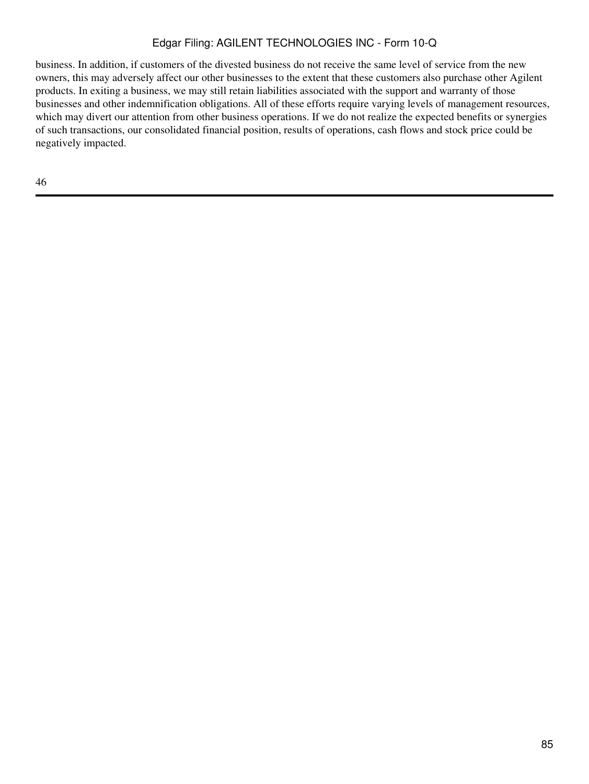business. In addition, if customers of the divested business do not receive the same level of service from the new owners, this may adversely affect our other businesses to the extent that these customers also purchase other Agilent products. In exiting a business, we may still retain liabilities associated with the support and warranty of those businesses and other indemnification obligations. All of these efforts require varying levels of management resources, which may divert our attention from other business operations. If we do not realize the expected benefits or synergies of such transactions, our consolidated financial position, results of operations, cash flows and stock price could be negatively impacted.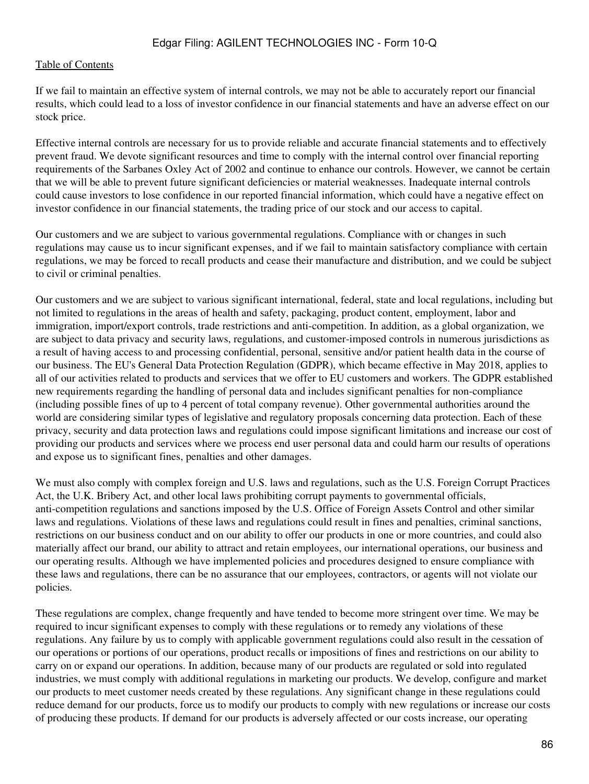If we fail to maintain an effective system of internal controls, we may not be able to accurately report our financial results, which could lead to a loss of investor confidence in our financial statements and have an adverse effect on our stock price.

Effective internal controls are necessary for us to provide reliable and accurate financial statements and to effectively prevent fraud. We devote significant resources and time to comply with the internal control over financial reporting requirements of the Sarbanes Oxley Act of 2002 and continue to enhance our controls. However, we cannot be certain that we will be able to prevent future significant deficiencies or material weaknesses. Inadequate internal controls could cause investors to lose confidence in our reported financial information, which could have a negative effect on investor confidence in our financial statements, the trading price of our stock and our access to capital.

Our customers and we are subject to various governmental regulations. Compliance with or changes in such regulations may cause us to incur significant expenses, and if we fail to maintain satisfactory compliance with certain regulations, we may be forced to recall products and cease their manufacture and distribution, and we could be subject to civil or criminal penalties.

Our customers and we are subject to various significant international, federal, state and local regulations, including but not limited to regulations in the areas of health and safety, packaging, product content, employment, labor and immigration, import/export controls, trade restrictions and anti-competition. In addition, as a global organization, we are subject to data privacy and security laws, regulations, and customer-imposed controls in numerous jurisdictions as a result of having access to and processing confidential, personal, sensitive and/or patient health data in the course of our business. The EU's General Data Protection Regulation (GDPR), which became effective in May 2018, applies to all of our activities related to products and services that we offer to EU customers and workers. The GDPR established new requirements regarding the handling of personal data and includes significant penalties for non-compliance (including possible fines of up to 4 percent of total company revenue). Other governmental authorities around the world are considering similar types of legislative and regulatory proposals concerning data protection. Each of these privacy, security and data protection laws and regulations could impose significant limitations and increase our cost of providing our products and services where we process end user personal data and could harm our results of operations and expose us to significant fines, penalties and other damages.

We must also comply with complex foreign and U.S. laws and regulations, such as the U.S. Foreign Corrupt Practices Act, the U.K. Bribery Act, and other local laws prohibiting corrupt payments to governmental officials, anti-competition regulations and sanctions imposed by the U.S. Office of Foreign Assets Control and other similar laws and regulations. Violations of these laws and regulations could result in fines and penalties, criminal sanctions, restrictions on our business conduct and on our ability to offer our products in one or more countries, and could also materially affect our brand, our ability to attract and retain employees, our international operations, our business and our operating results. Although we have implemented policies and procedures designed to ensure compliance with these laws and regulations, there can be no assurance that our employees, contractors, or agents will not violate our policies.

These regulations are complex, change frequently and have tended to become more stringent over time. We may be required to incur significant expenses to comply with these regulations or to remedy any violations of these regulations. Any failure by us to comply with applicable government regulations could also result in the cessation of our operations or portions of our operations, product recalls or impositions of fines and restrictions on our ability to carry on or expand our operations. In addition, because many of our products are regulated or sold into regulated industries, we must comply with additional regulations in marketing our products. We develop, configure and market our products to meet customer needs created by these regulations. Any significant change in these regulations could reduce demand for our products, force us to modify our products to comply with new regulations or increase our costs of producing these products. If demand for our products is adversely affected or our costs increase, our operating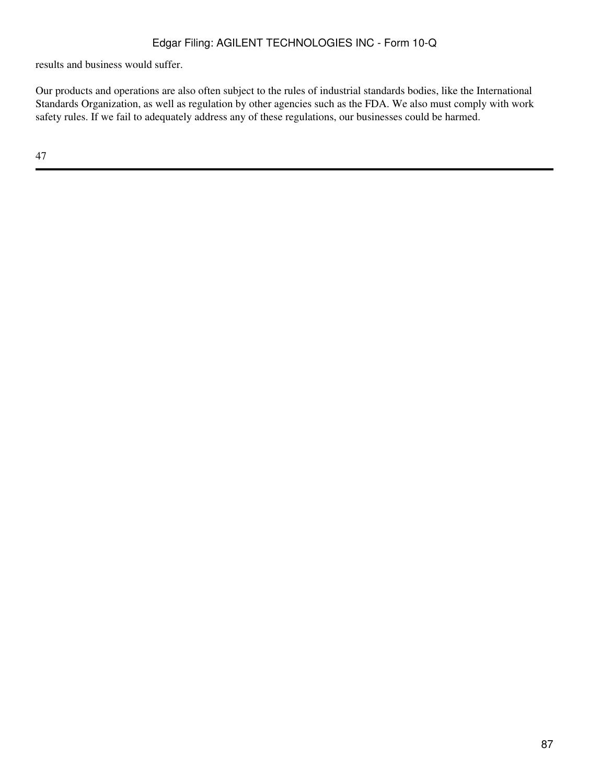results and business would suffer.

Our products and operations are also often subject to the rules of industrial standards bodies, like the International Standards Organization, as well as regulation by other agencies such as the FDA. We also must comply with work safety rules. If we fail to adequately address any of these regulations, our businesses could be harmed.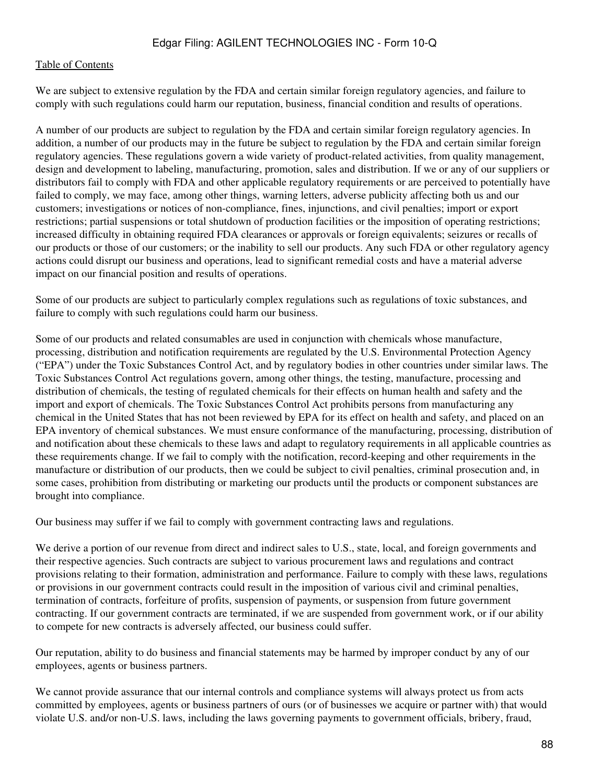We are subject to extensive regulation by the FDA and certain similar foreign regulatory agencies, and failure to comply with such regulations could harm our reputation, business, financial condition and results of operations.

A number of our products are subject to regulation by the FDA and certain similar foreign regulatory agencies. In addition, a number of our products may in the future be subject to regulation by the FDA and certain similar foreign regulatory agencies. These regulations govern a wide variety of product-related activities, from quality management, design and development to labeling, manufacturing, promotion, sales and distribution. If we or any of our suppliers or distributors fail to comply with FDA and other applicable regulatory requirements or are perceived to potentially have failed to comply, we may face, among other things, warning letters, adverse publicity affecting both us and our customers; investigations or notices of non-compliance, fines, injunctions, and civil penalties; import or export restrictions; partial suspensions or total shutdown of production facilities or the imposition of operating restrictions; increased difficulty in obtaining required FDA clearances or approvals or foreign equivalents; seizures or recalls of our products or those of our customers; or the inability to sell our products. Any such FDA or other regulatory agency actions could disrupt our business and operations, lead to significant remedial costs and have a material adverse impact on our financial position and results of operations.

Some of our products are subject to particularly complex regulations such as regulations of toxic substances, and failure to comply with such regulations could harm our business.

Some of our products and related consumables are used in conjunction with chemicals whose manufacture, processing, distribution and notification requirements are regulated by the U.S. Environmental Protection Agency ("EPA") under the Toxic Substances Control Act, and by regulatory bodies in other countries under similar laws. The Toxic Substances Control Act regulations govern, among other things, the testing, manufacture, processing and distribution of chemicals, the testing of regulated chemicals for their effects on human health and safety and the import and export of chemicals. The Toxic Substances Control Act prohibits persons from manufacturing any chemical in the United States that has not been reviewed by EPA for its effect on health and safety, and placed on an EPA inventory of chemical substances. We must ensure conformance of the manufacturing, processing, distribution of and notification about these chemicals to these laws and adapt to regulatory requirements in all applicable countries as these requirements change. If we fail to comply with the notification, record-keeping and other requirements in the manufacture or distribution of our products, then we could be subject to civil penalties, criminal prosecution and, in some cases, prohibition from distributing or marketing our products until the products or component substances are brought into compliance.

Our business may suffer if we fail to comply with government contracting laws and regulations.

We derive a portion of our revenue from direct and indirect sales to U.S., state, local, and foreign governments and their respective agencies. Such contracts are subject to various procurement laws and regulations and contract provisions relating to their formation, administration and performance. Failure to comply with these laws, regulations or provisions in our government contracts could result in the imposition of various civil and criminal penalties, termination of contracts, forfeiture of profits, suspension of payments, or suspension from future government contracting. If our government contracts are terminated, if we are suspended from government work, or if our ability to compete for new contracts is adversely affected, our business could suffer.

Our reputation, ability to do business and financial statements may be harmed by improper conduct by any of our employees, agents or business partners.

We cannot provide assurance that our internal controls and compliance systems will always protect us from acts committed by employees, agents or business partners of ours (or of businesses we acquire or partner with) that would violate U.S. and/or non-U.S. laws, including the laws governing payments to government officials, bribery, fraud,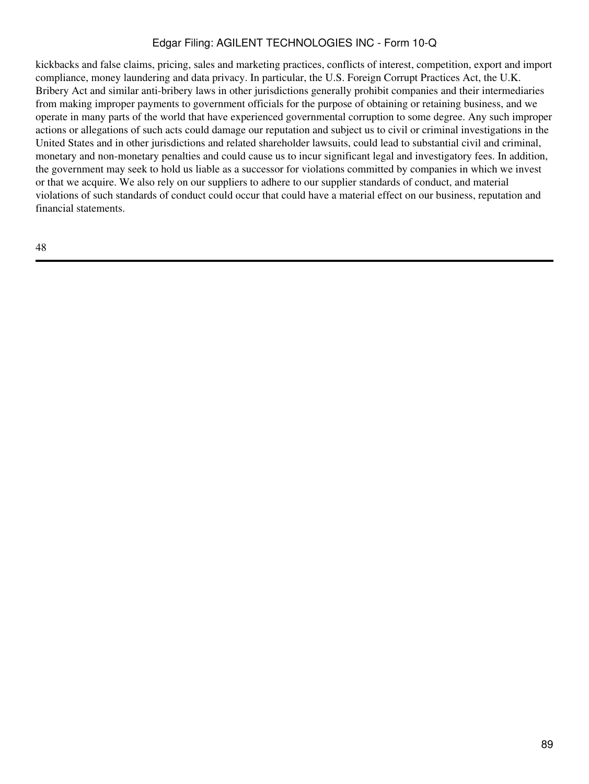kickbacks and false claims, pricing, sales and marketing practices, conflicts of interest, competition, export and import compliance, money laundering and data privacy. In particular, the U.S. Foreign Corrupt Practices Act, the U.K. Bribery Act and similar anti-bribery laws in other jurisdictions generally prohibit companies and their intermediaries from making improper payments to government officials for the purpose of obtaining or retaining business, and we operate in many parts of the world that have experienced governmental corruption to some degree. Any such improper actions or allegations of such acts could damage our reputation and subject us to civil or criminal investigations in the United States and in other jurisdictions and related shareholder lawsuits, could lead to substantial civil and criminal, monetary and non-monetary penalties and could cause us to incur significant legal and investigatory fees. In addition, the government may seek to hold us liable as a successor for violations committed by companies in which we invest or that we acquire. We also rely on our suppliers to adhere to our supplier standards of conduct, and material violations of such standards of conduct could occur that could have a material effect on our business, reputation and financial statements.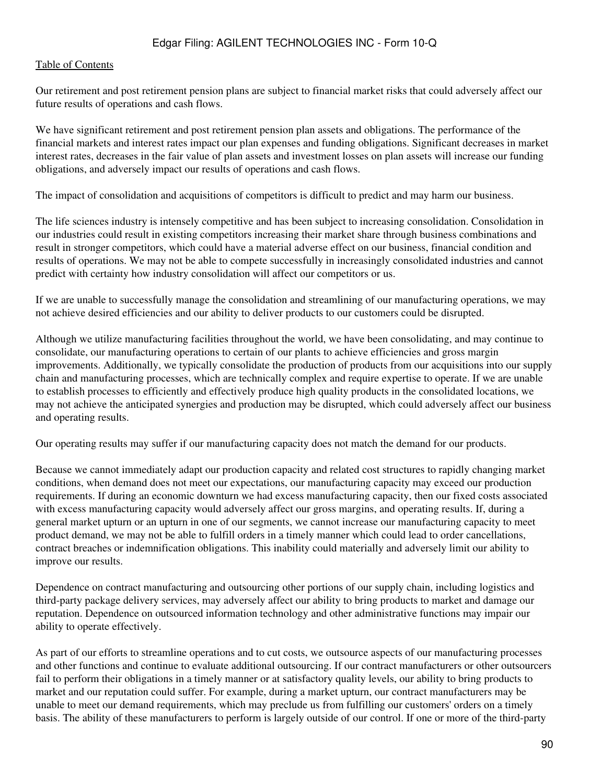Our retirement and post retirement pension plans are subject to financial market risks that could adversely affect our future results of operations and cash flows.

We have significant retirement and post retirement pension plan assets and obligations. The performance of the financial markets and interest rates impact our plan expenses and funding obligations. Significant decreases in market interest rates, decreases in the fair value of plan assets and investment losses on plan assets will increase our funding obligations, and adversely impact our results of operations and cash flows.

The impact of consolidation and acquisitions of competitors is difficult to predict and may harm our business.

The life sciences industry is intensely competitive and has been subject to increasing consolidation. Consolidation in our industries could result in existing competitors increasing their market share through business combinations and result in stronger competitors, which could have a material adverse effect on our business, financial condition and results of operations. We may not be able to compete successfully in increasingly consolidated industries and cannot predict with certainty how industry consolidation will affect our competitors or us.

If we are unable to successfully manage the consolidation and streamlining of our manufacturing operations, we may not achieve desired efficiencies and our ability to deliver products to our customers could be disrupted.

Although we utilize manufacturing facilities throughout the world, we have been consolidating, and may continue to consolidate, our manufacturing operations to certain of our plants to achieve efficiencies and gross margin improvements. Additionally, we typically consolidate the production of products from our acquisitions into our supply chain and manufacturing processes, which are technically complex and require expertise to operate. If we are unable to establish processes to efficiently and effectively produce high quality products in the consolidated locations, we may not achieve the anticipated synergies and production may be disrupted, which could adversely affect our business and operating results.

Our operating results may suffer if our manufacturing capacity does not match the demand for our products.

Because we cannot immediately adapt our production capacity and related cost structures to rapidly changing market conditions, when demand does not meet our expectations, our manufacturing capacity may exceed our production requirements. If during an economic downturn we had excess manufacturing capacity, then our fixed costs associated with excess manufacturing capacity would adversely affect our gross margins, and operating results. If, during a general market upturn or an upturn in one of our segments, we cannot increase our manufacturing capacity to meet product demand, we may not be able to fulfill orders in a timely manner which could lead to order cancellations, contract breaches or indemnification obligations. This inability could materially and adversely limit our ability to improve our results.

Dependence on contract manufacturing and outsourcing other portions of our supply chain, including logistics and third-party package delivery services, may adversely affect our ability to bring products to market and damage our reputation. Dependence on outsourced information technology and other administrative functions may impair our ability to operate effectively.

As part of our efforts to streamline operations and to cut costs, we outsource aspects of our manufacturing processes and other functions and continue to evaluate additional outsourcing. If our contract manufacturers or other outsourcers fail to perform their obligations in a timely manner or at satisfactory quality levels, our ability to bring products to market and our reputation could suffer. For example, during a market upturn, our contract manufacturers may be unable to meet our demand requirements, which may preclude us from fulfilling our customers' orders on a timely basis. The ability of these manufacturers to perform is largely outside of our control. If one or more of the third-party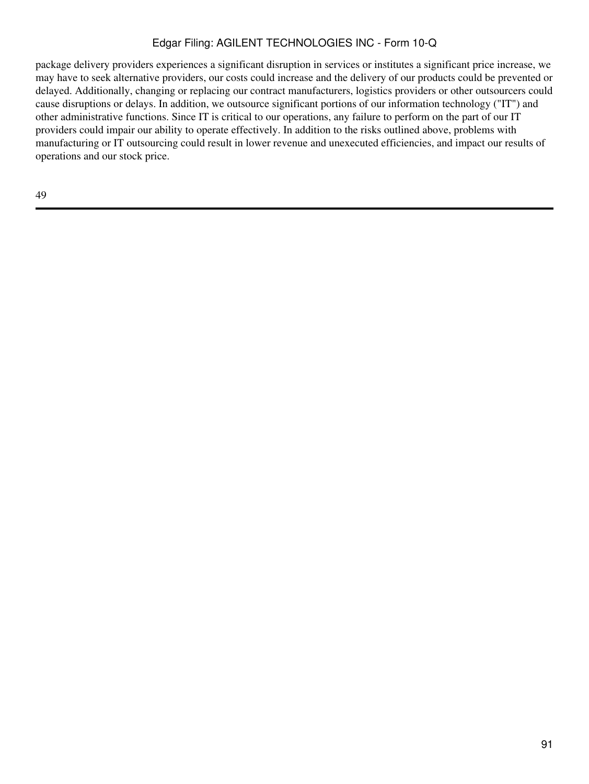package delivery providers experiences a significant disruption in services or institutes a significant price increase, we may have to seek alternative providers, our costs could increase and the delivery of our products could be prevented or delayed. Additionally, changing or replacing our contract manufacturers, logistics providers or other outsourcers could cause disruptions or delays. In addition, we outsource significant portions of our information technology ("IT") and other administrative functions. Since IT is critical to our operations, any failure to perform on the part of our IT providers could impair our ability to operate effectively. In addition to the risks outlined above, problems with manufacturing or IT outsourcing could result in lower revenue and unexecuted efficiencies, and impact our results of operations and our stock price.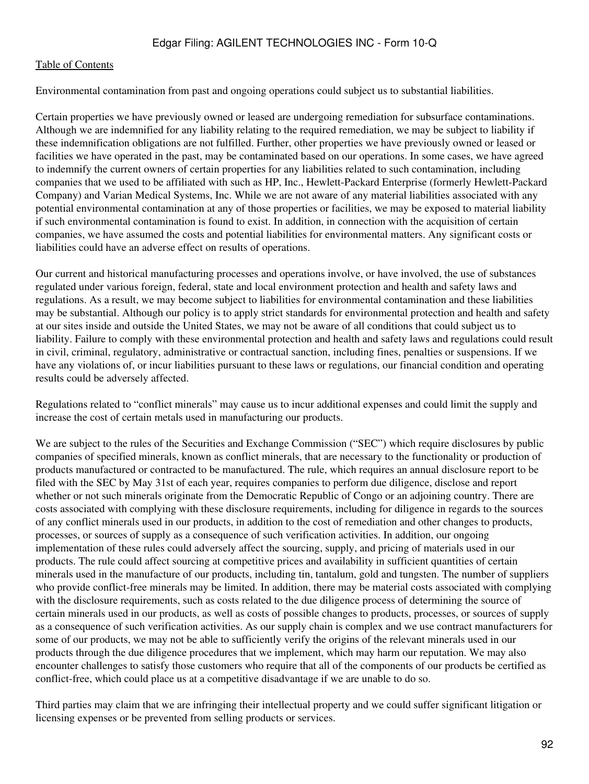#### [Table of Contents](#page-2-0)

Environmental contamination from past and ongoing operations could subject us to substantial liabilities.

Certain properties we have previously owned or leased are undergoing remediation for subsurface contaminations. Although we are indemnified for any liability relating to the required remediation, we may be subject to liability if these indemnification obligations are not fulfilled. Further, other properties we have previously owned or leased or facilities we have operated in the past, may be contaminated based on our operations. In some cases, we have agreed to indemnify the current owners of certain properties for any liabilities related to such contamination, including companies that we used to be affiliated with such as HP, Inc., Hewlett-Packard Enterprise (formerly Hewlett-Packard Company) and Varian Medical Systems, Inc. While we are not aware of any material liabilities associated with any potential environmental contamination at any of those properties or facilities, we may be exposed to material liability if such environmental contamination is found to exist. In addition, in connection with the acquisition of certain companies, we have assumed the costs and potential liabilities for environmental matters. Any significant costs or liabilities could have an adverse effect on results of operations.

Our current and historical manufacturing processes and operations involve, or have involved, the use of substances regulated under various foreign, federal, state and local environment protection and health and safety laws and regulations. As a result, we may become subject to liabilities for environmental contamination and these liabilities may be substantial. Although our policy is to apply strict standards for environmental protection and health and safety at our sites inside and outside the United States, we may not be aware of all conditions that could subject us to liability. Failure to comply with these environmental protection and health and safety laws and regulations could result in civil, criminal, regulatory, administrative or contractual sanction, including fines, penalties or suspensions. If we have any violations of, or incur liabilities pursuant to these laws or regulations, our financial condition and operating results could be adversely affected.

Regulations related to "conflict minerals" may cause us to incur additional expenses and could limit the supply and increase the cost of certain metals used in manufacturing our products.

We are subject to the rules of the Securities and Exchange Commission ("SEC") which require disclosures by public companies of specified minerals, known as conflict minerals, that are necessary to the functionality or production of products manufactured or contracted to be manufactured. The rule, which requires an annual disclosure report to be filed with the SEC by May 31st of each year, requires companies to perform due diligence, disclose and report whether or not such minerals originate from the Democratic Republic of Congo or an adjoining country. There are costs associated with complying with these disclosure requirements, including for diligence in regards to the sources of any conflict minerals used in our products, in addition to the cost of remediation and other changes to products, processes, or sources of supply as a consequence of such verification activities. In addition, our ongoing implementation of these rules could adversely affect the sourcing, supply, and pricing of materials used in our products. The rule could affect sourcing at competitive prices and availability in sufficient quantities of certain minerals used in the manufacture of our products, including tin, tantalum, gold and tungsten. The number of suppliers who provide conflict-free minerals may be limited. In addition, there may be material costs associated with complying with the disclosure requirements, such as costs related to the due diligence process of determining the source of certain minerals used in our products, as well as costs of possible changes to products, processes, or sources of supply as a consequence of such verification activities. As our supply chain is complex and we use contract manufacturers for some of our products, we may not be able to sufficiently verify the origins of the relevant minerals used in our products through the due diligence procedures that we implement, which may harm our reputation. We may also encounter challenges to satisfy those customers who require that all of the components of our products be certified as conflict-free, which could place us at a competitive disadvantage if we are unable to do so.

Third parties may claim that we are infringing their intellectual property and we could suffer significant litigation or licensing expenses or be prevented from selling products or services.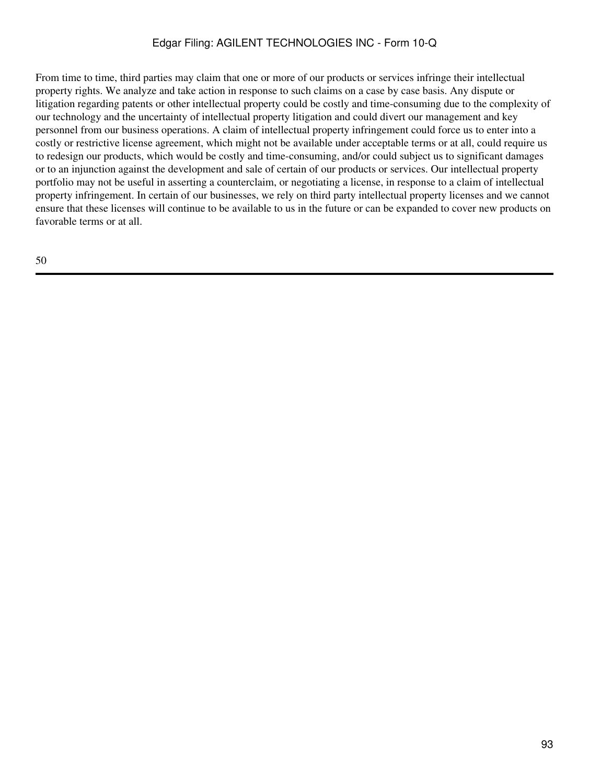From time to time, third parties may claim that one or more of our products or services infringe their intellectual property rights. We analyze and take action in response to such claims on a case by case basis. Any dispute or litigation regarding patents or other intellectual property could be costly and time-consuming due to the complexity of our technology and the uncertainty of intellectual property litigation and could divert our management and key personnel from our business operations. A claim of intellectual property infringement could force us to enter into a costly or restrictive license agreement, which might not be available under acceptable terms or at all, could require us to redesign our products, which would be costly and time-consuming, and/or could subject us to significant damages or to an injunction against the development and sale of certain of our products or services. Our intellectual property portfolio may not be useful in asserting a counterclaim, or negotiating a license, in response to a claim of intellectual property infringement. In certain of our businesses, we rely on third party intellectual property licenses and we cannot ensure that these licenses will continue to be available to us in the future or can be expanded to cover new products on favorable terms or at all.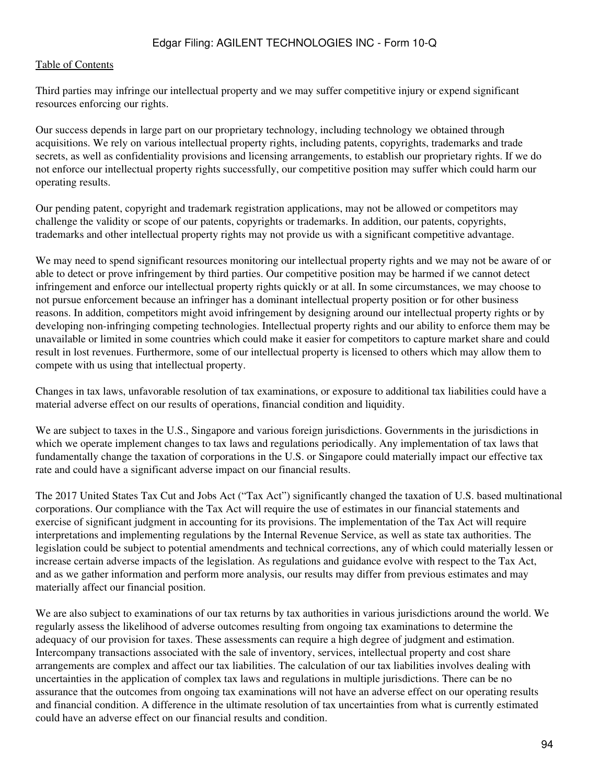Third parties may infringe our intellectual property and we may suffer competitive injury or expend significant resources enforcing our rights.

Our success depends in large part on our proprietary technology, including technology we obtained through acquisitions. We rely on various intellectual property rights, including patents, copyrights, trademarks and trade secrets, as well as confidentiality provisions and licensing arrangements, to establish our proprietary rights. If we do not enforce our intellectual property rights successfully, our competitive position may suffer which could harm our operating results.

Our pending patent, copyright and trademark registration applications, may not be allowed or competitors may challenge the validity or scope of our patents, copyrights or trademarks. In addition, our patents, copyrights, trademarks and other intellectual property rights may not provide us with a significant competitive advantage.

We may need to spend significant resources monitoring our intellectual property rights and we may not be aware of or able to detect or prove infringement by third parties. Our competitive position may be harmed if we cannot detect infringement and enforce our intellectual property rights quickly or at all. In some circumstances, we may choose to not pursue enforcement because an infringer has a dominant intellectual property position or for other business reasons. In addition, competitors might avoid infringement by designing around our intellectual property rights or by developing non-infringing competing technologies. Intellectual property rights and our ability to enforce them may be unavailable or limited in some countries which could make it easier for competitors to capture market share and could result in lost revenues. Furthermore, some of our intellectual property is licensed to others which may allow them to compete with us using that intellectual property.

Changes in tax laws, unfavorable resolution of tax examinations, or exposure to additional tax liabilities could have a material adverse effect on our results of operations, financial condition and liquidity.

We are subject to taxes in the U.S., Singapore and various foreign jurisdictions. Governments in the jurisdictions in which we operate implement changes to tax laws and regulations periodically. Any implementation of tax laws that fundamentally change the taxation of corporations in the U.S. or Singapore could materially impact our effective tax rate and could have a significant adverse impact on our financial results.

The 2017 United States Tax Cut and Jobs Act ("Tax Act") significantly changed the taxation of U.S. based multinational corporations. Our compliance with the Tax Act will require the use of estimates in our financial statements and exercise of significant judgment in accounting for its provisions. The implementation of the Tax Act will require interpretations and implementing regulations by the Internal Revenue Service, as well as state tax authorities. The legislation could be subject to potential amendments and technical corrections, any of which could materially lessen or increase certain adverse impacts of the legislation. As regulations and guidance evolve with respect to the Tax Act, and as we gather information and perform more analysis, our results may differ from previous estimates and may materially affect our financial position.

We are also subject to examinations of our tax returns by tax authorities in various jurisdictions around the world. We regularly assess the likelihood of adverse outcomes resulting from ongoing tax examinations to determine the adequacy of our provision for taxes. These assessments can require a high degree of judgment and estimation. Intercompany transactions associated with the sale of inventory, services, intellectual property and cost share arrangements are complex and affect our tax liabilities. The calculation of our tax liabilities involves dealing with uncertainties in the application of complex tax laws and regulations in multiple jurisdictions. There can be no assurance that the outcomes from ongoing tax examinations will not have an adverse effect on our operating results and financial condition. A difference in the ultimate resolution of tax uncertainties from what is currently estimated could have an adverse effect on our financial results and condition.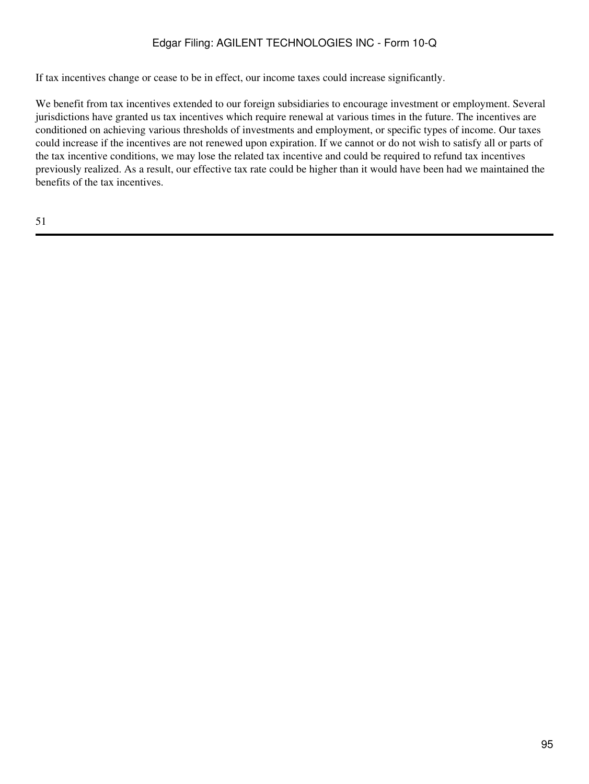If tax incentives change or cease to be in effect, our income taxes could increase significantly.

We benefit from tax incentives extended to our foreign subsidiaries to encourage investment or employment. Several jurisdictions have granted us tax incentives which require renewal at various times in the future. The incentives are conditioned on achieving various thresholds of investments and employment, or specific types of income. Our taxes could increase if the incentives are not renewed upon expiration. If we cannot or do not wish to satisfy all or parts of the tax incentive conditions, we may lose the related tax incentive and could be required to refund tax incentives previously realized. As a result, our effective tax rate could be higher than it would have been had we maintained the benefits of the tax incentives.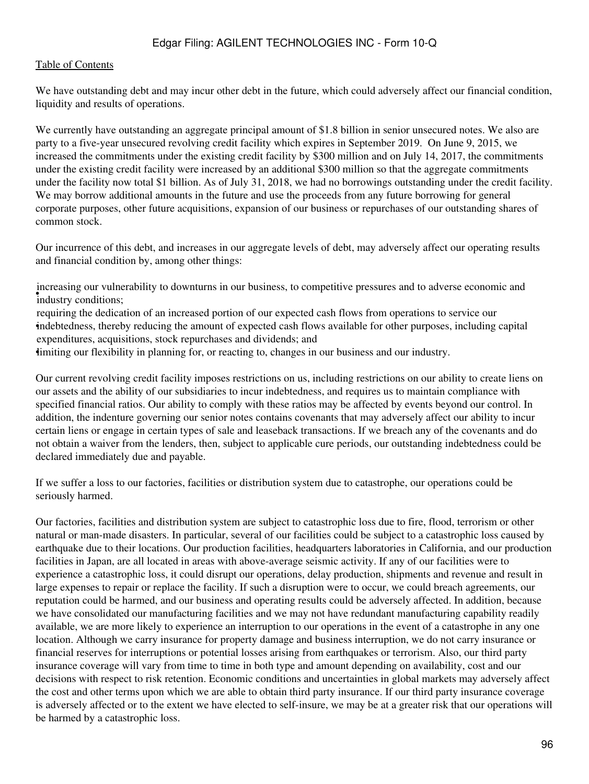We have outstanding debt and may incur other debt in the future, which could adversely affect our financial condition, liquidity and results of operations.

We currently have outstanding an aggregate principal amount of \$1.8 billion in senior unsecured notes. We also are party to a five-year unsecured revolving credit facility which expires in September 2019. On June 9, 2015, we increased the commitments under the existing credit facility by \$300 million and on July 14, 2017, the commitments under the existing credit facility were increased by an additional \$300 million so that the aggregate commitments under the facility now total \$1 billion. As of July 31, 2018, we had no borrowings outstanding under the credit facility. We may borrow additional amounts in the future and use the proceeds from any future borrowing for general corporate purposes, other future acquisitions, expansion of our business or repurchases of our outstanding shares of common stock.

Our incurrence of this debt, and increases in our aggregate levels of debt, may adversely affect our operating results and financial condition by, among other things:

industry conditions; increasing our vulnerability to downturns in our business, to competitive pressures and to adverse economic and

• indebtedness, thereby reducing the amount of expected cash flows available for other purposes, including capital requiring the dedication of an increased portion of our expected cash flows from operations to service our expenditures, acquisitions, stock repurchases and dividends; and

•limiting our flexibility in planning for, or reacting to, changes in our business and our industry.

Our current revolving credit facility imposes restrictions on us, including restrictions on our ability to create liens on our assets and the ability of our subsidiaries to incur indebtedness, and requires us to maintain compliance with specified financial ratios. Our ability to comply with these ratios may be affected by events beyond our control. In addition, the indenture governing our senior notes contains covenants that may adversely affect our ability to incur certain liens or engage in certain types of sale and leaseback transactions. If we breach any of the covenants and do not obtain a waiver from the lenders, then, subject to applicable cure periods, our outstanding indebtedness could be declared immediately due and payable.

If we suffer a loss to our factories, facilities or distribution system due to catastrophe, our operations could be seriously harmed.

Our factories, facilities and distribution system are subject to catastrophic loss due to fire, flood, terrorism or other natural or man-made disasters. In particular, several of our facilities could be subject to a catastrophic loss caused by earthquake due to their locations. Our production facilities, headquarters laboratories in California, and our production facilities in Japan, are all located in areas with above-average seismic activity. If any of our facilities were to experience a catastrophic loss, it could disrupt our operations, delay production, shipments and revenue and result in large expenses to repair or replace the facility. If such a disruption were to occur, we could breach agreements, our reputation could be harmed, and our business and operating results could be adversely affected. In addition, because we have consolidated our manufacturing facilities and we may not have redundant manufacturing capability readily available, we are more likely to experience an interruption to our operations in the event of a catastrophe in any one location. Although we carry insurance for property damage and business interruption, we do not carry insurance or financial reserves for interruptions or potential losses arising from earthquakes or terrorism. Also, our third party insurance coverage will vary from time to time in both type and amount depending on availability, cost and our decisions with respect to risk retention. Economic conditions and uncertainties in global markets may adversely affect the cost and other terms upon which we are able to obtain third party insurance. If our third party insurance coverage is adversely affected or to the extent we have elected to self-insure, we may be at a greater risk that our operations will be harmed by a catastrophic loss.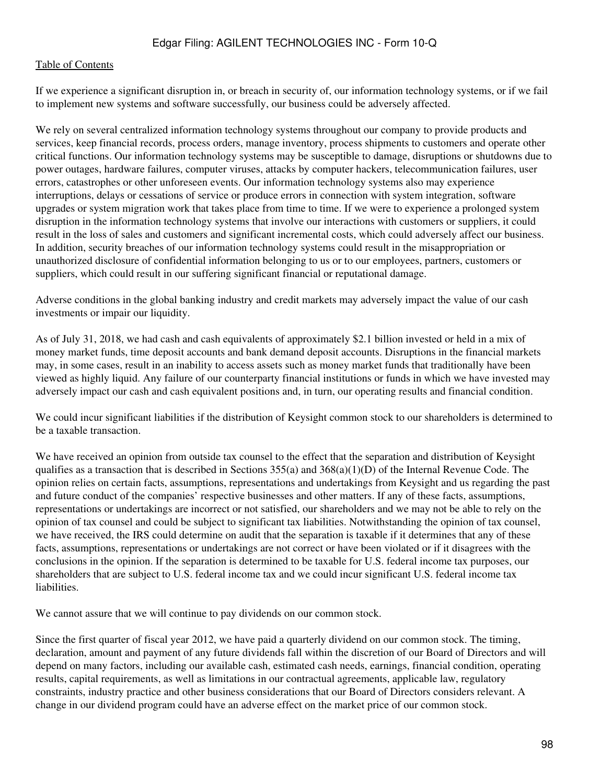If we experience a significant disruption in, or breach in security of, our information technology systems, or if we fail to implement new systems and software successfully, our business could be adversely affected.

We rely on several centralized information technology systems throughout our company to provide products and services, keep financial records, process orders, manage inventory, process shipments to customers and operate other critical functions. Our information technology systems may be susceptible to damage, disruptions or shutdowns due to power outages, hardware failures, computer viruses, attacks by computer hackers, telecommunication failures, user errors, catastrophes or other unforeseen events. Our information technology systems also may experience interruptions, delays or cessations of service or produce errors in connection with system integration, software upgrades or system migration work that takes place from time to time. If we were to experience a prolonged system disruption in the information technology systems that involve our interactions with customers or suppliers, it could result in the loss of sales and customers and significant incremental costs, which could adversely affect our business. In addition, security breaches of our information technology systems could result in the misappropriation or unauthorized disclosure of confidential information belonging to us or to our employees, partners, customers or suppliers, which could result in our suffering significant financial or reputational damage.

Adverse conditions in the global banking industry and credit markets may adversely impact the value of our cash investments or impair our liquidity.

As of July 31, 2018, we had cash and cash equivalents of approximately \$2.1 billion invested or held in a mix of money market funds, time deposit accounts and bank demand deposit accounts. Disruptions in the financial markets may, in some cases, result in an inability to access assets such as money market funds that traditionally have been viewed as highly liquid. Any failure of our counterparty financial institutions or funds in which we have invested may adversely impact our cash and cash equivalent positions and, in turn, our operating results and financial condition.

We could incur significant liabilities if the distribution of Keysight common stock to our shareholders is determined to be a taxable transaction.

We have received an opinion from outside tax counsel to the effect that the separation and distribution of Keysight qualifies as a transaction that is described in Sections  $355(a)$  and  $368(a)(1)(D)$  of the Internal Revenue Code. The opinion relies on certain facts, assumptions, representations and undertakings from Keysight and us regarding the past and future conduct of the companies' respective businesses and other matters. If any of these facts, assumptions, representations or undertakings are incorrect or not satisfied, our shareholders and we may not be able to rely on the opinion of tax counsel and could be subject to significant tax liabilities. Notwithstanding the opinion of tax counsel, we have received, the IRS could determine on audit that the separation is taxable if it determines that any of these facts, assumptions, representations or undertakings are not correct or have been violated or if it disagrees with the conclusions in the opinion. If the separation is determined to be taxable for U.S. federal income tax purposes, our shareholders that are subject to U.S. federal income tax and we could incur significant U.S. federal income tax liabilities.

We cannot assure that we will continue to pay dividends on our common stock.

Since the first quarter of fiscal year 2012, we have paid a quarterly dividend on our common stock. The timing, declaration, amount and payment of any future dividends fall within the discretion of our Board of Directors and will depend on many factors, including our available cash, estimated cash needs, earnings, financial condition, operating results, capital requirements, as well as limitations in our contractual agreements, applicable law, regulatory constraints, industry practice and other business considerations that our Board of Directors considers relevant. A change in our dividend program could have an adverse effect on the market price of our common stock.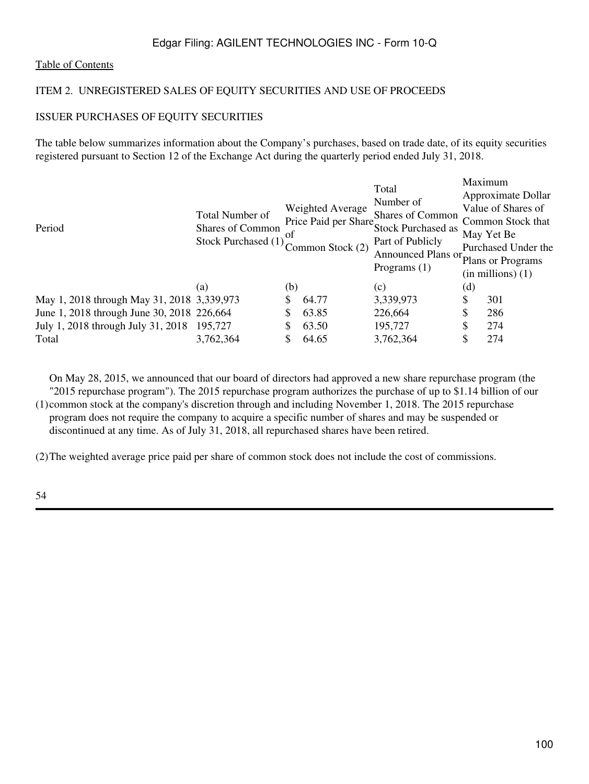#### [Table of Contents](#page-2-0)

### ITEM 2. UNREGISTERED SALES OF EQUITY SECURITIES AND USE OF PROCEEDS

### ISSUER PURCHASES OF EQUITY SECURITIES

The table below summarizes information about the Company's purchases, based on trade date, of its equity securities registered pursuant to Section 12 of the Exchange Act during the quarterly period ended July 31, 2018.

| Period                                      | Total Number of<br>Shares of Common<br>Stock Purchased (1) | 0t  | Weighted Average<br>Price Paid per Share,<br>Common Stock (2) | Total<br>Number of<br><b>Shares of Common</b><br><b>Stock Purchased as</b><br>Part of Publicly<br>Announced Plans or<br>Programs $(1)$ | Maximum<br>Approximate Dollar<br>Value of Shares of<br>Common Stock that<br>May Yet Be<br>Purchased Under the<br>Plans or Programs<br>$(in$ millions $)(1)$ |     |
|---------------------------------------------|------------------------------------------------------------|-----|---------------------------------------------------------------|----------------------------------------------------------------------------------------------------------------------------------------|-------------------------------------------------------------------------------------------------------------------------------------------------------------|-----|
|                                             | (a)                                                        | (b) |                                                               | (c)                                                                                                                                    | $\left( \mathrm{d}\right)$                                                                                                                                  |     |
| May 1, 2018 through May 31, 2018 3,339,973  |                                                            | S   | 64.77                                                         | 3,339,973                                                                                                                              | \$                                                                                                                                                          | 301 |
| June 1, 2018 through June 30, 2018 226, 664 |                                                            | S   | 63.85                                                         | 226,664                                                                                                                                | \$                                                                                                                                                          | 286 |
| July 1, 2018 through July 31, 2018          | 195,727                                                    | \$  | 63.50                                                         | 195,727                                                                                                                                | \$                                                                                                                                                          | 274 |
| Total                                       | 3,762,364                                                  | \$  | 64.65                                                         | 3,762,364                                                                                                                              | \$                                                                                                                                                          | 274 |

(1) common stock at the company's discretion through and including November 1, 2018. The 2015 repurchase On May 28, 2015, we announced that our board of directors had approved a new share repurchase program (the "2015 repurchase program"). The 2015 repurchase program authorizes the purchase of up to \$1.14 billion of our program does not require the company to acquire a specific number of shares and may be suspended or

discontinued at any time. As of July 31, 2018, all repurchased shares have been retired.

(2)The weighted average price paid per share of common stock does not include the cost of commissions.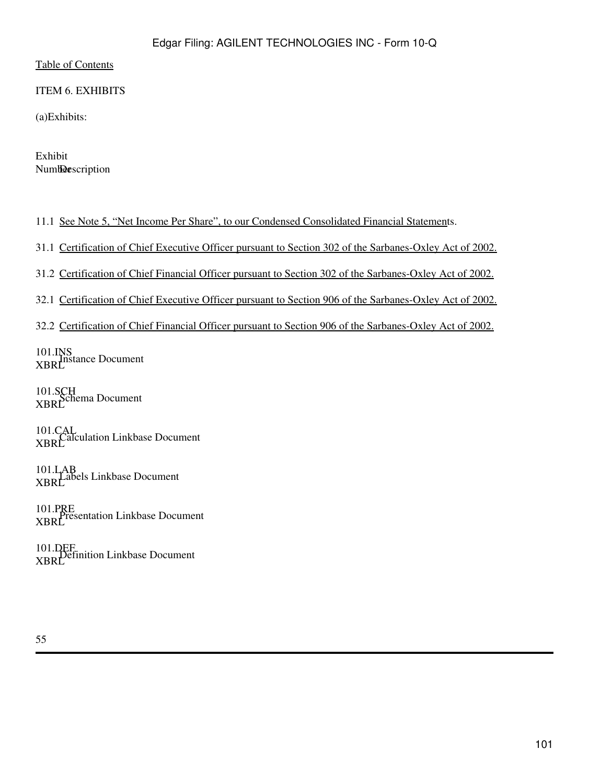ITEM 6. EXHIBITS

(a)Exhibits:

Exhibit Numberscription

11.1 [See Note 5, "Net Income Per Share", to our Condensed Consolidated Financial Statement](#page-18-0)s.

31.1 Certification of Chief Executive Officer pursuant to Section 302 of the Sarbanes-Oxley Act of 2002.

31.2 Certification of Chief Financial Officer pursuant to Section 302 of the Sarbanes-Oxley Act of 2002.

32.1 Certification of Chief Executive Officer pursuant to Section 906 of the Sarbanes-Oxley Act of 2002.

32.2 Certification of Chief Financial Officer pursuant to Section 906 of the Sarbanes-Oxley Act of 2002.

101.INS<br>XBRL<br>XBRL

101.SCH<br>XBRL

101.CAL<br>XBRL<br>XBRL

101.LAB<br>XBRL<br>

101.PRE<br>XBRL<br>XBRL

101.DEF<br>XBRL<br>XBRL